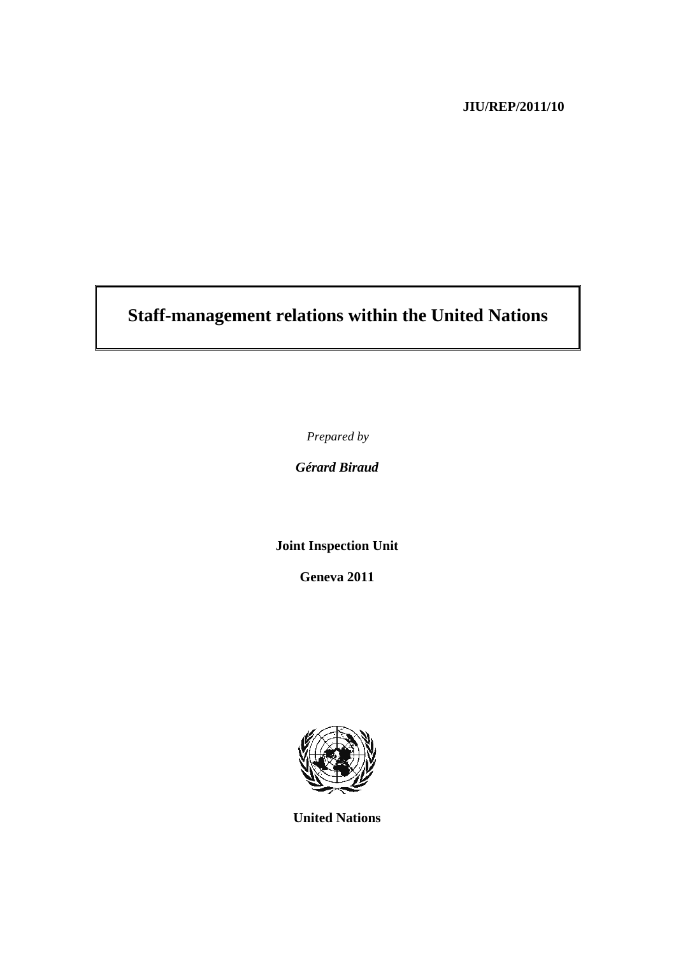### **JIU/REP/2011/10**

# **Staff-management relations within the United Nations**

*Prepared by* 

*Gérard Biraud* 

**Joint Inspection Unit** 

**Geneva 2011**



**United Nations**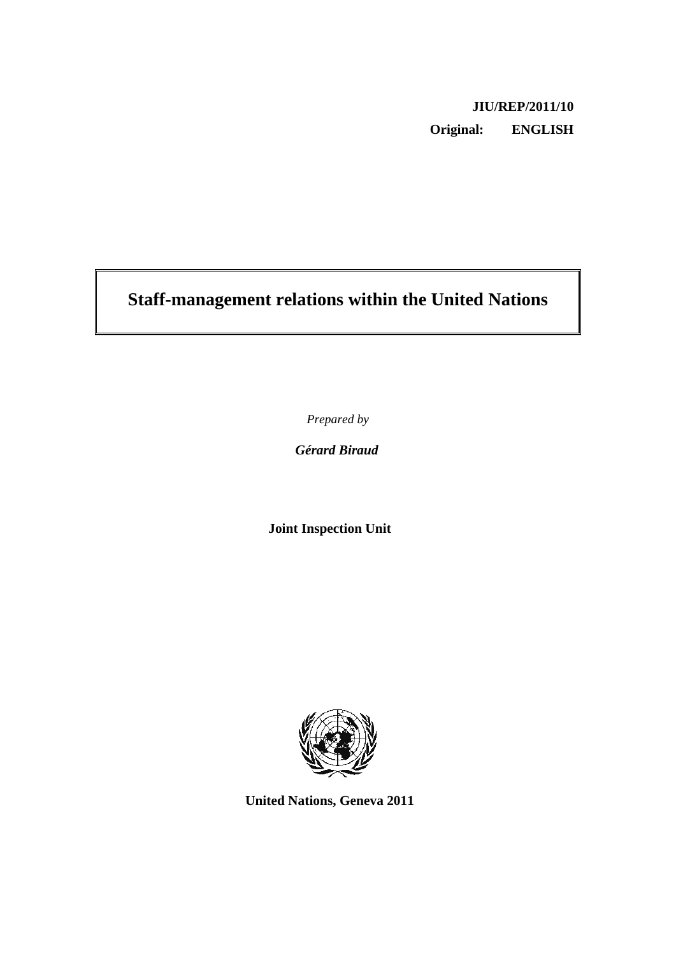## **JIU/REP/2011/10 Original: ENGLISH**

# **Staff-management relations within the United Nations**

*Prepared by* 

*Gérard Biraud* 

**Joint Inspection Unit** 



**United Nations, Geneva 2011**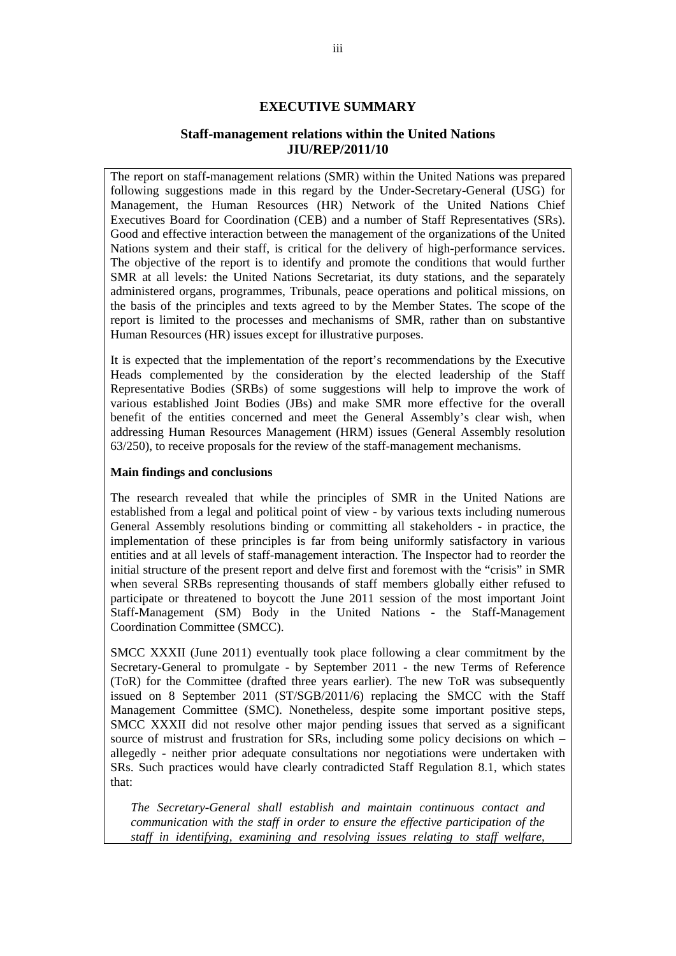#### **EXECUTIVE SUMMARY**

#### **Staff-management relations within the United Nations JIU/REP/2011/10**

The report on staff-management relations (SMR) within the United Nations was prepared following suggestions made in this regard by the Under-Secretary-General (USG) for Management, the Human Resources (HR) Network of the United Nations Chief Executives Board for Coordination (CEB) and a number of Staff Representatives (SRs). Good and effective interaction between the management of the organizations of the United Nations system and their staff, is critical for the delivery of high-performance services. The objective of the report is to identify and promote the conditions that would further SMR at all levels: the United Nations Secretariat, its duty stations, and the separately administered organs, programmes, Tribunals, peace operations and political missions, on the basis of the principles and texts agreed to by the Member States. The scope of the report is limited to the processes and mechanisms of SMR, rather than on substantive Human Resources (HR) issues except for illustrative purposes.

It is expected that the implementation of the report's recommendations by the Executive Heads complemented by the consideration by the elected leadership of the Staff Representative Bodies (SRBs) of some suggestions will help to improve the work of various established Joint Bodies (JBs) and make SMR more effective for the overall benefit of the entities concerned and meet the General Assembly's clear wish, when addressing Human Resources Management (HRM) issues (General Assembly resolution 63/250), to receive proposals for the review of the staff-management mechanisms.

#### **Main findings and conclusions**

The research revealed that while the principles of SMR in the United Nations are established from a legal and political point of view - by various texts including numerous General Assembly resolutions binding or committing all stakeholders - in practice, the implementation of these principles is far from being uniformly satisfactory in various entities and at all levels of staff-management interaction. The Inspector had to reorder the initial structure of the present report and delve first and foremost with the "crisis" in SMR when several SRBs representing thousands of staff members globally either refused to participate or threatened to boycott the June 2011 session of the most important Joint Staff-Management (SM) Body in the United Nations - the Staff-Management Coordination Committee (SMCC).

SMCC XXXII (June 2011) eventually took place following a clear commitment by the Secretary-General to promulgate - by September 2011 - the new Terms of Reference (ToR) for the Committee (drafted three years earlier). The new ToR was subsequently issued on 8 September 2011 (ST/SGB/2011/6) replacing the SMCC with the Staff Management Committee (SMC). Nonetheless, despite some important positive steps, SMCC XXXII did not resolve other major pending issues that served as a significant source of mistrust and frustration for SRs, including some policy decisions on which – allegedly - neither prior adequate consultations nor negotiations were undertaken with SRs. Such practices would have clearly contradicted Staff Regulation 8.1, which states that:

*The Secretary-General shall establish and maintain continuous contact and communication with the staff in order to ensure the effective participation of the staff in identifying, examining and resolving issues relating to staff welfare,*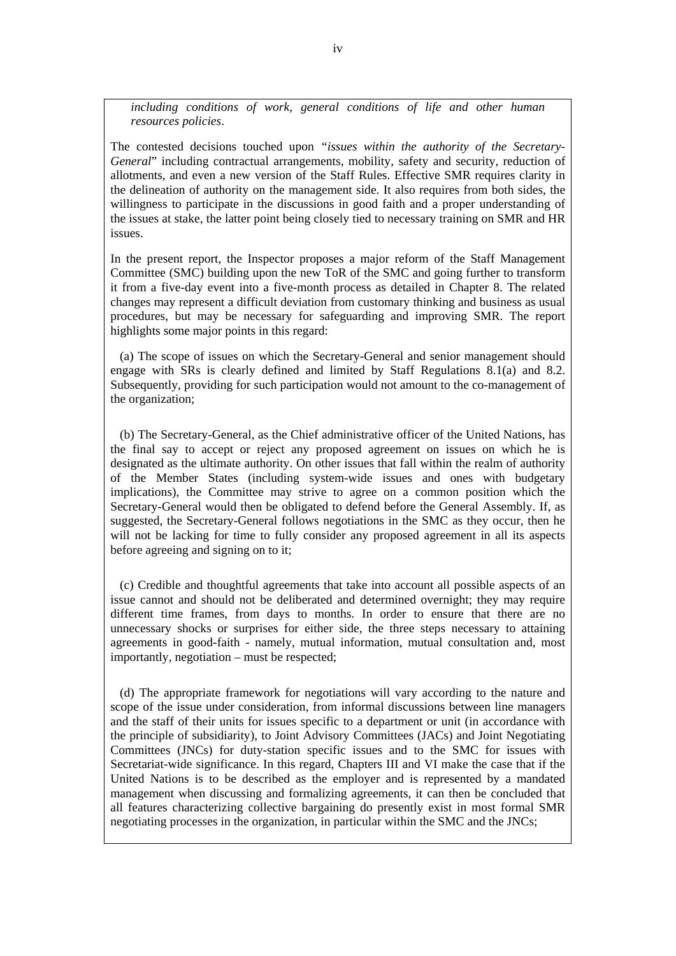*including conditions of work, general conditions of life and other human resources policies*.

The contested decisions touched upon *"issues within the authority of the Secretary-General*" including contractual arrangements, mobility, safety and security, reduction of allotments, and even a new version of the Staff Rules. Effective SMR requires clarity in the delineation of authority on the management side. It also requires from both sides, the willingness to participate in the discussions in good faith and a proper understanding of the issues at stake, the latter point being closely tied to necessary training on SMR and HR issues.

In the present report, the Inspector proposes a major reform of the Staff Management Committee (SMC) building upon the new ToR of the SMC and going further to transform it from a five-day event into a five-month process as detailed in Chapter 8. The related changes may represent a difficult deviation from customary thinking and business as usual procedures, but may be necessary for safeguarding and improving SMR. The report highlights some major points in this regard:

 (a) The scope of issues on which the Secretary-General and senior management should engage with SRs is clearly defined and limited by Staff Regulations 8.1(a) and 8.2. Subsequently, providing for such participation would not amount to the co-management of the organization;

 (b) The Secretary-General, as the Chief administrative officer of the United Nations, has the final say to accept or reject any proposed agreement on issues on which he is designated as the ultimate authority. On other issues that fall within the realm of authority of the Member States (including system-wide issues and ones with budgetary implications), the Committee may strive to agree on a common position which the Secretary-General would then be obligated to defend before the General Assembly. If, as suggested, the Secretary-General follows negotiations in the SMC as they occur, then he will not be lacking for time to fully consider any proposed agreement in all its aspects before agreeing and signing on to it;

 (c) Credible and thoughtful agreements that take into account all possible aspects of an issue cannot and should not be deliberated and determined overnight; they may require different time frames, from days to months. In order to ensure that there are no unnecessary shocks or surprises for either side, the three steps necessary to attaining agreements in good-faith - namely, mutual information, mutual consultation and, most importantly, negotiation – must be respected;

 (d) The appropriate framework for negotiations will vary according to the nature and scope of the issue under consideration, from informal discussions between line managers and the staff of their units for issues specific to a department or unit (in accordance with the principle of subsidiarity), to Joint Advisory Committees (JACs) and Joint Negotiating Committees (JNCs) for duty-station specific issues and to the SMC for issues with Secretariat-wide significance. In this regard, Chapters III and VI make the case that if the United Nations is to be described as the employer and is represented by a mandated management when discussing and formalizing agreements, it can then be concluded that all features characterizing collective bargaining do presently exist in most formal SMR negotiating processes in the organization, in particular within the SMC and the JNCs;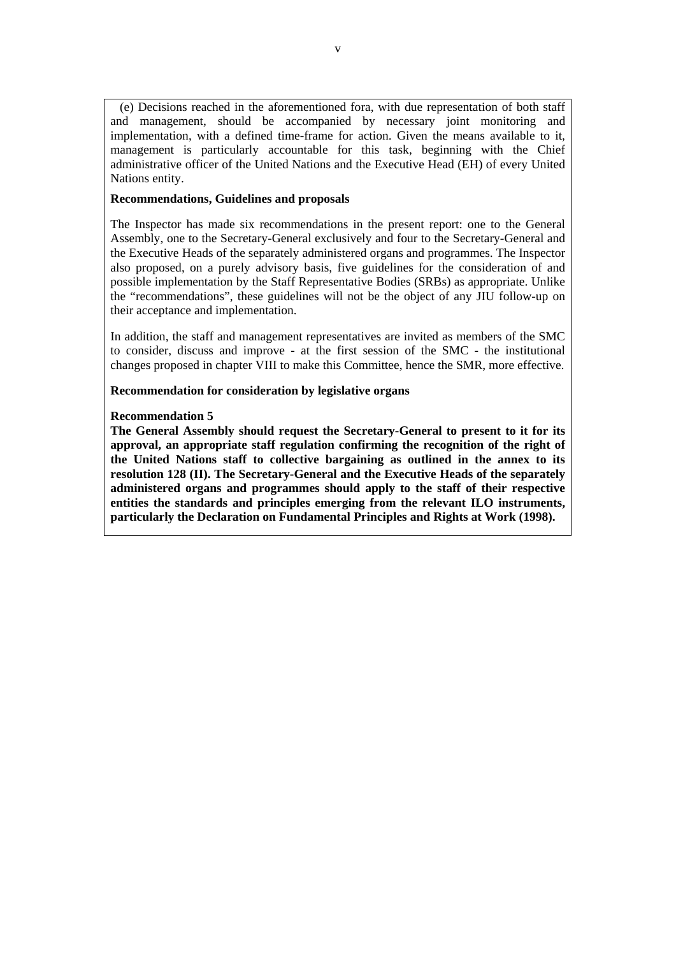(e) Decisions reached in the aforementioned fora, with due representation of both staff and management, should be accompanied by necessary joint monitoring and implementation, with a defined time-frame for action. Given the means available to it, management is particularly accountable for this task, beginning with the Chief administrative officer of the United Nations and the Executive Head (EH) of every United Nations entity.

#### **Recommendations, Guidelines and proposals**

The Inspector has made six recommendations in the present report: one to the General Assembly, one to the Secretary-General exclusively and four to the Secretary-General and the Executive Heads of the separately administered organs and programmes. The Inspector also proposed, on a purely advisory basis, five guidelines for the consideration of and possible implementation by the Staff Representative Bodies (SRBs) as appropriate. Unlike the "recommendations", these guidelines will not be the object of any JIU follow-up on their acceptance and implementation.

In addition, the staff and management representatives are invited as members of the SMC to consider, discuss and improve - at the first session of the SMC - the institutional changes proposed in chapter VIII to make this Committee, hence the SMR, more effective.

**Recommendation for consideration by legislative organs** 

#### **Recommendation 5**

**The General Assembly should request the Secretary-General to present to it for its approval, an appropriate staff regulation confirming the recognition of the right of the United Nations staff to collective bargaining as outlined in the annex to its resolution 128 (II). The Secretary-General and the Executive Heads of the separately administered organs and programmes should apply to the staff of their respective entities the standards and principles emerging from the relevant ILO instruments, particularly the Declaration on Fundamental Principles and Rights at Work (1998).**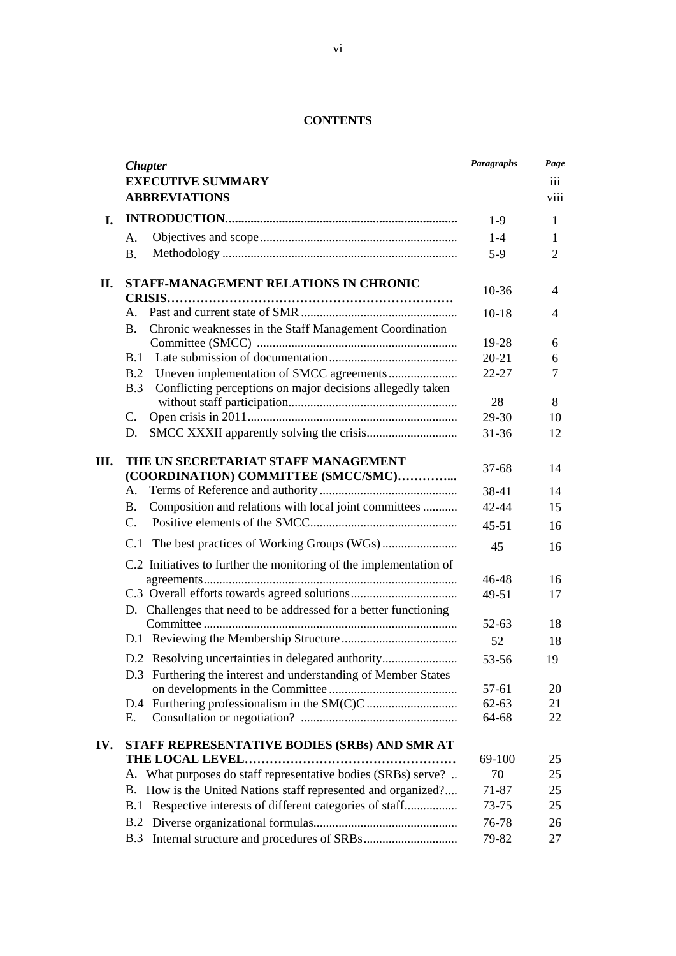### **CONTENTS**

| <b>Chapter</b><br><b>EXECUTIVE SUMMARY</b><br>iii<br><b>ABBREVIATIONS</b><br>viii<br>I.<br>$1-9$<br>1<br>$1 - 4$<br>A.<br>1<br>$5-9$<br>$\overline{2}$<br><b>B.</b><br>STAFF-MANAGEMENT RELATIONS IN CHRONIC<br>II.<br>10-36<br>4<br>$\mathsf{A}$ .<br>$10-18$<br>4<br>Chronic weaknesses in the Staff Management Coordination<br><b>B.</b><br>19-28<br>6<br>B.1<br>$20 - 21$<br>6<br>B.2<br>$22 - 27$<br>7<br>Conflicting perceptions on major decisions allegedly taken<br>B.3<br>28<br>8<br>C.<br>29-30<br>10<br>D.<br>$31 - 36$<br>12<br>Ш.<br>THE UN SECRETARIAT STAFF MANAGEMENT<br>$37-68$<br>14<br>(COORDINATION) COMMITTEE (SMCC/SMC)<br>Α.<br>38-41<br>14<br>Composition and relations with local joint committees<br><b>B.</b><br>$42 - 44$<br>15<br>$\mathcal{C}$ .<br>$45 - 51$<br>16<br>C.1<br>45<br>16<br>C.2 Initiatives to further the monitoring of the implementation of<br>46-48<br>16<br>49-51<br>17<br>D. Challenges that need to be addressed for a better functioning<br>$52 - 63$<br>18<br>52<br>18<br>D.2 Resolving uncertainties in delegated authority<br>53-56<br>19<br>D.3 Furthering the interest and understanding of Member States<br>57-61<br>20<br>$62 - 63$<br>21<br>D.4<br>22<br>64-68<br>Е. |
|-----------------------------------------------------------------------------------------------------------------------------------------------------------------------------------------------------------------------------------------------------------------------------------------------------------------------------------------------------------------------------------------------------------------------------------------------------------------------------------------------------------------------------------------------------------------------------------------------------------------------------------------------------------------------------------------------------------------------------------------------------------------------------------------------------------------------------------------------------------------------------------------------------------------------------------------------------------------------------------------------------------------------------------------------------------------------------------------------------------------------------------------------------------------------------------------------------------------------------------|
|                                                                                                                                                                                                                                                                                                                                                                                                                                                                                                                                                                                                                                                                                                                                                                                                                                                                                                                                                                                                                                                                                                                                                                                                                                   |
|                                                                                                                                                                                                                                                                                                                                                                                                                                                                                                                                                                                                                                                                                                                                                                                                                                                                                                                                                                                                                                                                                                                                                                                                                                   |
|                                                                                                                                                                                                                                                                                                                                                                                                                                                                                                                                                                                                                                                                                                                                                                                                                                                                                                                                                                                                                                                                                                                                                                                                                                   |
|                                                                                                                                                                                                                                                                                                                                                                                                                                                                                                                                                                                                                                                                                                                                                                                                                                                                                                                                                                                                                                                                                                                                                                                                                                   |
|                                                                                                                                                                                                                                                                                                                                                                                                                                                                                                                                                                                                                                                                                                                                                                                                                                                                                                                                                                                                                                                                                                                                                                                                                                   |
|                                                                                                                                                                                                                                                                                                                                                                                                                                                                                                                                                                                                                                                                                                                                                                                                                                                                                                                                                                                                                                                                                                                                                                                                                                   |
|                                                                                                                                                                                                                                                                                                                                                                                                                                                                                                                                                                                                                                                                                                                                                                                                                                                                                                                                                                                                                                                                                                                                                                                                                                   |
|                                                                                                                                                                                                                                                                                                                                                                                                                                                                                                                                                                                                                                                                                                                                                                                                                                                                                                                                                                                                                                                                                                                                                                                                                                   |
|                                                                                                                                                                                                                                                                                                                                                                                                                                                                                                                                                                                                                                                                                                                                                                                                                                                                                                                                                                                                                                                                                                                                                                                                                                   |
|                                                                                                                                                                                                                                                                                                                                                                                                                                                                                                                                                                                                                                                                                                                                                                                                                                                                                                                                                                                                                                                                                                                                                                                                                                   |
|                                                                                                                                                                                                                                                                                                                                                                                                                                                                                                                                                                                                                                                                                                                                                                                                                                                                                                                                                                                                                                                                                                                                                                                                                                   |
|                                                                                                                                                                                                                                                                                                                                                                                                                                                                                                                                                                                                                                                                                                                                                                                                                                                                                                                                                                                                                                                                                                                                                                                                                                   |
|                                                                                                                                                                                                                                                                                                                                                                                                                                                                                                                                                                                                                                                                                                                                                                                                                                                                                                                                                                                                                                                                                                                                                                                                                                   |
|                                                                                                                                                                                                                                                                                                                                                                                                                                                                                                                                                                                                                                                                                                                                                                                                                                                                                                                                                                                                                                                                                                                                                                                                                                   |
|                                                                                                                                                                                                                                                                                                                                                                                                                                                                                                                                                                                                                                                                                                                                                                                                                                                                                                                                                                                                                                                                                                                                                                                                                                   |
|                                                                                                                                                                                                                                                                                                                                                                                                                                                                                                                                                                                                                                                                                                                                                                                                                                                                                                                                                                                                                                                                                                                                                                                                                                   |
|                                                                                                                                                                                                                                                                                                                                                                                                                                                                                                                                                                                                                                                                                                                                                                                                                                                                                                                                                                                                                                                                                                                                                                                                                                   |
|                                                                                                                                                                                                                                                                                                                                                                                                                                                                                                                                                                                                                                                                                                                                                                                                                                                                                                                                                                                                                                                                                                                                                                                                                                   |
|                                                                                                                                                                                                                                                                                                                                                                                                                                                                                                                                                                                                                                                                                                                                                                                                                                                                                                                                                                                                                                                                                                                                                                                                                                   |
|                                                                                                                                                                                                                                                                                                                                                                                                                                                                                                                                                                                                                                                                                                                                                                                                                                                                                                                                                                                                                                                                                                                                                                                                                                   |
|                                                                                                                                                                                                                                                                                                                                                                                                                                                                                                                                                                                                                                                                                                                                                                                                                                                                                                                                                                                                                                                                                                                                                                                                                                   |
|                                                                                                                                                                                                                                                                                                                                                                                                                                                                                                                                                                                                                                                                                                                                                                                                                                                                                                                                                                                                                                                                                                                                                                                                                                   |
|                                                                                                                                                                                                                                                                                                                                                                                                                                                                                                                                                                                                                                                                                                                                                                                                                                                                                                                                                                                                                                                                                                                                                                                                                                   |
|                                                                                                                                                                                                                                                                                                                                                                                                                                                                                                                                                                                                                                                                                                                                                                                                                                                                                                                                                                                                                                                                                                                                                                                                                                   |
|                                                                                                                                                                                                                                                                                                                                                                                                                                                                                                                                                                                                                                                                                                                                                                                                                                                                                                                                                                                                                                                                                                                                                                                                                                   |
|                                                                                                                                                                                                                                                                                                                                                                                                                                                                                                                                                                                                                                                                                                                                                                                                                                                                                                                                                                                                                                                                                                                                                                                                                                   |
|                                                                                                                                                                                                                                                                                                                                                                                                                                                                                                                                                                                                                                                                                                                                                                                                                                                                                                                                                                                                                                                                                                                                                                                                                                   |
|                                                                                                                                                                                                                                                                                                                                                                                                                                                                                                                                                                                                                                                                                                                                                                                                                                                                                                                                                                                                                                                                                                                                                                                                                                   |
|                                                                                                                                                                                                                                                                                                                                                                                                                                                                                                                                                                                                                                                                                                                                                                                                                                                                                                                                                                                                                                                                                                                                                                                                                                   |
|                                                                                                                                                                                                                                                                                                                                                                                                                                                                                                                                                                                                                                                                                                                                                                                                                                                                                                                                                                                                                                                                                                                                                                                                                                   |
|                                                                                                                                                                                                                                                                                                                                                                                                                                                                                                                                                                                                                                                                                                                                                                                                                                                                                                                                                                                                                                                                                                                                                                                                                                   |
|                                                                                                                                                                                                                                                                                                                                                                                                                                                                                                                                                                                                                                                                                                                                                                                                                                                                                                                                                                                                                                                                                                                                                                                                                                   |
|                                                                                                                                                                                                                                                                                                                                                                                                                                                                                                                                                                                                                                                                                                                                                                                                                                                                                                                                                                                                                                                                                                                                                                                                                                   |
| STAFF REPRESENTATIVE BODIES (SRBs) AND SMR AT<br>IV.                                                                                                                                                                                                                                                                                                                                                                                                                                                                                                                                                                                                                                                                                                                                                                                                                                                                                                                                                                                                                                                                                                                                                                              |
| 69-100<br>25                                                                                                                                                                                                                                                                                                                                                                                                                                                                                                                                                                                                                                                                                                                                                                                                                                                                                                                                                                                                                                                                                                                                                                                                                      |
| What purposes do staff representative bodies (SRBs) serve?<br>70<br>A.<br>25                                                                                                                                                                                                                                                                                                                                                                                                                                                                                                                                                                                                                                                                                                                                                                                                                                                                                                                                                                                                                                                                                                                                                      |
| How is the United Nations staff represented and organized?<br>Β.<br>71-87<br>25                                                                                                                                                                                                                                                                                                                                                                                                                                                                                                                                                                                                                                                                                                                                                                                                                                                                                                                                                                                                                                                                                                                                                   |
| Respective interests of different categories of staff<br>73-75<br>B.1<br>25                                                                                                                                                                                                                                                                                                                                                                                                                                                                                                                                                                                                                                                                                                                                                                                                                                                                                                                                                                                                                                                                                                                                                       |
| B.2<br>76-78<br>26                                                                                                                                                                                                                                                                                                                                                                                                                                                                                                                                                                                                                                                                                                                                                                                                                                                                                                                                                                                                                                                                                                                                                                                                                |
| B.3<br>79-82<br>27                                                                                                                                                                                                                                                                                                                                                                                                                                                                                                                                                                                                                                                                                                                                                                                                                                                                                                                                                                                                                                                                                                                                                                                                                |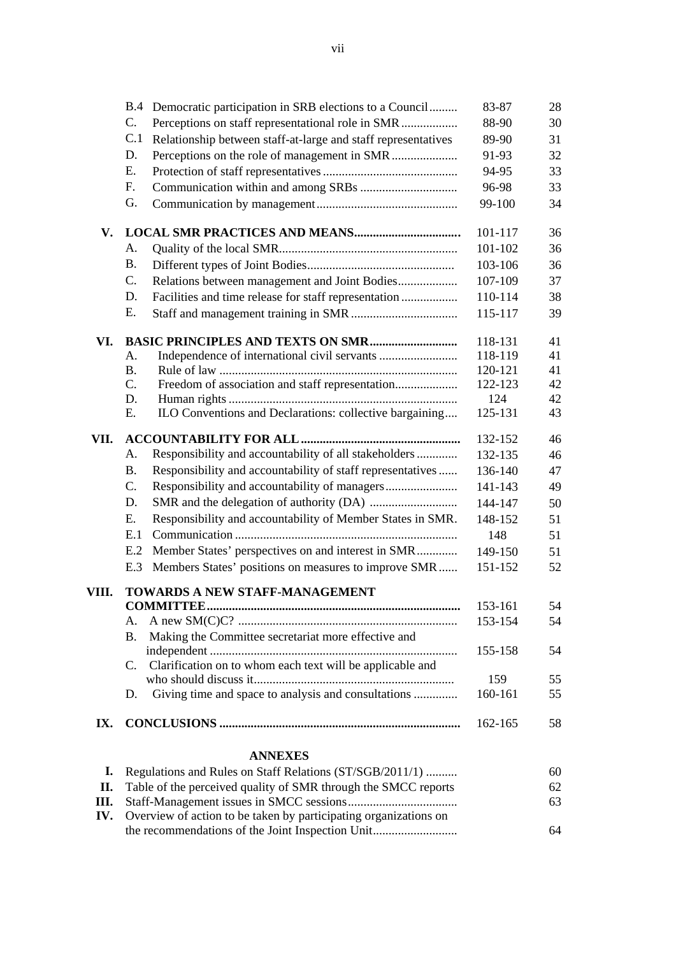|       | <b>B.4</b><br>Democratic participation in SRB elections to a Council    | 83-87              | 28       |
|-------|-------------------------------------------------------------------------|--------------------|----------|
|       | $C_{\cdot}$<br>Perceptions on staff representational role in SMR        | 88-90              | 30       |
|       | C.1<br>Relationship between staff-at-large and staff representatives    | 89-90              | 31       |
|       | D.                                                                      | 91-93              | 32       |
|       | Ε.                                                                      | 94-95              | 33       |
|       | F.                                                                      | 96-98              | 33       |
|       | G.                                                                      | 99-100             | 34       |
| V.    |                                                                         | 101-117            | 36       |
|       | А.                                                                      | 101-102            | 36       |
|       | <b>B.</b>                                                               | 103-106            | 36       |
|       | C.<br>Relations between management and Joint Bodies                     | 107-109            | 37       |
|       | Facilities and time release for staff representation<br>D.              | 110-114            | 38       |
|       | Ε.                                                                      | 115-117            | 39       |
| VI.   | <b>BASIC PRINCIPLES AND TEXTS ON SMR</b>                                | 118-131            | 41       |
|       | A.                                                                      | 118-119            | 41       |
|       | <b>B.</b><br>C.                                                         | 120-121<br>122-123 | 41<br>42 |
|       | Freedom of association and staff representation<br>D.                   | 124                | 42       |
|       | ILO Conventions and Declarations: collective bargaining<br>Ε.           | 125-131            | 43       |
| VII.  |                                                                         | 132-152            | 46       |
|       | Responsibility and accountability of all stakeholders<br>A.             | 132-135            | 46       |
|       | Responsibility and accountability of staff representatives<br><b>B.</b> | 136-140            | 47       |
|       | C.                                                                      | 141-143            | 49       |
|       | D.                                                                      | 144-147            | 50       |
|       | Responsibility and accountability of Member States in SMR.<br>Ε.        | 148-152            | 51       |
|       | E.1                                                                     | 148                | 51       |
|       | Member States' perspectives on and interest in SMR<br>E.2               | 149-150            | 51       |
|       | Members States' positions on measures to improve SMR<br>E.3             | 151-152            | 52       |
| VIII. | TOWARDS A NEW STAFF-MANAGEMENT                                          |                    |          |
|       | <b>COMMITTEE.</b><br>А.                                                 | 153-161            | 54       |
|       | Making the Committee secretariat more effective and<br><b>B.</b>        | 153-154            | 54       |
|       |                                                                         | 155-158            | 54       |
|       | Clarification on to whom each text will be applicable and<br>C.         |                    |          |
|       |                                                                         | 159                | 55       |
|       | Giving time and space to analysis and consultations<br>D.               | 160-161            | 55       |
| IX.   |                                                                         | 162-165            | 58       |
|       | <b>ANNEXES</b>                                                          |                    |          |
| I.    | Regulations and Rules on Staff Relations (ST/SGB/2011/1)                |                    | 60       |
| П.    | Table of the perceived quality of SMR through the SMCC reports          |                    | 62       |
| Ш.    |                                                                         |                    | 63       |

**IV.** Overview of action to be taken by participating organizations on the recommendations of the Joint Inspection Unit........................... 64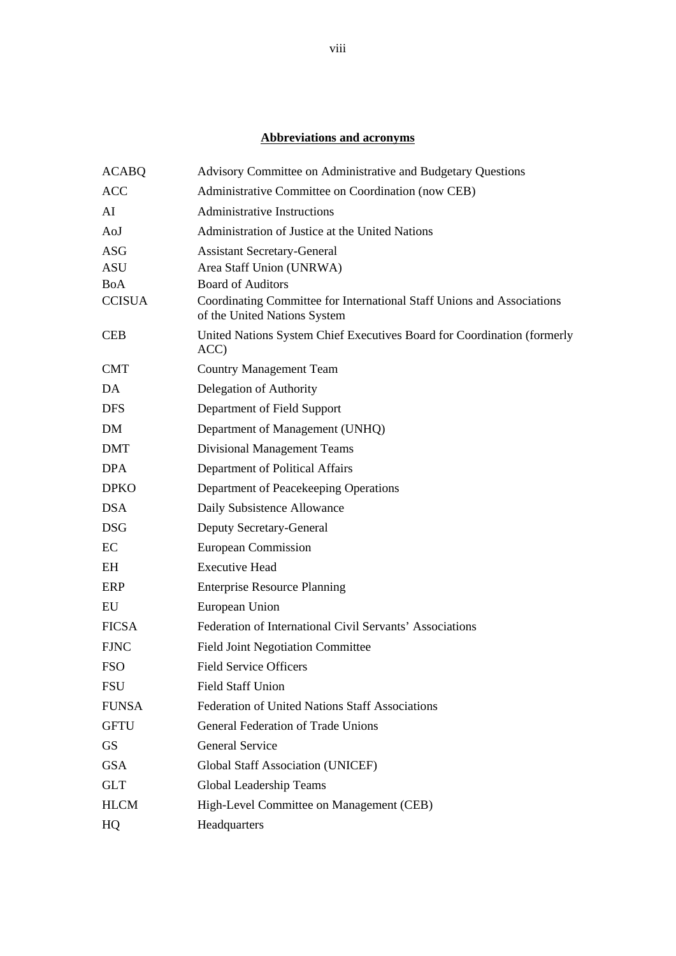#### **Abbreviations and acronyms**

| <b>ACABQ</b>      | Advisory Committee on Administrative and Budgetary Questions                                           |
|-------------------|--------------------------------------------------------------------------------------------------------|
| <b>ACC</b>        | Administrative Committee on Coordination (now CEB)                                                     |
| AI                | <b>Administrative Instructions</b>                                                                     |
| AoJ               | Administration of Justice at the United Nations                                                        |
| ASG<br><b>ASU</b> | <b>Assistant Secretary-General</b><br>Area Staff Union (UNRWA)                                         |
| <b>BoA</b>        | <b>Board of Auditors</b>                                                                               |
| <b>CCISUA</b>     | Coordinating Committee for International Staff Unions and Associations<br>of the United Nations System |
| <b>CEB</b>        | United Nations System Chief Executives Board for Coordination (formerly<br>ACC)                        |
| <b>CMT</b>        | <b>Country Management Team</b>                                                                         |
| DA                | Delegation of Authority                                                                                |
| <b>DFS</b>        | Department of Field Support                                                                            |
| <b>DM</b>         | Department of Management (UNHQ)                                                                        |
| <b>DMT</b>        | <b>Divisional Management Teams</b>                                                                     |
| <b>DPA</b>        | Department of Political Affairs                                                                        |
| <b>DPKO</b>       | Department of Peacekeeping Operations                                                                  |
| <b>DSA</b>        | Daily Subsistence Allowance                                                                            |
| <b>DSG</b>        | Deputy Secretary-General                                                                               |
| EC                | European Commission                                                                                    |
| EH                | <b>Executive Head</b>                                                                                  |
| ERP               | <b>Enterprise Resource Planning</b>                                                                    |
| EU                | European Union                                                                                         |
| <b>FICSA</b>      | Federation of International Civil Servants' Associations                                               |
| <b>FJNC</b>       | <b>Field Joint Negotiation Committee</b>                                                               |
| <b>FSO</b>        | <b>Field Service Officers</b>                                                                          |
| <b>FSU</b>        | <b>Field Staff Union</b>                                                                               |
| <b>FUNSA</b>      | <b>Federation of United Nations Staff Associations</b>                                                 |
| <b>GFTU</b>       | General Federation of Trade Unions                                                                     |
| <b>GS</b>         | <b>General Service</b>                                                                                 |
| <b>GSA</b>        | <b>Global Staff Association (UNICEF)</b>                                                               |
| <b>GLT</b>        | Global Leadership Teams                                                                                |
| <b>HLCM</b>       | High-Level Committee on Management (CEB)                                                               |
| HQ                | Headquarters                                                                                           |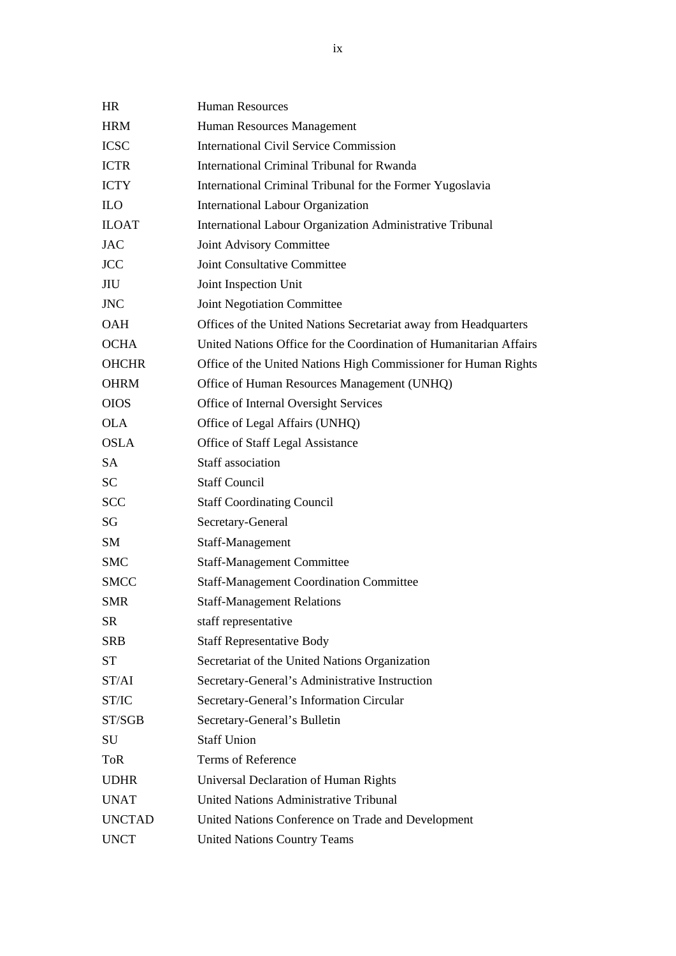| <b>HR</b>     | <b>Human Resources</b>                                             |
|---------------|--------------------------------------------------------------------|
| <b>HRM</b>    | Human Resources Management                                         |
| <b>ICSC</b>   | <b>International Civil Service Commission</b>                      |
| <b>ICTR</b>   | International Criminal Tribunal for Rwanda                         |
| <b>ICTY</b>   | International Criminal Tribunal for the Former Yugoslavia          |
| <b>ILO</b>    | International Labour Organization                                  |
| <b>ILOAT</b>  | International Labour Organization Administrative Tribunal          |
| <b>JAC</b>    | Joint Advisory Committee                                           |
| <b>JCC</b>    | Joint Consultative Committee                                       |
| JIU           | Joint Inspection Unit                                              |
| <b>JNC</b>    | Joint Negotiation Committee                                        |
| <b>OAH</b>    | Offices of the United Nations Secretariat away from Headquarters   |
| <b>OCHA</b>   | United Nations Office for the Coordination of Humanitarian Affairs |
| <b>OHCHR</b>  | Office of the United Nations High Commissioner for Human Rights    |
| <b>OHRM</b>   | Office of Human Resources Management (UNHQ)                        |
| <b>OIOS</b>   | Office of Internal Oversight Services                              |
| <b>OLA</b>    | Office of Legal Affairs (UNHQ)                                     |
| <b>OSLA</b>   | Office of Staff Legal Assistance                                   |
| <b>SA</b>     | Staff association                                                  |
| <b>SC</b>     | <b>Staff Council</b>                                               |
| <b>SCC</b>    | <b>Staff Coordinating Council</b>                                  |
| SG            | Secretary-General                                                  |
| SM            | Staff-Management                                                   |
| <b>SMC</b>    | <b>Staff-Management Committee</b>                                  |
| <b>SMCC</b>   | <b>Staff-Management Coordination Committee</b>                     |
| <b>SMR</b>    | <b>Staff-Management Relations</b>                                  |
| <b>SR</b>     | staff representative                                               |
| <b>SRB</b>    | <b>Staff Representative Body</b>                                   |
| <b>ST</b>     | Secretariat of the United Nations Organization                     |
| ST/AI         | Secretary-General's Administrative Instruction                     |
| ST/IC         | Secretary-General's Information Circular                           |
| ST/SGB        | Secretary-General's Bulletin                                       |
| SU            | <b>Staff Union</b>                                                 |
| <b>ToR</b>    | Terms of Reference                                                 |
| <b>UDHR</b>   | Universal Declaration of Human Rights                              |
| <b>UNAT</b>   | <b>United Nations Administrative Tribunal</b>                      |
| <b>UNCTAD</b> | United Nations Conference on Trade and Development                 |
| <b>UNCT</b>   | <b>United Nations Country Teams</b>                                |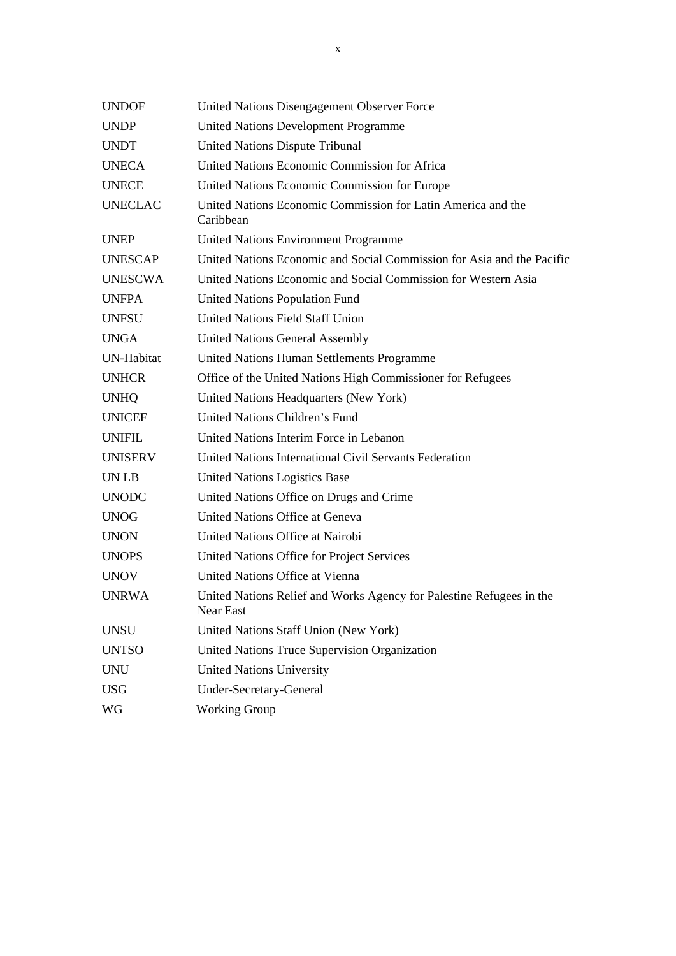| <b>UNDOF</b>   | United Nations Disengagement Observer Force                                       |
|----------------|-----------------------------------------------------------------------------------|
| <b>UNDP</b>    | <b>United Nations Development Programme</b>                                       |
| <b>UNDT</b>    | <b>United Nations Dispute Tribunal</b>                                            |
| <b>UNECA</b>   | United Nations Economic Commission for Africa                                     |
| <b>UNECE</b>   | United Nations Economic Commission for Europe                                     |
| <b>UNECLAC</b> | United Nations Economic Commission for Latin America and the<br>Caribbean         |
| <b>UNEP</b>    | <b>United Nations Environment Programme</b>                                       |
| <b>UNESCAP</b> | United Nations Economic and Social Commission for Asia and the Pacific            |
| <b>UNESCWA</b> | United Nations Economic and Social Commission for Western Asia                    |
| <b>UNFPA</b>   | United Nations Population Fund                                                    |
| <b>UNFSU</b>   | <b>United Nations Field Staff Union</b>                                           |
| <b>UNGA</b>    | <b>United Nations General Assembly</b>                                            |
| UN-Habitat     | United Nations Human Settlements Programme                                        |
| <b>UNHCR</b>   | Office of the United Nations High Commissioner for Refugees                       |
| <b>UNHQ</b>    | United Nations Headquarters (New York)                                            |
| <b>UNICEF</b>  | United Nations Children's Fund                                                    |
| <b>UNIFIL</b>  | United Nations Interim Force in Lebanon                                           |
| <b>UNISERV</b> | United Nations International Civil Servants Federation                            |
| UN LB          | <b>United Nations Logistics Base</b>                                              |
| <b>UNODC</b>   | United Nations Office on Drugs and Crime                                          |
| <b>UNOG</b>    | United Nations Office at Geneva                                                   |
| <b>UNON</b>    | United Nations Office at Nairobi                                                  |
| <b>UNOPS</b>   | United Nations Office for Project Services                                        |
| <b>UNOV</b>    | United Nations Office at Vienna                                                   |
| <b>UNRWA</b>   | United Nations Relief and Works Agency for Palestine Refugees in the<br>Near East |
| <b>UNSU</b>    | United Nations Staff Union (New York)                                             |
| <b>UNTSO</b>   | United Nations Truce Supervision Organization                                     |
| <b>UNU</b>     | <b>United Nations University</b>                                                  |
| <b>USG</b>     | Under-Secretary-General                                                           |
| WG             | <b>Working Group</b>                                                              |
|                |                                                                                   |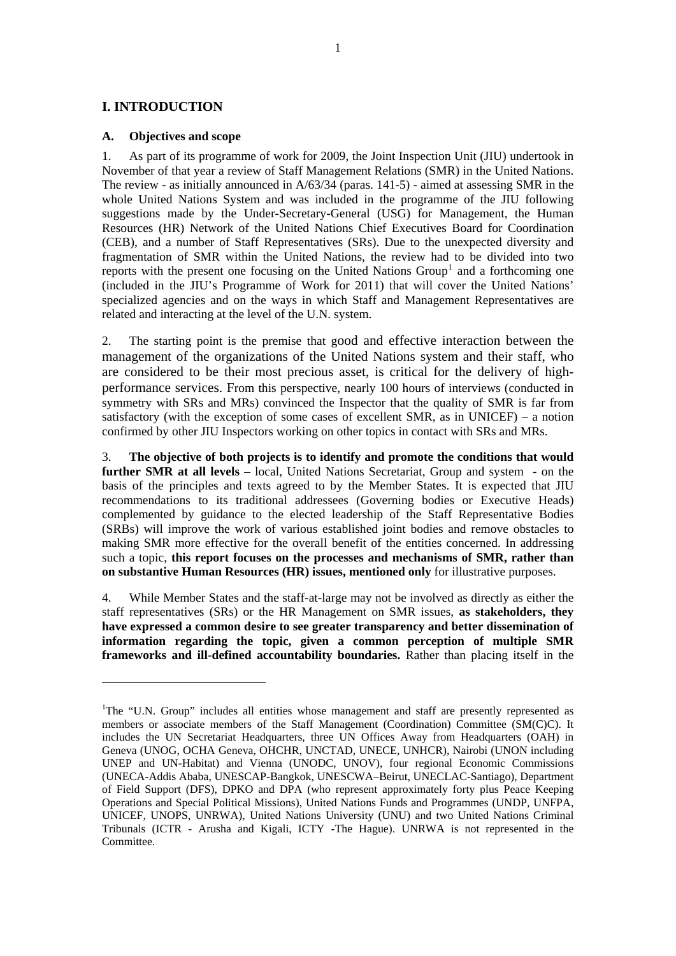#### <span id="page-12-0"></span>**I. INTRODUCTION**

 $\overline{a}$ 

#### **A. Objectives and scope**

1. As part of its programme of work for 2009, the Joint Inspection Unit (JIU) undertook in November of that year a review of Staff Management Relations (SMR) in the United Nations. The review - as initially announced in A/63/34 (paras. 141-5) - aimed at assessing SMR in the whole United Nations System and was included in the programme of the JIU following suggestions made by the Under-Secretary-General (USG) for Management, the Human Resources (HR) Network of the United Nations Chief Executives Board for Coordination (CEB), and a number of Staff Representatives (SRs). Due to the unexpected diversity and fragmentation of SMR within the United Nations, the review had to be divided into two reports with the present one focusing on the United Nations  $Group<sup>1</sup>$  $Group<sup>1</sup>$  $Group<sup>1</sup>$  and a forthcoming one (included in the JIU's Programme of Work for 2011) that will cover the United Nations' specialized agencies and on the ways in which Staff and Management Representatives are related and interacting at the level of the U.N. system.

2. The starting point is the premise that good and effective interaction between the management of the organizations of the United Nations system and their staff, who are considered to be their most precious asset, is critical for the delivery of highperformance services. From this perspective, nearly 100 hours of interviews (conducted in symmetry with SRs and MRs) convinced the Inspector that the quality of SMR is far from satisfactory (with the exception of some cases of excellent SMR, as in UNICEF) – a notion confirmed by other JIU Inspectors working on other topics in contact with SRs and MRs.

3. **The objective of both projects is to identify and promote the conditions that would further SMR at all levels** – local, United Nations Secretariat, Group and system - on the basis of the principles and texts agreed to by the Member States. It is expected that JIU recommendations to its traditional addressees (Governing bodies or Executive Heads) complemented by guidance to the elected leadership of the Staff Representative Bodies (SRBs) will improve the work of various established joint bodies and remove obstacles to making SMR more effective for the overall benefit of the entities concerned. In addressing such a topic, **this report focuses on the processes and mechanisms of SMR, rather than on substantive Human Resources (HR) issues, mentioned only** for illustrative purposes.

4. While Member States and the staff-at-large may not be involved as directly as either the staff representatives (SRs) or the HR Management on SMR issues, **as stakeholders, they have expressed a common desire to see greater transparency and better dissemination of information regarding the topic, given a common perception of multiple SMR frameworks and ill-defined accountability boundaries.** Rather than placing itself in the

<sup>&</sup>lt;sup>1</sup>The "U.N. Group" includes all entities whose management and staff are presently represented as members or associate members of the Staff Management (Coordination) Committee (SM(C)C). It includes the UN Secretariat Headquarters, three UN Offices Away from Headquarters (OAH) in Geneva (UNOG, OCHA Geneva, OHCHR, UNCTAD, UNECE, UNHCR), Nairobi (UNON including UNEP and UN-Habitat) and Vienna (UNODC, UNOV), four regional Economic Commissions (UNECA-Addis Ababa, UNESCAP-Bangkok, UNESCWA–Beirut, UNECLAC-Santiago), Department of Field Support (DFS), DPKO and DPA (who represent approximately forty plus Peace Keeping Operations and Special Political Missions), United Nations Funds and Programmes (UNDP, UNFPA, UNICEF, UNOPS, UNRWA), United Nations University (UNU) and two United Nations Criminal Tribunals (ICTR - Arusha and Kigali, ICTY -The Hague). UNRWA is not represented in the Committee.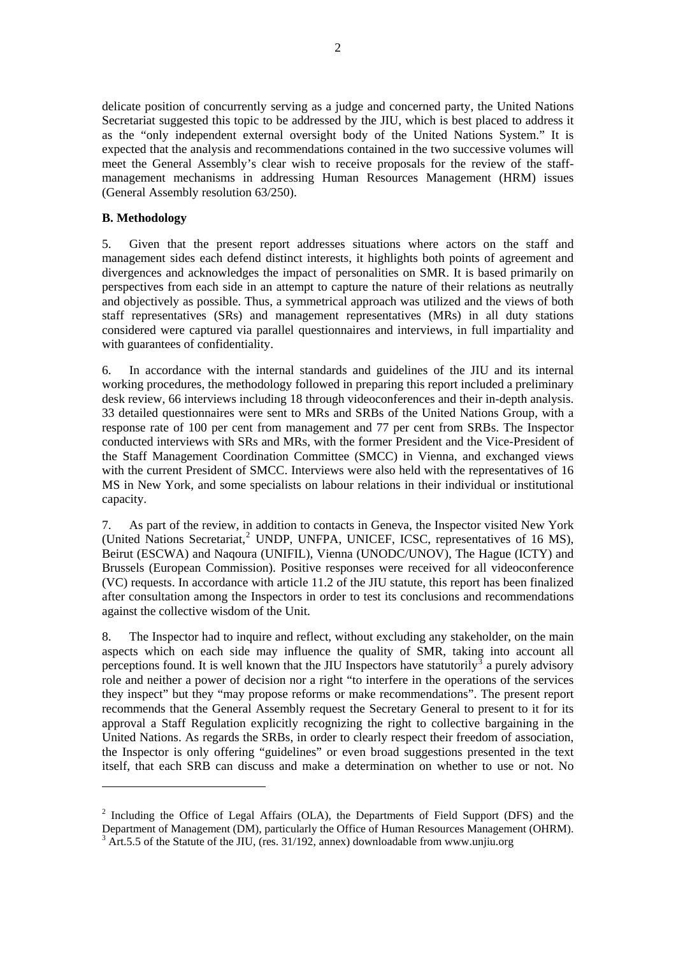<span id="page-13-0"></span>delicate position of concurrently serving as a judge and concerned party, the United Nations Secretariat suggested this topic to be addressed by the JIU, which is best placed to address it as the "only independent external oversight body of the United Nations System." It is expected that the analysis and recommendations contained in the two successive volumes will meet the General Assembly's clear wish to receive proposals for the review of the staffmanagement mechanisms in addressing Human Resources Management (HRM) issues (General Assembly resolution 63/250).

#### **B. Methodology**

 $\overline{a}$ 

5. Given that the present report addresses situations where actors on the staff and management sides each defend distinct interests, it highlights both points of agreement and divergences and acknowledges the impact of personalities on SMR. It is based primarily on perspectives from each side in an attempt to capture the nature of their relations as neutrally and objectively as possible. Thus, a symmetrical approach was utilized and the views of both staff representatives (SRs) and management representatives (MRs) in all duty stations considered were captured via parallel questionnaires and interviews, in full impartiality and with guarantees of confidentiality.

6. In accordance with the internal standards and guidelines of the JIU and its internal working procedures, the methodology followed in preparing this report included a preliminary desk review, 66 interviews including 18 through videoconferences and their in-depth analysis. 33 detailed questionnaires were sent to MRs and SRBs of the United Nations Group, with a response rate of 100 per cent from management and 77 per cent from SRBs. The Inspector conducted interviews with SRs and MRs, with the former President and the Vice-President of the Staff Management Coordination Committee (SMCC) in Vienna, and exchanged views with the current President of SMCC. Interviews were also held with the representatives of 16 MS in New York, and some specialists on labour relations in their individual or institutional capacity.

7. As part of the review, in addition to contacts in Geneva, the Inspector visited New York (United Nations Secretariat,<sup>[2](#page-13-0)</sup> UNDP, UNFPA, UNICEF, ICSC, representatives of 16 MS), Beirut (ESCWA) and Naqoura (UNIFIL), Vienna (UNODC/UNOV), The Hague (ICTY) and Brussels (European Commission). Positive responses were received for all videoconference (VC) requests. In accordance with article 11.2 of the JIU statute, this report has been finalized after consultation among the Inspectors in order to test its conclusions and recommendations against the collective wisdom of the Unit.

8. The Inspector had to inquire and reflect, without excluding any stakeholder, on the main aspects which on each side may influence the quality of SMR, taking into account all perceptions found. It is well known that the JIU Inspectors have statutorily  $\frac{3}{2}$  $\frac{3}{2}$  $\frac{3}{2}$  a purely advisory role and neither a power of decision nor a right "to interfere in the operations of the services they inspect" but they "may propose reforms or make recommendations". The present report recommends that the General Assembly request the Secretary General to present to it for its approval a Staff Regulation explicitly recognizing the right to collective bargaining in the United Nations. As regards the SRBs, in order to clearly respect their freedom of association, the Inspector is only offering "guidelines" or even broad suggestions presented in the text itself, that each SRB can discuss and make a determination on whether to use or not. No

 $2$  Including the Office of Legal Affairs (OLA), the Departments of Field Support (DFS) and the Department of Management (DM), particularly the Office of Human Resources Management (OHRM).  $3$  Art.5.5 of the Statute of the JIU, (res. 31/192, annex) downloadable from www.unjiu.org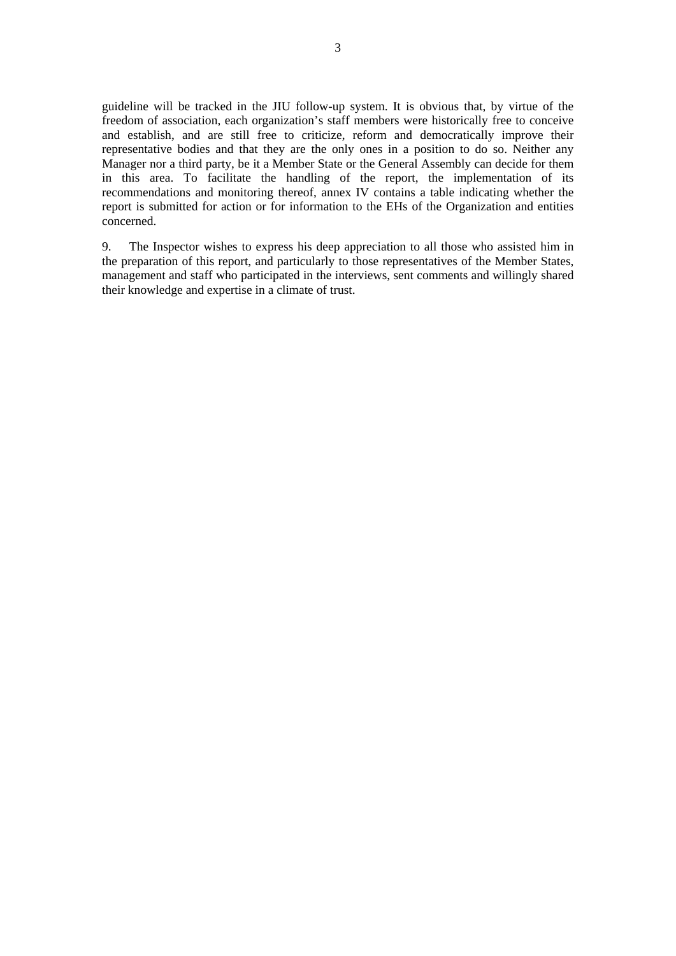guideline will be tracked in the JIU follow-up system. It is obvious that, by virtue of the freedom of association, each organization's staff members were historically free to conceive and establish, and are still free to criticize, reform and democratically improve their representative bodies and that they are the only ones in a position to do so. Neither any Manager nor a third party, be it a Member State or the General Assembly can decide for them in this area. To facilitate the handling of the report, the implementation of its recommendations and monitoring thereof, annex IV contains a table indicating whether the report is submitted for action or for information to the EHs of the Organization and entities concerned.

9. The Inspector wishes to express his deep appreciation to all those who assisted him in the preparation of this report, and particularly to those representatives of the Member States, management and staff who participated in the interviews, sent comments and willingly shared their knowledge and expertise in a climate of trust.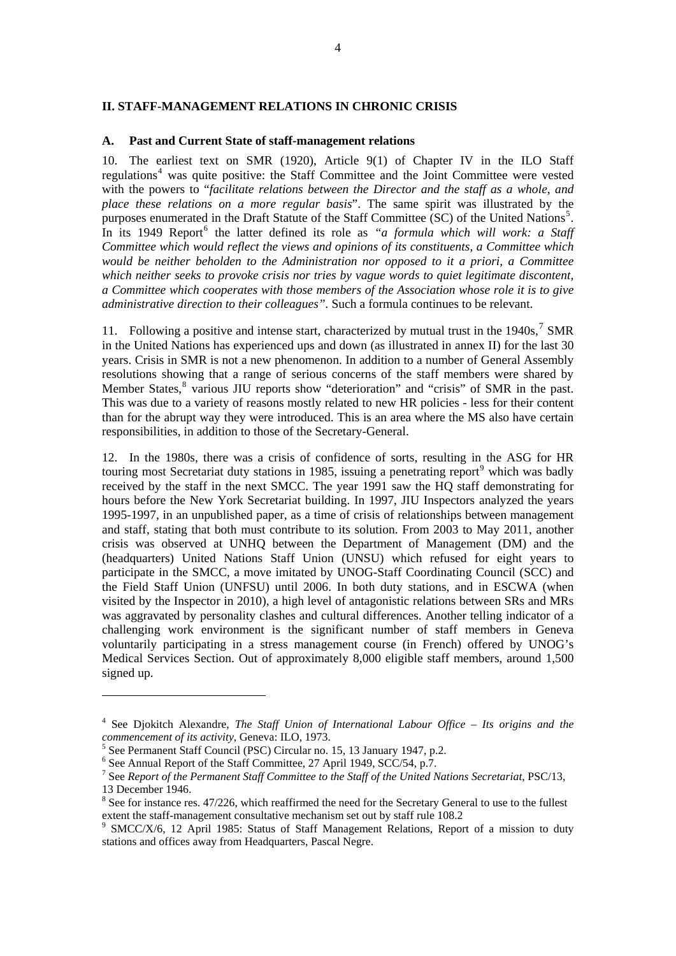#### <span id="page-15-0"></span>**II. STAFF-MANAGEMENT RELATIONS IN CHRONIC CRISIS**

#### **A. Past and Current State of staff-management relations**

10. The earliest text on SMR (1920), Article 9(1) of Chapter IV in the ILO Staff regulations<sup>[4](#page-15-0)</sup> was quite positive: the Staff Committee and the Joint Committee were vested with the powers to "*facilitate relations between the Director and the staff as a whole, and place these relations on a more regular basis*". The same spirit was illustrated by the purposes enumerated in the Draft Statute of the Staff Committee (SC) of the United Nations<sup>[5](#page-15-0)</sup>. In its 1949 Report<sup>[6](#page-15-0)</sup> the latter defined its role as *"a formula which will work: a Staff Committee which would reflect the views and opinions of its constituents, a Committee which would be neither beholden to the Administration nor opposed to it a priori, a Committee which neither seeks to provoke crisis nor tries by vague words to quiet legitimate discontent, a Committee which cooperates with those members of the Association whose role it is to give administrative direction to their colleagues".* Such a formula continues to be relevant.

11. Following a positive and intense start, characterized by mutual trust in the  $1940s$ ,  $7 SMR$  $7 SMR$ in the United Nations has experienced ups and down (as illustrated in annex II) for the last 30 years. Crisis in SMR is not a new phenomenon. In addition to a number of General Assembly resolutions showing that a range of serious concerns of the staff members were shared by Member States,<sup>[8](#page-15-0)</sup> various JIU reports show "deterioration" and "crisis" of SMR in the past. This was due to a variety of reasons mostly related to new HR policies - less for their content than for the abrupt way they were introduced. This is an area where the MS also have certain responsibilities, in addition to those of the Secretary-General.

12. In the 1980s, there was a crisis of confidence of sorts, resulting in the ASG for HR touring most Secretariat duty stations in 1[9](#page-15-0)85, issuing a penetrating report $9$  which was badly received by the staff in the next SMCC. The year 1991 saw the HQ staff demonstrating for hours before the New York Secretariat building. In 1997, JIU Inspectors analyzed the years 1995-1997, in an unpublished paper, as a time of crisis of relationships between management and staff, stating that both must contribute to its solution. From 2003 to May 2011, another crisis was observed at UNHQ between the Department of Management (DM) and the (headquarters) United Nations Staff Union (UNSU) which refused for eight years to participate in the SMCC, a move imitated by UNOG-Staff Coordinating Council (SCC) and the Field Staff Union (UNFSU) until 2006. In both duty stations, and in ESCWA (when visited by the Inspector in 2010), a high level of antagonistic relations between SRs and MRs was aggravated by personality clashes and cultural differences. Another telling indicator of a challenging work environment is the significant number of staff members in Geneva voluntarily participating in a stress management course (in French) offered by UNOG's Medical Services Section. Out of approximately 8,000 eligible staff members, around 1,500 signed up.

<sup>&</sup>lt;sup>4</sup> See Djokitch Alexandre, *The Staff Union of International Labour Office – Its origins and the commencement of its activity*, Geneva: ILO, 1973.

<sup>&</sup>lt;sup>5</sup> See Permanent Staff Council (PSC) Circular no. 15, 13 January 1947, p.2.

<sup>&</sup>lt;sup>6</sup> See Annual Report of the Staff Committee, 27 April 1949, SCC/54, p.7.

<sup>&</sup>lt;sup>7</sup> See *Report of the Permanent Staff Committee to the Staff of the United Nations Secretariat, PSC/13,* 13 December 1946.

 $8$  See for instance res. 47/226, which reaffirmed the need for the Secretary General to use to the fullest extent the staff-management consultative mechanism set out by staff rule 108.2

<sup>&</sup>lt;sup>9</sup> SMCC/X/6, 12 April 1985: Status of Staff Management Relations, Report of a mission to duty stations and offices away from Headquarters, Pascal Negre.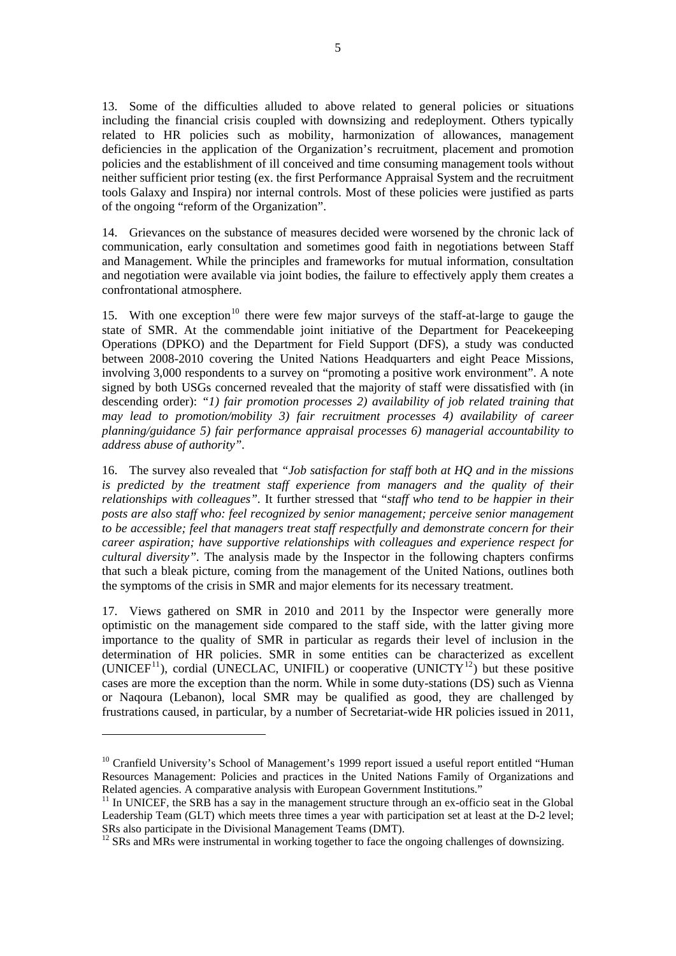<span id="page-16-0"></span>13. Some of the difficulties alluded to above related to general policies or situations including the financial crisis coupled with downsizing and redeployment. Others typically related to HR policies such as mobility, harmonization of allowances, management deficiencies in the application of the Organization's recruitment, placement and promotion policies and the establishment of ill conceived and time consuming management tools without neither sufficient prior testing (ex. the first Performance Appraisal System and the recruitment tools Galaxy and Inspira) nor internal controls. Most of these policies were justified as parts of the ongoing "reform of the Organization".

14. Grievances on the substance of measures decided were worsened by the chronic lack of communication, early consultation and sometimes good faith in negotiations between Staff and Management. While the principles and frameworks for mutual information, consultation and negotiation were available via joint bodies, the failure to effectively apply them creates a confrontational atmosphere.

15. With one exception<sup>[10](#page-16-0)</sup> there were few major surveys of the staff-at-large to gauge the state of SMR. At the commendable joint initiative of the Department for Peacekeeping Operations (DPKO) and the Department for Field Support (DFS), a study was conducted between 2008-2010 covering the United Nations Headquarters and eight Peace Missions, involving 3,000 respondents to a survey on "promoting a positive work environment". A note signed by both USGs concerned revealed that the majority of staff were dissatisfied with (in descending order): *"1) fair promotion processes 2) availability of job related training that may lead to promotion/mobility 3) fair recruitment processes 4) availability of career planning/guidance 5) fair performance appraisal processes 6) managerial accountability to address abuse of authority".* 

16. The survey also revealed that *"Job satisfaction for staff both at HQ and in the missions is predicted by the treatment staff experience from managers and the quality of their relationships with colleagues".* It further stressed that "*staff who tend to be happier in their posts are also staff who: feel recognized by senior management; perceive senior management to be accessible; feel that managers treat staff respectfully and demonstrate concern for their career aspiration; have supportive relationships with colleagues and experience respect for cultural diversity".* The analysis made by the Inspector in the following chapters confirms that such a bleak picture, coming from the management of the United Nations, outlines both the symptoms of the crisis in SMR and major elements for its necessary treatment.

17. Views gathered on SMR in 2010 and 2011 by the Inspector were generally more optimistic on the management side compared to the staff side, with the latter giving more importance to the quality of SMR in particular as regards their level of inclusion in the determination of HR policies. SMR in some entities can be characterized as excellent (UNICEF<sup>[11](#page-16-0)</sup>), cordial (UNECLAC, UNIFIL) or cooperative (UNICTY<sup>[12](#page-16-0)</sup>) but these positive cases are more the exception than the norm. While in some duty-stations (DS) such as Vienna or Naqoura (Lebanon), local SMR may be qualified as good, they are challenged by frustrations caused, in particular, by a number of Secretariat-wide HR policies issued in 2011,

<sup>&</sup>lt;sup>10</sup> Cranfield University's School of Management's 1999 report issued a useful report entitled "Human Resources Management: Policies and practices in the United Nations Family of Organizations and Related agencies. A comparative analysis with European Government Institutions."

 $11$  In UNICEF, the SRB has a say in the management structure through an ex-officio seat in the Global Leadership Team (GLT) which meets three times a year with participation set at least at the D-2 level; SRs also participate in the Divisional Management Teams (DMT).

<sup>&</sup>lt;sup>12</sup> SRs and MRs were instrumental in working together to face the ongoing challenges of downsizing.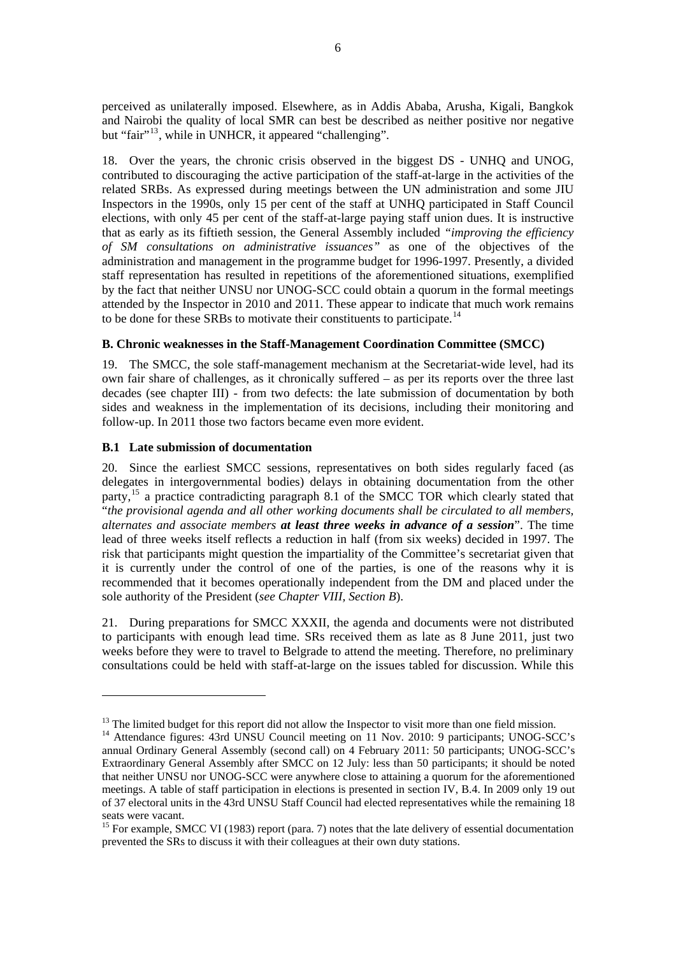<span id="page-17-0"></span>perceived as unilaterally imposed. Elsewhere, as in Addis Ababa, Arusha, Kigali, Bangkok and Nairobi the quality of local SMR can best be described as neither positive nor negative but "fair"<sup>[13](#page-17-0)</sup>, while in UNHCR, it appeared "challenging".

18. Over the years, the chronic crisis observed in the biggest DS - UNHQ and UNOG, contributed to discouraging the active participation of the staff-at-large in the activities of the related SRBs. As expressed during meetings between the UN administration and some JIU Inspectors in the 1990s, only 15 per cent of the staff at UNHQ participated in Staff Council elections, with only 45 per cent of the staff-at-large paying staff union dues. It is instructive that as early as its fiftieth session, the General Assembly included *"improving the efficiency of SM consultations on administrative issuances"* as one of the objectives of the administration and management in the programme budget for 1996-1997. Presently, a divided staff representation has resulted in repetitions of the aforementioned situations, exemplified by the fact that neither UNSU nor UNOG-SCC could obtain a quorum in the formal meetings attended by the Inspector in 2010 and 2011. These appear to indicate that much work remains to be done for these SRBs to motivate their constituents to participate.<sup>[14](#page-17-0)</sup>

#### **B. Chronic weaknesses in the Staff-Management Coordination Committee (SMCC)**

19. The SMCC, the sole staff-management mechanism at the Secretariat-wide level, had its own fair share of challenges, as it chronically suffered – as per its reports over the three last decades (see chapter III) - from two defects: the late submission of documentation by both sides and weakness in the implementation of its decisions, including their monitoring and follow-up. In 2011 those two factors became even more evident.

#### **B.1 Late submission of documentation**

 $\overline{a}$ 

20. Since the earliest SMCC sessions, representatives on both sides regularly faced (as delegates in intergovernmental bodies) delays in obtaining documentation from the other party,<sup>[15](#page-17-0)</sup> a practice contradicting paragraph 8.1 of the SMCC TOR which clearly stated that "*the provisional agenda and all other working documents shall be circulated to all members, alternates and associate members at least three weeks in advance of a session*". The time lead of three weeks itself reflects a reduction in half (from six weeks) decided in 1997. The risk that participants might question the impartiality of the Committee's secretariat given that it is currently under the control of one of the parties, is one of the reasons why it is recommended that it becomes operationally independent from the DM and placed under the sole authority of the President (*see Chapter VIII, Section B*).

21. During preparations for SMCC XXXII, the agenda and documents were not distributed to participants with enough lead time. SRs received them as late as 8 June 2011, just two weeks before they were to travel to Belgrade to attend the meeting. Therefore, no preliminary consultations could be held with staff-at-large on the issues tabled for discussion. While this

<sup>&</sup>lt;sup>13</sup> The limited budget for this report did not allow the Inspector to visit more than one field mission.

<sup>&</sup>lt;sup>14</sup> Attendance figures: 43rd UNSU Council meeting on 11 Nov. 2010: 9 participants; UNOG-SCC's annual Ordinary General Assembly (second call) on 4 February 2011: 50 participants; UNOG-SCC's Extraordinary General Assembly after SMCC on 12 July: less than 50 participants; it should be noted that neither UNSU nor UNOG-SCC were anywhere close to attaining a quorum for the aforementioned meetings. A table of staff participation in elections is presented in section IV, B.4. In 2009 only 19 out of 37 electoral units in the 43rd UNSU Staff Council had elected representatives while the remaining 18 seats were vacant.

<sup>&</sup>lt;sup>15</sup> For example, SMCC VI (1983) report (para. 7) notes that the late delivery of essential documentation prevented the SRs to discuss it with their colleagues at their own duty stations.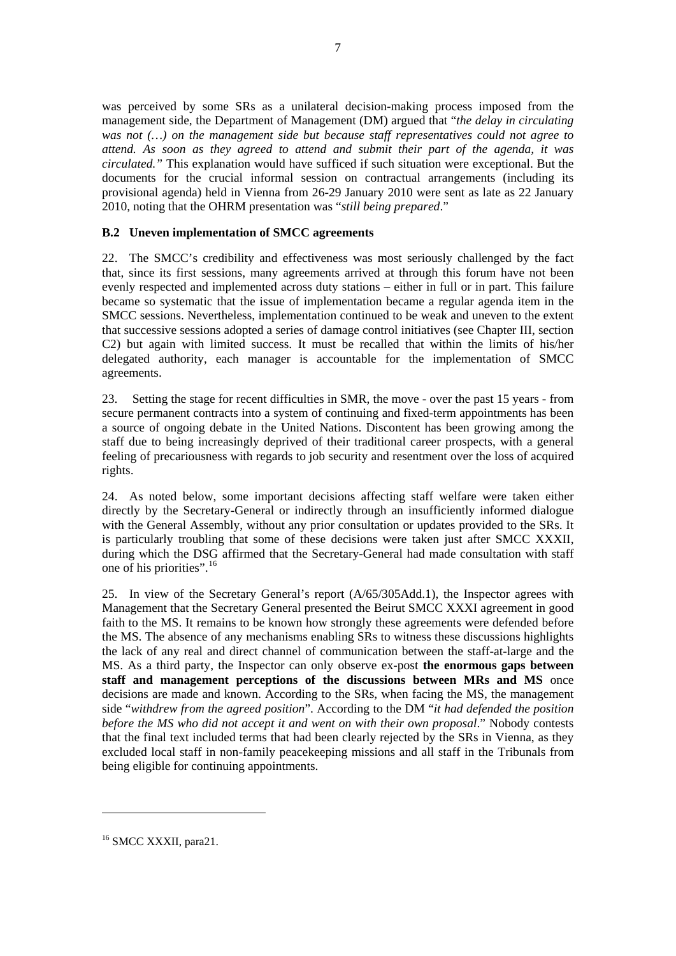<span id="page-18-0"></span>was perceived by some SRs as a unilateral decision-making process imposed from the management side, the Department of Management (DM) argued that "*the delay in circulating was not (…) on the management side but because staff representatives could not agree to attend. As soon as they agreed to attend and submit their part of the agenda, it was circulated."* This explanation would have sufficed if such situation were exceptional. But the documents for the crucial informal session on contractual arrangements (including its provisional agenda) held in Vienna from 26-29 January 2010 were sent as late as 22 January 2010, noting that the OHRM presentation was "*still being prepared*."

#### **B.2 Uneven implementation of SMCC agreements**

22. The SMCC's credibility and effectiveness was most seriously challenged by the fact that, since its first sessions, many agreements arrived at through this forum have not been evenly respected and implemented across duty stations – either in full or in part. This failure became so systematic that the issue of implementation became a regular agenda item in the SMCC sessions. Nevertheless, implementation continued to be weak and uneven to the extent that successive sessions adopted a series of damage control initiatives (see Chapter III, section C2) but again with limited success. It must be recalled that within the limits of his/her delegated authority, each manager is accountable for the implementation of SMCC agreements.

23. Setting the stage for recent difficulties in SMR, the move - over the past 15 years - from secure permanent contracts into a system of continuing and fixed-term appointments has been a source of ongoing debate in the United Nations. Discontent has been growing among the staff due to being increasingly deprived of their traditional career prospects, with a general feeling of precariousness with regards to job security and resentment over the loss of acquired rights.

24. As noted below, some important decisions affecting staff welfare were taken either directly by the Secretary-General or indirectly through an insufficiently informed dialogue with the General Assembly, without any prior consultation or updates provided to the SRs. It is particularly troubling that some of these decisions were taken just after SMCC XXXII, during which the DSG affirmed that the Secretary-General had made consultation with staff one of his priorities".[16](#page-18-0)

25. In view of the Secretary General's report (A/65/305Add.1), the Inspector agrees with Management that the Secretary General presented the Beirut SMCC XXXI agreement in good faith to the MS. It remains to be known how strongly these agreements were defended before the MS. The absence of any mechanisms enabling SRs to witness these discussions highlights the lack of any real and direct channel of communication between the staff-at-large and the MS. As a third party, the Inspector can only observe ex-post **the enormous gaps between staff and management perceptions of the discussions between MRs and MS** once decisions are made and known. According to the SRs, when facing the MS, the management side "*withdrew from the agreed position*". According to the DM "*it had defended the position before the MS who did not accept it and went on with their own proposal*." Nobody contests that the final text included terms that had been clearly rejected by the SRs in Vienna, as they excluded local staff in non-family peacekeeping missions and all staff in the Tribunals from being eligible for continuing appointments.

<sup>&</sup>lt;sup>16</sup> SMCC XXXII, para21.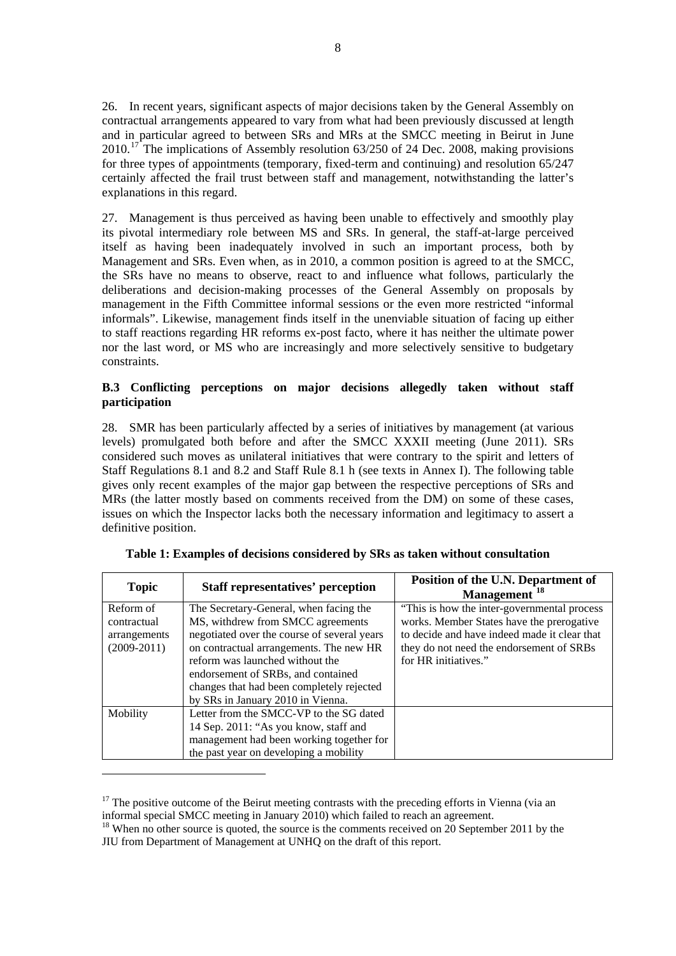<span id="page-19-0"></span>26. In recent years, significant aspects of major decisions taken by the General Assembly on contractual arrangements appeared to vary from what had been previously discussed at length and in particular agreed to between SRs and MRs at the SMCC meeting in Beirut in June  $2010$ <sup>[17](#page-19-0)</sup> The implications of Assembly resolution 63/250 of 24 Dec. 2008, making provisions for three types of appointments (temporary, fixed-term and continuing) and resolution 65/247 certainly affected the frail trust between staff and management, notwithstanding the latter's explanations in this regard.

27. Management is thus perceived as having been unable to effectively and smoothly play its pivotal intermediary role between MS and SRs. In general, the staff-at-large perceived itself as having been inadequately involved in such an important process, both by Management and SRs. Even when, as in 2010, a common position is agreed to at the SMCC, the SRs have no means to observe, react to and influence what follows, particularly the deliberations and decision-making processes of the General Assembly on proposals by management in the Fifth Committee informal sessions or the even more restricted "informal informals". Likewise, management finds itself in the unenviable situation of facing up either to staff reactions regarding HR reforms ex-post facto, where it has neither the ultimate power nor the last word, or MS who are increasingly and more selectively sensitive to budgetary constraints.

#### **B.3 Conflicting perceptions on major decisions allegedly taken without staff participation**

28. SMR has been particularly affected by a series of initiatives by management (at various levels) promulgated both before and after the SMCC XXXII meeting (June 2011). SRs considered such moves as unilateral initiatives that were contrary to the spirit and letters of Staff Regulations 8.1 and 8.2 and Staff Rule 8.1 h (see texts in Annex I). The following table gives only recent examples of the major gap between the respective perceptions of SRs and MRs (the latter mostly based on comments received from the DM) on some of these cases, issues on which the Inspector lacks both the necessary information and legitimacy to assert a definitive position.

| <b>Topic</b>  | <b>Staff representatives' perception</b>    | Position of the U.N. Department of<br>Management <sup>18</sup> |
|---------------|---------------------------------------------|----------------------------------------------------------------|
| Reform of     | The Secretary-General, when facing the      | "This is how the inter-governmental process"                   |
| contractual   | MS, withdrew from SMCC agreements           | works. Member States have the prerogative                      |
| arrangements  | negotiated over the course of several years | to decide and have indeed made it clear that                   |
| $(2009-2011)$ | on contractual arrangements. The new HR     | they do not need the endorsement of SRBs                       |
|               | reform was launched without the             | for HR initiatives."                                           |
|               | endorsement of SRBs, and contained          |                                                                |
|               | changes that had been completely rejected   |                                                                |
|               | by SRs in January 2010 in Vienna.           |                                                                |
| Mobility      | Letter from the SMCC-VP to the SG dated     |                                                                |
|               | 14 Sep. 2011: "As you know, staff and       |                                                                |
|               | management had been working together for    |                                                                |
|               | the past year on developing a mobility      |                                                                |

|  |  |  |  |  |  | Table 1: Examples of decisions considered by SRs as taken without consultation |
|--|--|--|--|--|--|--------------------------------------------------------------------------------|
|  |  |  |  |  |  |                                                                                |

<sup>&</sup>lt;sup>17</sup> The positive outcome of the Beirut meeting contrasts with the preceding efforts in Vienna (via an informal special SMCC meeting in January 2010) which failed to reach an agreement.

<sup>&</sup>lt;sup>18</sup> When no other source is quoted, the source is the comments received on 20 September 2011 by the JIU from Department of Management at UNHQ on the draft of this report.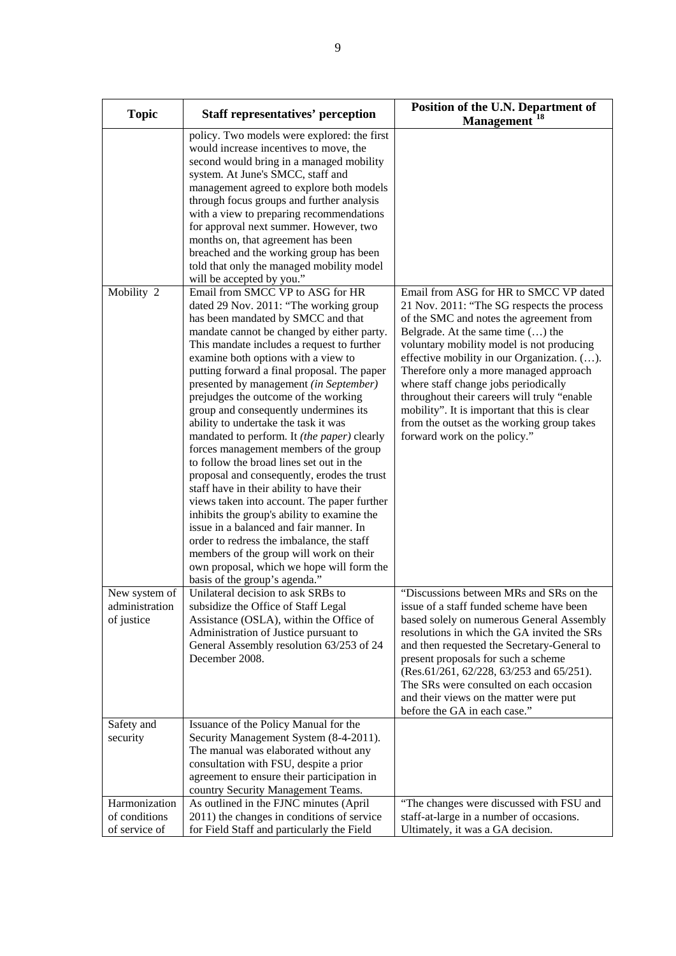| <b>Topic</b>                                    | <b>Staff representatives' perception</b>                                                                                                                                                                                                                                                                                                                                                                                                                                                                                                                                                                                                                                                                                                                                                                                                                                                                                                                                                                                                                                                                                                                                                                                                                                                                                                                                                                                                                    | Position of the U.N. Department of<br>Management <sup>18</sup>                                                                                                                                                                                                                                                                                                                                                                                                                                                                     |
|-------------------------------------------------|-------------------------------------------------------------------------------------------------------------------------------------------------------------------------------------------------------------------------------------------------------------------------------------------------------------------------------------------------------------------------------------------------------------------------------------------------------------------------------------------------------------------------------------------------------------------------------------------------------------------------------------------------------------------------------------------------------------------------------------------------------------------------------------------------------------------------------------------------------------------------------------------------------------------------------------------------------------------------------------------------------------------------------------------------------------------------------------------------------------------------------------------------------------------------------------------------------------------------------------------------------------------------------------------------------------------------------------------------------------------------------------------------------------------------------------------------------------|------------------------------------------------------------------------------------------------------------------------------------------------------------------------------------------------------------------------------------------------------------------------------------------------------------------------------------------------------------------------------------------------------------------------------------------------------------------------------------------------------------------------------------|
| Mobility 2                                      | policy. Two models were explored: the first<br>would increase incentives to move, the<br>second would bring in a managed mobility<br>system. At June's SMCC, staff and<br>management agreed to explore both models<br>through focus groups and further analysis<br>with a view to preparing recommendations<br>for approval next summer. However, two<br>months on, that agreement has been<br>breached and the working group has been<br>told that only the managed mobility model<br>will be accepted by you."<br>Email from SMCC VP to ASG for HR<br>dated 29 Nov. 2011: "The working group<br>has been mandated by SMCC and that<br>mandate cannot be changed by either party.<br>This mandate includes a request to further<br>examine both options with a view to<br>putting forward a final proposal. The paper<br>presented by management (in September)<br>prejudges the outcome of the working<br>group and consequently undermines its<br>ability to undertake the task it was<br>mandated to perform. It (the paper) clearly<br>forces management members of the group<br>to follow the broad lines set out in the<br>proposal and consequently, erodes the trust<br>staff have in their ability to have their<br>views taken into account. The paper further<br>inhibits the group's ability to examine the<br>issue in a balanced and fair manner. In<br>order to redress the imbalance, the staff<br>members of the group will work on their | Email from ASG for HR to SMCC VP dated<br>21 Nov. 2011: "The SG respects the process<br>of the SMC and notes the agreement from<br>Belgrade. At the same time $()$ the<br>voluntary mobility model is not producing<br>effective mobility in our Organization. ().<br>Therefore only a more managed approach<br>where staff change jobs periodically<br>throughout their careers will truly "enable<br>mobility". It is important that this is clear<br>from the outset as the working group takes<br>forward work on the policy." |
|                                                 | own proposal, which we hope will form the<br>basis of the group's agenda."                                                                                                                                                                                                                                                                                                                                                                                                                                                                                                                                                                                                                                                                                                                                                                                                                                                                                                                                                                                                                                                                                                                                                                                                                                                                                                                                                                                  |                                                                                                                                                                                                                                                                                                                                                                                                                                                                                                                                    |
| New system of<br>administration<br>of justice   | Unilateral decision to ask SRBs to<br>subsidize the Office of Staff Legal<br>Assistance (OSLA), within the Office of<br>Administration of Justice pursuant to<br>General Assembly resolution 63/253 of 24<br>December 2008.                                                                                                                                                                                                                                                                                                                                                                                                                                                                                                                                                                                                                                                                                                                                                                                                                                                                                                                                                                                                                                                                                                                                                                                                                                 | "Discussions between MRs and SRs on the<br>issue of a staff funded scheme have been<br>based solely on numerous General Assembly<br>resolutions in which the GA invited the SRs<br>and then requested the Secretary-General to<br>present proposals for such a scheme<br>(Res.61/261, 62/228, 63/253 and 65/251).<br>The SRs were consulted on each occasion<br>and their views on the matter were put<br>before the GA in each case."                                                                                             |
| Safety and<br>security                          | Issuance of the Policy Manual for the<br>Security Management System (8-4-2011).<br>The manual was elaborated without any<br>consultation with FSU, despite a prior<br>agreement to ensure their participation in<br>country Security Management Teams.                                                                                                                                                                                                                                                                                                                                                                                                                                                                                                                                                                                                                                                                                                                                                                                                                                                                                                                                                                                                                                                                                                                                                                                                      |                                                                                                                                                                                                                                                                                                                                                                                                                                                                                                                                    |
| Harmonization<br>of conditions<br>of service of | As outlined in the FJNC minutes (April<br>2011) the changes in conditions of service<br>for Field Staff and particularly the Field                                                                                                                                                                                                                                                                                                                                                                                                                                                                                                                                                                                                                                                                                                                                                                                                                                                                                                                                                                                                                                                                                                                                                                                                                                                                                                                          | "The changes were discussed with FSU and<br>staff-at-large in a number of occasions.<br>Ultimately, it was a GA decision.                                                                                                                                                                                                                                                                                                                                                                                                          |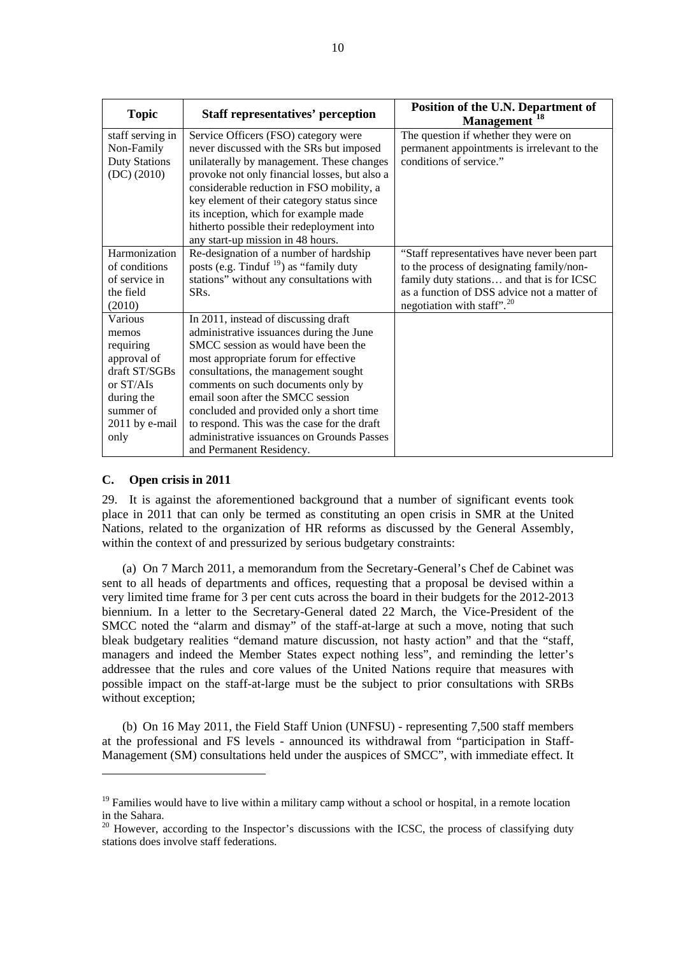<span id="page-21-0"></span>

| <b>Topic</b>         | <b>Staff representatives' perception</b>                                                   | Position of the U.N. Department of<br>Management <sup>18</sup> |
|----------------------|--------------------------------------------------------------------------------------------|----------------------------------------------------------------|
| staff serving in     | Service Officers (FSO) category were                                                       | The question if whether they were on                           |
| Non-Family           | never discussed with the SRs but imposed                                                   | permanent appointments is irrelevant to the                    |
| <b>Duty Stations</b> | unilaterally by management. These changes                                                  | conditions of service."                                        |
| (DC) (2010)          | provoke not only financial losses, but also a<br>considerable reduction in FSO mobility, a |                                                                |
|                      | key element of their category status since                                                 |                                                                |
|                      | its inception, which for example made                                                      |                                                                |
|                      | hitherto possible their redeployment into                                                  |                                                                |
|                      | any start-up mission in 48 hours.                                                          |                                                                |
| Harmonization        | Re-designation of a number of hardship                                                     | "Staff representatives have never been part                    |
| of conditions        | posts (e.g. Tinduf $^{19}$ ) as "family duty                                               | to the process of designating family/non-                      |
| of service in        | stations" without any consultations with                                                   | family duty stations and that is for ICSC                      |
| the field            | SR <sub>s</sub> .                                                                          | as a function of DSS advice not a matter of                    |
| (2010)               |                                                                                            | negotiation with staff". $20$                                  |
| Various              | In 2011, instead of discussing draft                                                       |                                                                |
| memos                | administrative issuances during the June                                                   |                                                                |
| requiring            | SMCC session as would have been the                                                        |                                                                |
| approval of          | most appropriate forum for effective                                                       |                                                                |
| draft ST/SGBs        | consultations, the management sought                                                       |                                                                |
| or ST/AIs            | comments on such documents only by                                                         |                                                                |
| during the           | email soon after the SMCC session                                                          |                                                                |
| summer of            | concluded and provided only a short time                                                   |                                                                |
| 2011 by e-mail       | to respond. This was the case for the draft                                                |                                                                |
| only                 | administrative issuances on Grounds Passes                                                 |                                                                |
|                      | and Permanent Residency.                                                                   |                                                                |

#### **C. Open crisis in 2011**

 $\overline{a}$ 

29. It is against the aforementioned background that a number of significant events took place in 2011 that can only be termed as constituting an open crisis in SMR at the United Nations, related to the organization of HR reforms as discussed by the General Assembly, within the context of and pressurized by serious budgetary constraints:

 (a) On 7 March 2011, a memorandum from the Secretary-General's Chef de Cabinet was sent to all heads of departments and offices, requesting that a proposal be devised within a very limited time frame for 3 per cent cuts across the board in their budgets for the 2012-2013 biennium. In a letter to the Secretary-General dated 22 March, the Vice-President of the SMCC noted the "alarm and dismay" of the staff-at-large at such a move, noting that such bleak budgetary realities "demand mature discussion, not hasty action" and that the "staff, managers and indeed the Member States expect nothing less", and reminding the letter's addressee that the rules and core values of the United Nations require that measures with possible impact on the staff-at-large must be the subject to prior consultations with SRBs without exception;

 (b) On 16 May 2011, the Field Staff Union (UNFSU) - representing 7,500 staff members at the professional and FS levels - announced its withdrawal from "participation in Staff-Management (SM) consultations held under the auspices of SMCC", with immediate effect. It

<sup>&</sup>lt;sup>19</sup> Families would have to live within a military camp without a school or hospital, in a remote location in the Sahara.

<sup>&</sup>lt;sup>20</sup> However, according to the Inspector's discussions with the ICSC, the process of classifying duty stations does involve staff federations.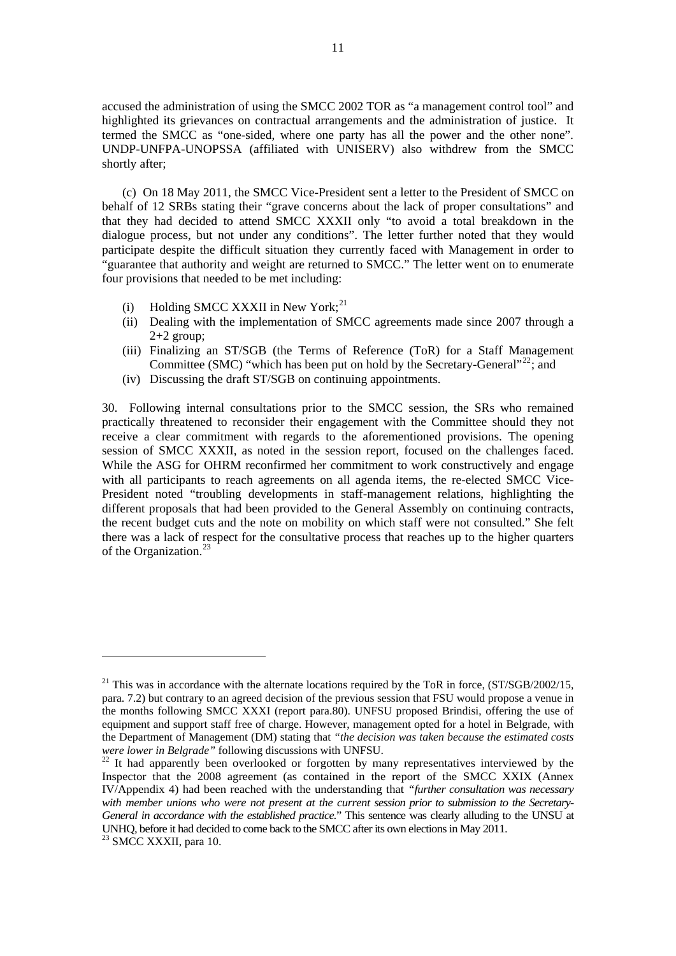<span id="page-22-0"></span>accused the administration of using the SMCC 2002 TOR as "a management control tool" and highlighted its grievances on contractual arrangements and the administration of justice. It termed the SMCC as "one-sided, where one party has all the power and the other none"*.* UNDP-UNFPA-UNOPSSA (affiliated with UNISERV) also withdrew from the SMCC shortly after;

 (c) On 18 May 2011, the SMCC Vice-President sent a letter to the President of SMCC on behalf of 12 SRBs stating their "grave concerns about the lack of proper consultations" and that they had decided to attend SMCC XXXII only "to avoid a total breakdown in the dialogue process, but not under any conditions". The letter further noted that they would participate despite the difficult situation they currently faced with Management in order to "guarantee that authority and weight are returned to SMCC." The letter went on to enumerate four provisions that needed to be met including:

- (i) Holding SMCC XXXII in New York;<sup>[21](#page-22-0)</sup>
- (ii) Dealing with the implementation of SMCC agreements made since 2007 through a  $2+2$  group;
- (iii) Finalizing an ST/SGB (the Terms of Reference (ToR) for a Staff Management Committee (SMC) "which has been put on hold by the Secretary-General"<sup>[22](#page-22-0)</sup>; and
- (iv) Discussing the draft ST/SGB on continuing appointments.

30. Following internal consultations prior to the SMCC session, the SRs who remained practically threatened to reconsider their engagement with the Committee should they not receive a clear commitment with regards to the aforementioned provisions. The opening session of SMCC XXXII, as noted in the session report, focused on the challenges faced. While the ASG for OHRM reconfirmed her commitment to work constructively and engage with all participants to reach agreements on all agenda items, the re-elected SMCC Vice-President noted "troubling developments in staff-management relations, highlighting the different proposals that had been provided to the General Assembly on continuing contracts, the recent budget cuts and the note on mobility on which staff were not consulted." She felt there was a lack of respect for the consultative process that reaches up to the higher quarters of the Organization.<sup>[23](#page-22-0)</sup>

<sup>&</sup>lt;sup>21</sup> This was in accordance with the alternate locations required by the ToR in force,  $\frac{\text{ST}}{\text{SGB}}/2002/15$ , para. 7.2) but contrary to an agreed decision of the previous session that FSU would propose a venue in the months following SMCC XXXI (report para.80). UNFSU proposed Brindisi, offering the use of equipment and support staff free of charge. However, management opted for a hotel in Belgrade, with the Department of Management (DM) stating that *"the decision was taken because the estimated costs were lower in Belgrade"* following discussions with UNFSU.<br><sup>22</sup> It had apparently been overlooked or forgotten by many representatives interviewed by the

Inspector that the 2008 agreement (as contained in the report of the SMCC XXIX (Annex IV/Appendix 4) had been reached with the understanding that *"further consultation was necessary with member unions who were not present at the current session prior to submission to the Secretary-General in accordance with the established practice.*" This sentence was clearly alluding to the UNSU at UNHQ, before it had decided to come back to the SMCC after its own elections in May 2011. 23 SMCC XXXII, para 10.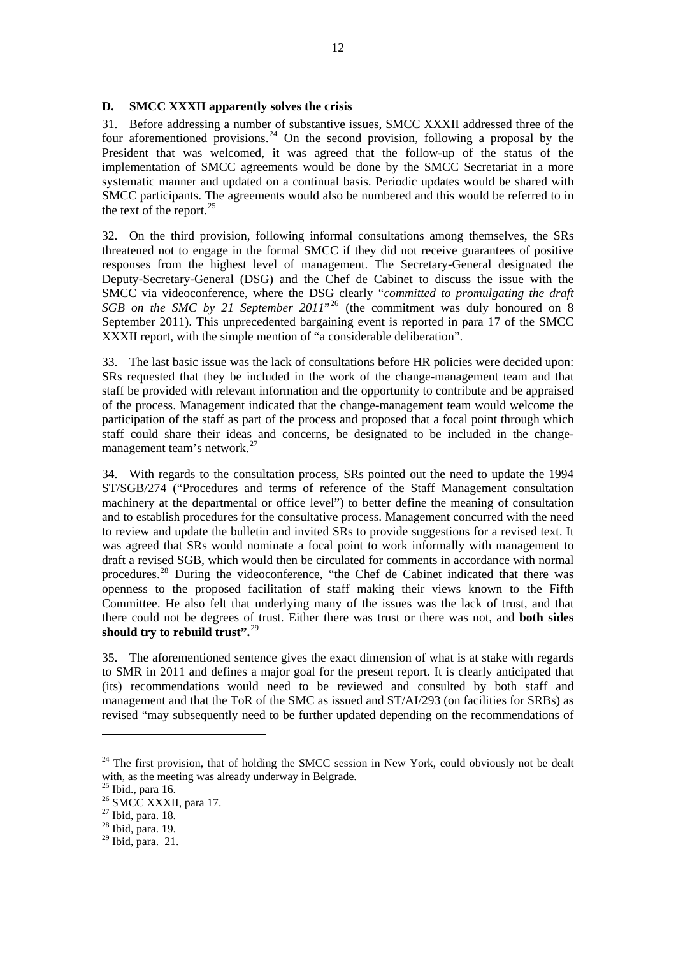#### <span id="page-23-0"></span>**D. SMCC XXXII apparently solves the crisis**

31. Before addressing a number of substantive issues, SMCC XXXII addressed three of the four aforementioned provisions.<sup>[24](#page-23-0)</sup> On the second provision, following a proposal by the President that was welcomed, it was agreed that the follow-up of the status of the implementation of SMCC agreements would be done by the SMCC Secretariat in a more systematic manner and updated on a continual basis. Periodic updates would be shared with SMCC participants. The agreements would also be numbered and this would be referred to in the text of the report.<sup>[25](#page-23-0)</sup>

32. On the third provision, following informal consultations among themselves, the SRs threatened not to engage in the formal SMCC if they did not receive guarantees of positive responses from the highest level of management. The Secretary-General designated the Deputy-Secretary-General (DSG) and the Chef de Cabinet to discuss the issue with the SMCC via videoconference, where the DSG clearly "*committed to promulgating the draft SGB on the SMC by 21 September 2011*<sup>[26](#page-23-0)</sup> (the commitment was duly honoured on 8 September 2011). This unprecedented bargaining event is reported in para 17 of the SMCC XXXII report, with the simple mention of "a considerable deliberation".

33. The last basic issue was the lack of consultations before HR policies were decided upon: SRs requested that they be included in the work of the change-management team and that staff be provided with relevant information and the opportunity to contribute and be appraised of the process. Management indicated that the change-management team would welcome the participation of the staff as part of the process and proposed that a focal point through which staff could share their ideas and concerns, be designated to be included in the change-management team's network.<sup>[27](#page-23-0)</sup>

34. With regards to the consultation process, SRs pointed out the need to update the 1994 ST/SGB/274 ("Procedures and terms of reference of the Staff Management consultation machinery at the departmental or office level") to better define the meaning of consultation and to establish procedures for the consultative process. Management concurred with the need to review and update the bulletin and invited SRs to provide suggestions for a revised text. It was agreed that SRs would nominate a focal point to work informally with management to draft a revised SGB, which would then be circulated for comments in accordance with normal procedures.[28](#page-23-0) During the videoconference, "the Chef de Cabinet indicated that there was openness to the proposed facilitation of staff making their views known to the Fifth Committee. He also felt that underlying many of the issues was the lack of trust, and that there could not be degrees of trust. Either there was trust or there was not, and **both sides should try to rebuild trust".**[29](#page-23-0)

35. The aforementioned sentence gives the exact dimension of what is at stake with regards to SMR in 2011 and defines a major goal for the present report. It is clearly anticipated that (its) recommendations would need to be reviewed and consulted by both staff and management and that the ToR of the SMC as issued and ST/AI/293 (on facilities for SRBs) as revised "may subsequently need to be further updated depending on the recommendations of

 $24$  The first provision, that of holding the SMCC session in New York, could obviously not be dealt with, as the meeting was already underway in Belgrade.

 $25$  Ibid., para 16.

<sup>&</sup>lt;sup>26</sup> SMCC XXXII, para 17.

<sup>27</sup> Ibid, para. 18.

 $28$  Ibid, para. 19.

 $29$  Ibid, para. 21.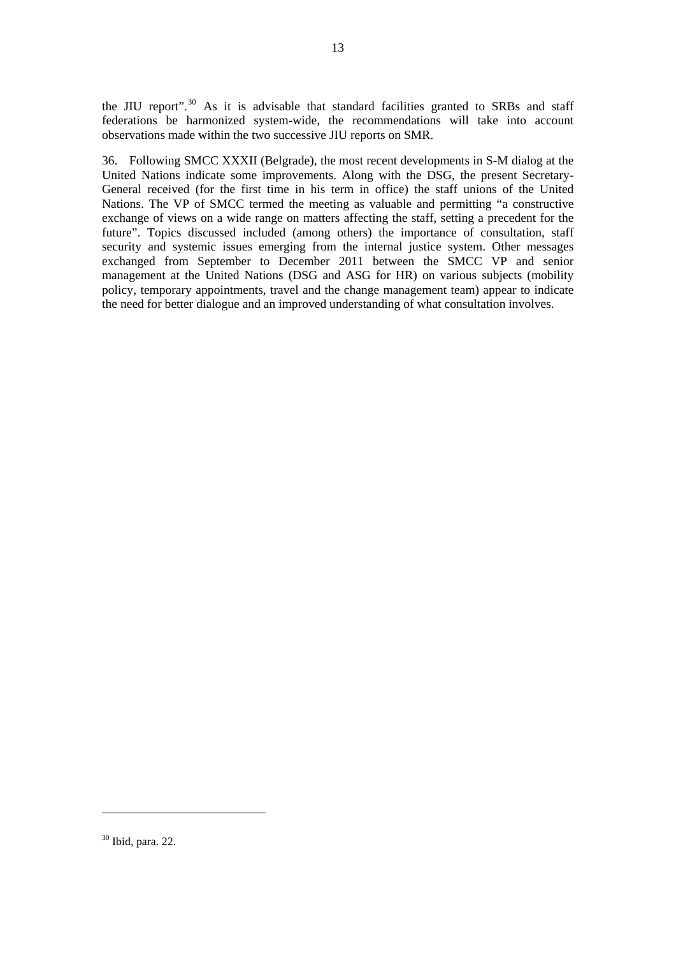<span id="page-24-0"></span>the JIU report".<sup>[30](#page-24-0)</sup> As it is advisable that standard facilities granted to SRBs and staff federations be harmonized system-wide, the recommendations will take into account observations made within the two successive JIU reports on SMR.

36. Following SMCC XXXII (Belgrade), the most recent developments in S-M dialog at the United Nations indicate some improvements. Along with the DSG, the present Secretary-General received (for the first time in his term in office) the staff unions of the United Nations. The VP of SMCC termed the meeting as valuable and permitting "a constructive exchange of views on a wide range on matters affecting the staff, setting a precedent for the future". Topics discussed included (among others) the importance of consultation, staff security and systemic issues emerging from the internal justice system. Other messages exchanged from September to December 2011 between the SMCC VP and senior management at the United Nations (DSG and ASG for HR) on various subjects (mobility policy, temporary appointments, travel and the change management team) appear to indicate the need for better dialogue and an improved understanding of what consultation involves.

<sup>30</sup> Ibid, para. 22.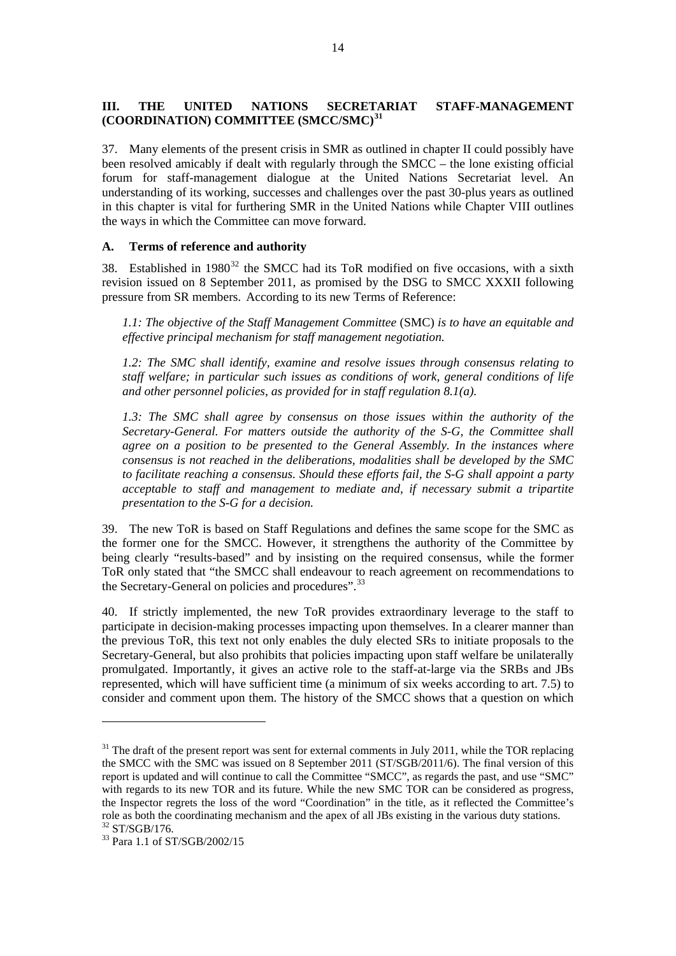#### <span id="page-25-0"></span>**III. THE UNITED NATIONS SECRETARIAT STAFF-MANAGEMENT (COORDINATION) COMMITTEE (SMCC/SMC)[31](#page-25-0)**

37. Many elements of the present crisis in SMR as outlined in chapter II could possibly have been resolved amicably if dealt with regularly through the SMCC – the lone existing official forum for staff-management dialogue at the United Nations Secretariat level. An understanding of its working, successes and challenges over the past 30-plus years as outlined in this chapter is vital for furthering SMR in the United Nations while Chapter VIII outlines the ways in which the Committee can move forward.

#### **A. Terms of reference and authority**

38. Established in  $1980^{32}$  $1980^{32}$  $1980^{32}$  the SMCC had its ToR modified on five occasions, with a sixth revision issued on 8 September 2011, as promised by the DSG to SMCC XXXII following pressure from SR members. According to its new Terms of Reference:

*1.1: The objective of the Staff Management Committee* (SMC) *is to have an equitable and effective principal mechanism for staff management negotiation.* 

*1.2: The SMC shall identify, examine and resolve issues through consensus relating to staff welfare; in particular such issues as conditions of work, general conditions of life and other personnel policies, as provided for in staff regulation 8.1(a).* 

*1.3: The SMC shall agree by consensus on those issues within the authority of the Secretary-General. For matters outside the authority of the S-G, the Committee shall agree on a position to be presented to the General Assembly. In the instances where consensus is not reached in the deliberations, modalities shall be developed by the SMC to facilitate reaching a consensus. Should these efforts fail, the S-G shall appoint a party acceptable to staff and management to mediate and, if necessary submit a tripartite presentation to the S-G for a decision.* 

39. The new ToR is based on Staff Regulations and defines the same scope for the SMC as the former one for the SMCC. However, it strengthens the authority of the Committee by being clearly "results-based" and by insisting on the required consensus, while the former ToR only stated that "the SMCC shall endeavour to reach agreement on recommendations to the Secretary-General on policies and procedures".<sup>[33](#page-25-0)</sup>

40. If strictly implemented, the new ToR provides extraordinary leverage to the staff to participate in decision-making processes impacting upon themselves. In a clearer manner than the previous ToR, this text not only enables the duly elected SRs to initiate proposals to the Secretary-General, but also prohibits that policies impacting upon staff welfare be unilaterally promulgated. Importantly, it gives an active role to the staff-at-large via the SRBs and JBs represented, which will have sufficient time (a minimum of six weeks according to art. 7.5) to consider and comment upon them. The history of the SMCC shows that a question on which

 $31$  The draft of the present report was sent for external comments in July 2011, while the TOR replacing the SMCC with the SMC was issued on 8 September 2011 (ST/SGB/2011/6). The final version of this report is updated and will continue to call the Committee "SMCC", as regards the past, and use "SMC" with regards to its new TOR and its future. While the new SMC TOR can be considered as progress, the Inspector regrets the loss of the word "Coordination" in the title, as it reflected the Committee's role as both the coordinating mechanism and the apex of all JBs existing in the various duty stations.<br><sup>32</sup> ST/SGB/176.

<sup>&</sup>lt;sup>33</sup> Para 1.1 of ST/SGB/2002/15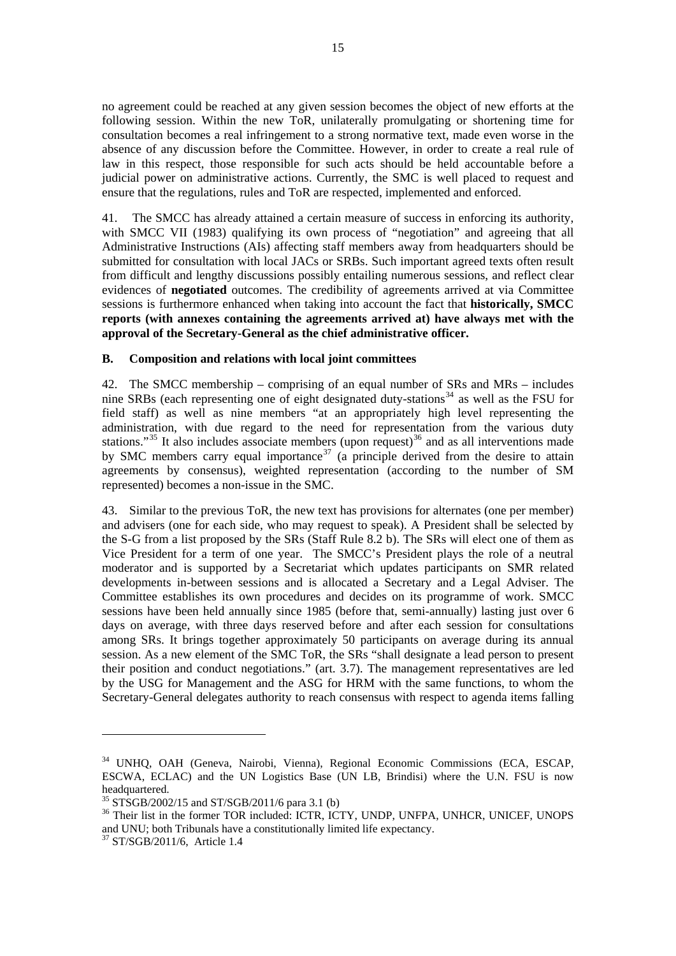<span id="page-26-0"></span>no agreement could be reached at any given session becomes the object of new efforts at the following session. Within the new ToR, unilaterally promulgating or shortening time for consultation becomes a real infringement to a strong normative text, made even worse in the absence of any discussion before the Committee. However, in order to create a real rule of law in this respect, those responsible for such acts should be held accountable before a judicial power on administrative actions. Currently, the SMC is well placed to request and ensure that the regulations, rules and ToR are respected, implemented and enforced.

41. The SMCC has already attained a certain measure of success in enforcing its authority, with SMCC VII (1983) qualifying its own process of "negotiation" and agreeing that all Administrative Instructions (AIs) affecting staff members away from headquarters should be submitted for consultation with local JACs or SRBs. Such important agreed texts often result from difficult and lengthy discussions possibly entailing numerous sessions, and reflect clear evidences of **negotiated** outcomes. The credibility of agreements arrived at via Committee sessions is furthermore enhanced when taking into account the fact that **historically, SMCC reports (with annexes containing the agreements arrived at) have always met with the approval of the Secretary-General as the chief administrative officer.**

#### **B. Composition and relations with local joint committees**

42. The SMCC membership – comprising of an equal number of SRs and MRs – includes nine SRBs (each representing one of eight designated duty-stations<sup>[34](#page-26-0)</sup> as well as the FSU for field staff) as well as nine members "at an appropriately high level representing the administration, with due regard to the need for representation from the various duty stations."<sup>[35](#page-26-0)</sup> It also includes associate members (upon request)<sup>[36](#page-26-0)</sup> and as all interventions made by SMC members carry equal importance<sup>[37](#page-26-0)</sup> (a principle derived from the desire to attain agreements by consensus), weighted representation (according to the number of SM represented) becomes a non-issue in the SMC.

43. Similar to the previous ToR, the new text has provisions for alternates (one per member) and advisers (one for each side, who may request to speak). A President shall be selected by the S-G from a list proposed by the SRs (Staff Rule 8.2 b). The SRs will elect one of them as Vice President for a term of one year. The SMCC's President plays the role of a neutral moderator and is supported by a Secretariat which updates participants on SMR related developments in-between sessions and is allocated a Secretary and a Legal Adviser. The Committee establishes its own procedures and decides on its programme of work. SMCC sessions have been held annually since 1985 (before that, semi-annually) lasting just over 6 days on average, with three days reserved before and after each session for consultations among SRs. It brings together approximately 50 participants on average during its annual session. As a new element of the SMC ToR, the SRs "shall designate a lead person to present their position and conduct negotiations." (art. 3.7). The management representatives are led by the USG for Management and the ASG for HRM with the same functions, to whom the Secretary-General delegates authority to reach consensus with respect to agenda items falling

<sup>34</sup> UNHQ, OAH (Geneva, Nairobi, Vienna), Regional Economic Commissions (ECA, ESCAP, ESCWA, ECLAC) and the UN Logistics Base (UN LB, Brindisi) where the U.N. FSU is now headquartered.

 $35$  STSGB/2002/15 and ST/SGB/2011/6 para 3.1 (b)

<sup>&</sup>lt;sup>36</sup> Their list in the former TOR included: ICTR, ICTY, UNDP, UNFPA, UNHCR, UNICEF, UNOPS and UNU; both Tribunals have a constitutionally limited life expectancy.  $\mathrm{^{37}}$  ST/SGB/2011/6, Article 1.4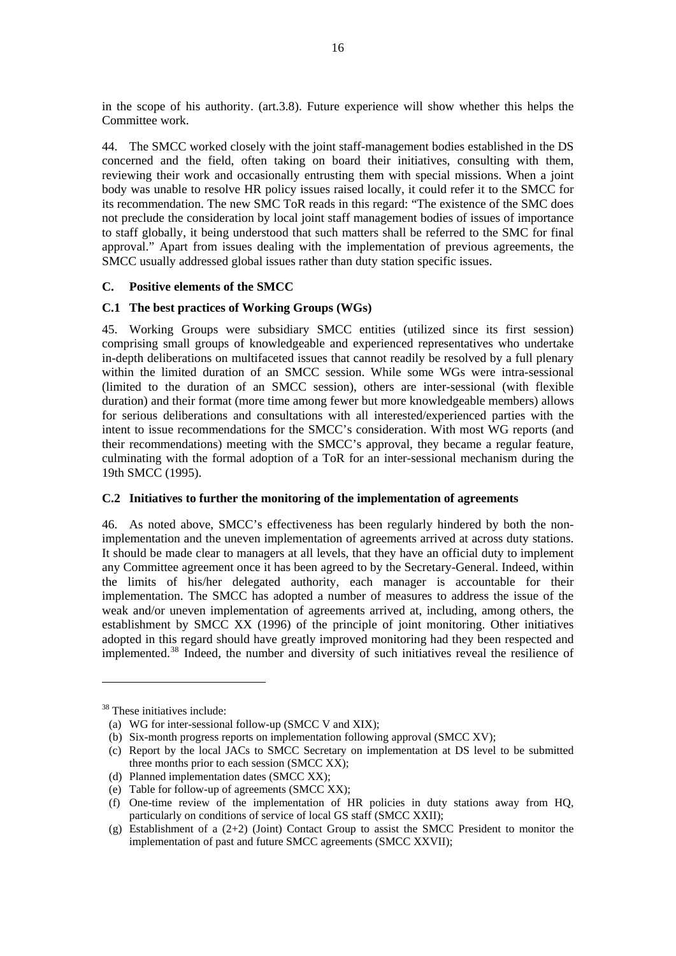<span id="page-27-0"></span>in the scope of his authority. (art.3.8). Future experience will show whether this helps the Committee work.

44. The SMCC worked closely with the joint staff-management bodies established in the DS concerned and the field, often taking on board their initiatives, consulting with them, reviewing their work and occasionally entrusting them with special missions. When a joint body was unable to resolve HR policy issues raised locally, it could refer it to the SMCC for its recommendation. The new SMC ToR reads in this regard: "The existence of the SMC does not preclude the consideration by local joint staff management bodies of issues of importance to staff globally, it being understood that such matters shall be referred to the SMC for final approval." Apart from issues dealing with the implementation of previous agreements, the SMCC usually addressed global issues rather than duty station specific issues.

#### **C. Positive elements of the SMCC**

#### **C.1 The best practices of Working Groups (WGs)**

45. Working Groups were subsidiary SMCC entities (utilized since its first session) comprising small groups of knowledgeable and experienced representatives who undertake in-depth deliberations on multifaceted issues that cannot readily be resolved by a full plenary within the limited duration of an SMCC session. While some WGs were intra-sessional (limited to the duration of an SMCC session), others are inter-sessional (with flexible duration) and their format (more time among fewer but more knowledgeable members) allows for serious deliberations and consultations with all interested/experienced parties with the intent to issue recommendations for the SMCC's consideration. With most WG reports (and their recommendations) meeting with the SMCC's approval, they became a regular feature, culminating with the formal adoption of a ToR for an inter-sessional mechanism during the 19th SMCC (1995).

#### **C.2 Initiatives to further the monitoring of the implementation of agreements**

46. As noted above, SMCC's effectiveness has been regularly hindered by both the nonimplementation and the uneven implementation of agreements arrived at across duty stations. It should be made clear to managers at all levels, that they have an official duty to implement any Committee agreement once it has been agreed to by the Secretary-General. Indeed, within the limits of his/her delegated authority, each manager is accountable for their implementation. The SMCC has adopted a number of measures to address the issue of the weak and/or uneven implementation of agreements arrived at, including, among others, the establishment by SMCC XX (1996) of the principle of joint monitoring. Other initiatives adopted in this regard should have greatly improved monitoring had they been respected and implemented.<sup>[38](#page-27-0)</sup> Indeed, the number and diversity of such initiatives reveal the resilience of

<sup>&</sup>lt;sup>38</sup> These initiatives include:

<sup>(</sup>a) WG for inter-sessional follow-up (SMCC V and XIX);

<sup>(</sup>b) Six-month progress reports on implementation following approval (SMCC XV);

<sup>(</sup>c) Report by the local JACs to SMCC Secretary on implementation at DS level to be submitted three months prior to each session (SMCC XX);

<sup>(</sup>d) Planned implementation dates (SMCC XX);

<sup>(</sup>e) Table for follow-up of agreements (SMCC XX);

<sup>(</sup>f) One-time review of the implementation of HR policies in duty stations away from HQ, particularly on conditions of service of local GS staff (SMCC XXII);

<sup>(</sup>g) Establishment of a  $(2+2)$  (Joint) Contact Group to assist the SMCC President to monitor the implementation of past and future SMCC agreements (SMCC XXVII);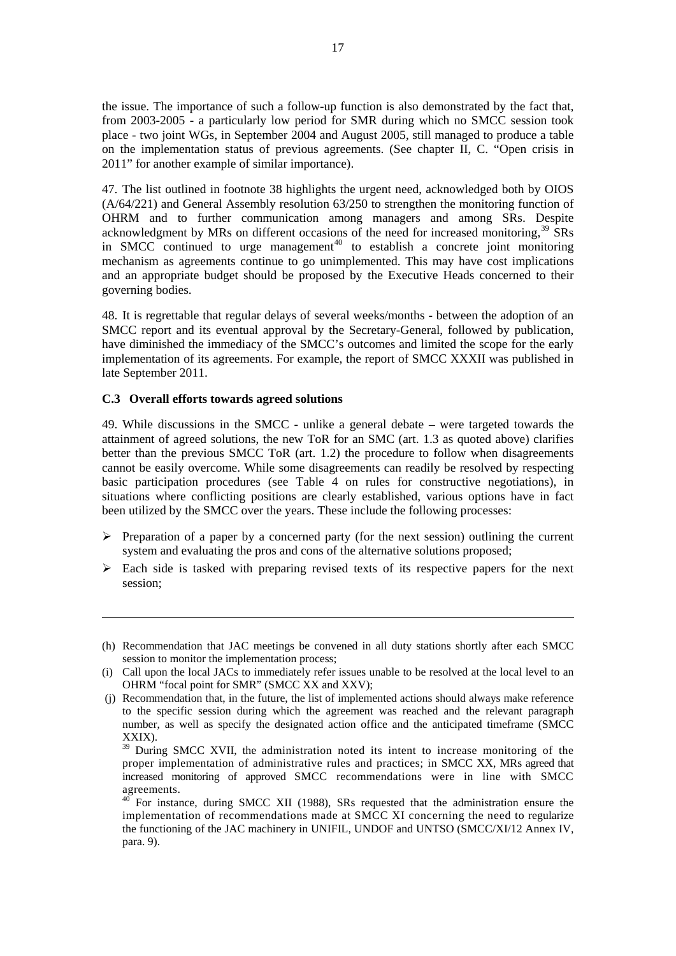<span id="page-28-0"></span>the issue. The importance of such a follow-up function is also demonstrated by the fact that, from 2003-2005 - a particularly low period for SMR during which no SMCC session took place - two joint WGs, in September 2004 and August 2005, still managed to produce a table on the implementation status of previous agreements. (See chapter II, C. "Open crisis in 2011" for another example of similar importance).

47. The list outlined in footnote 38 highlights the urgent need, acknowledged both by OIOS (A/64/221) and General Assembly resolution 63/250 to strengthen the monitoring function of OHRM and to further communication among managers and among SRs. Despite acknowledgment by MRs on different occasions of the need for increased monitoring,  $39\,$  $39\,$  SRs in SMCC continued to urge management<sup>[40](#page-28-0)</sup> to establish a concrete joint monitoring mechanism as agreements continue to go unimplemented. This may have cost implications and an appropriate budget should be proposed by the Executive Heads concerned to their governing bodies.

48. It is regrettable that regular delays of several weeks/months - between the adoption of an SMCC report and its eventual approval by the Secretary-General, followed by publication, have diminished the immediacy of the SMCC's outcomes and limited the scope for the early implementation of its agreements. For example, the report of SMCC XXXII was published in late September 2011.

#### **C.3 Overall efforts towards agreed solutions**

1

49. While discussions in the SMCC - unlike a general debate – were targeted towards the attainment of agreed solutions, the new ToR for an SMC (art. 1.3 as quoted above) clarifies better than the previous SMCC ToR (art. 1.2) the procedure to follow when disagreements cannot be easily overcome. While some disagreements can readily be resolved by respecting basic participation procedures (see Table 4 on rules for constructive negotiations), in situations where conflicting positions are clearly established, various options have in fact been utilized by the SMCC over the years. These include the following processes:

- $\triangleright$  Preparation of a paper by a concerned party (for the next session) outlining the current system and evaluating the pros and cons of the alternative solutions proposed;
- $\triangleright$  Each side is tasked with preparing revised texts of its respective papers for the next session;

<sup>(</sup>h) Recommendation that JAC meetings be convened in all duty stations shortly after each SMCC session to monitor the implementation process;

<sup>(</sup>i) Call upon the local JACs to immediately refer issues unable to be resolved at the local level to an OHRM "focal point for SMR" (SMCC XX and XXV);

 <sup>(</sup>j) Recommendation that, in the future, the list of implemented actions should always make reference to the specific session during which the agreement was reached and the relevant paragraph number, as well as specify the designated action office and the anticipated timeframe (SMCC XXIX).

<sup>&</sup>lt;sup>39</sup> During SMCC XVII, the administration noted its intent to increase monitoring of the proper implementation of administrative rules and practices; in SMCC XX, MRs agreed that increased monitoring of approved SMCC recommendations were in line with SMCC agreements.

<sup>40</sup> For instance, during SMCC XII (1988), SRs requested that the administration ensure the implementation of recommendations made at SMCC XI concerning the need to regularize the functioning of the JAC machinery in UNIFIL, UNDOF and UNTSO (SMCC/XI/12 Annex IV, para. 9).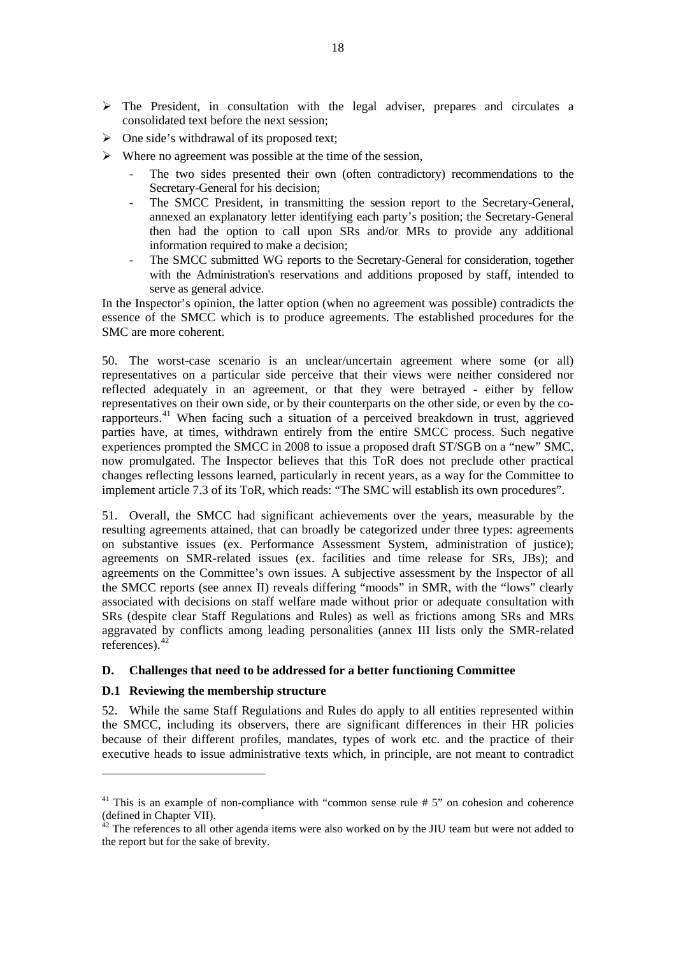- <span id="page-29-0"></span> $\triangleright$  The President, in consultation with the legal adviser, prepares and circulates a consolidated text before the next session;
- $\triangleright$  One side's withdrawal of its proposed text;
- $\triangleright$  Where no agreement was possible at the time of the session,
	- The two sides presented their own (often contradictory) recommendations to the Secretary-General for his decision;
	- The SMCC President, in transmitting the session report to the Secretary-General, annexed an explanatory letter identifying each party's position; the Secretary-General then had the option to call upon SRs and/or MRs to provide any additional information required to make a decision;
	- The SMCC submitted WG reports to the Secretary-General for consideration, together with the Administration's reservations and additions proposed by staff, intended to serve as general advice.

In the Inspector's opinion, the latter option (when no agreement was possible) contradicts the essence of the SMCC which is to produce agreements. The established procedures for the SMC are more coherent.

50. The worst-case scenario is an unclear/uncertain agreement where some (or all) representatives on a particular side perceive that their views were neither considered nor reflected adequately in an agreement, or that they were betrayed - either by fellow representatives on their own side, or by their counterparts on the other side, or even by the corapporteurs.[41](#page-29-0) When facing such a situation of a perceived breakdown in trust, aggrieved parties have, at times, withdrawn entirely from the entire SMCC process. Such negative experiences prompted the SMCC in 2008 to issue a proposed draft ST/SGB on a "new" SMC, now promulgated. The Inspector believes that this ToR does not preclude other practical changes reflecting lessons learned, particularly in recent years, as a way for the Committee to implement article 7.3 of its ToR, which reads: "The SMC will establish its own procedures".

51. Overall, the SMCC had significant achievements over the years, measurable by the resulting agreements attained, that can broadly be categorized under three types: agreements on substantive issues (ex. Performance Assessment System, administration of justice); agreements on SMR-related issues (ex. facilities and time release for SRs, JBs); and agreements on the Committee's own issues. A subjective assessment by the Inspector of all the SMCC reports (see annex II) reveals differing "moods" in SMR, with the "lows" clearly associated with decisions on staff welfare made without prior or adequate consultation with SRs (despite clear Staff Regulations and Rules) as well as frictions among SRs and MRs aggravated by conflicts among leading personalities (annex III lists only the SMR-related references).[42](#page-29-0)

#### **D. Challenges that need to be addressed for a better functioning Committee**

#### **D.1 Reviewing the membership structure**

 $\overline{a}$ 

52. While the same Staff Regulations and Rules do apply to all entities represented within the SMCC, including its observers, there are significant differences in their HR policies because of their different profiles, mandates, types of work etc. and the practice of their executive heads to issue administrative texts which, in principle, are not meant to contradict

<sup>&</sup>lt;sup>41</sup> This is an example of non-compliance with "common sense rule  $# 5$ " on cohesion and coherence (defined in Chapter VII).

 $42$  The references to all other agenda items were also worked on by the JIU team but were not added to the report but for the sake of brevity.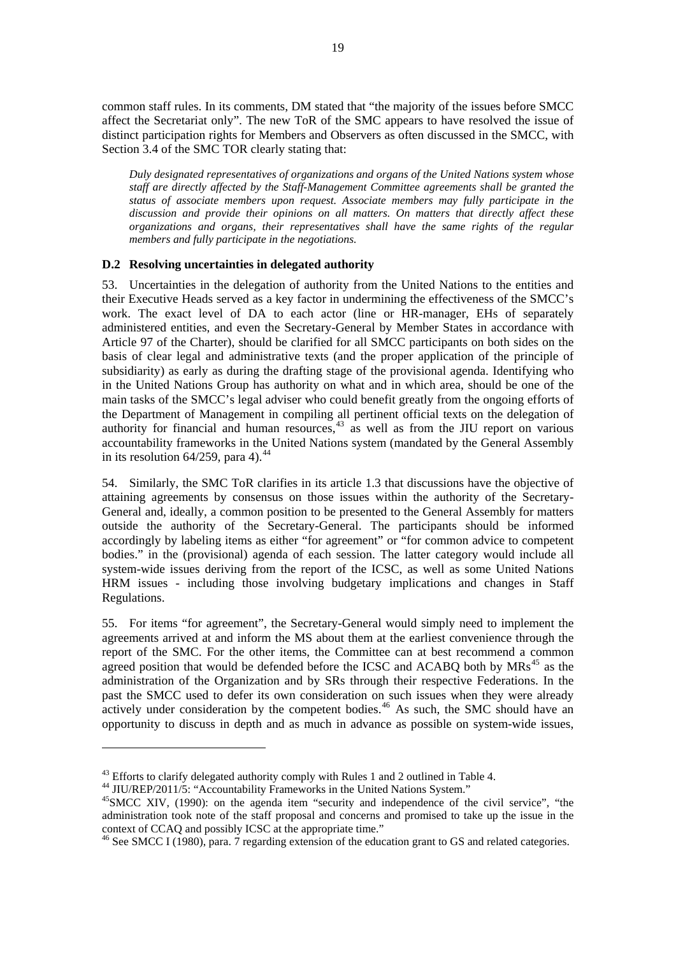<span id="page-30-0"></span>common staff rules. In its comments, DM stated that "the majority of the issues before SMCC affect the Secretariat only". The new ToR of the SMC appears to have resolved the issue of distinct participation rights for Members and Observers as often discussed in the SMCC, with Section 3.4 of the SMC TOR clearly stating that:

*Duly designated representatives of organizations and organs of the United Nations system whose staff are directly affected by the Staff-Management Committee agreements shall be granted the status of associate members upon request. Associate members may fully participate in the discussion and provide their opinions on all matters. On matters that directly affect these organizations and organs, their representatives shall have the same rights of the regular members and fully participate in the negotiations.* 

#### **D.2 Resolving uncertainties in delegated authority**

53. Uncertainties in the delegation of authority from the United Nations to the entities and their Executive Heads served as a key factor in undermining the effectiveness of the SMCC's work. The exact level of DA to each actor (line or HR-manager, EHs of separately administered entities, and even the Secretary-General by Member States in accordance with Article 97 of the Charter), should be clarified for all SMCC participants on both sides on the basis of clear legal and administrative texts (and the proper application of the principle of subsidiarity) as early as during the drafting stage of the provisional agenda. Identifying who in the United Nations Group has authority on what and in which area, should be one of the main tasks of the SMCC's legal adviser who could benefit greatly from the ongoing efforts of the Department of Management in compiling all pertinent official texts on the delegation of authority for financial and human resources, $43$  as well as from the JIU report on various accountability frameworks in the United Nations system (mandated by the General Assembly in its resolution  $64/259$ , para 4).<sup>[44](#page-30-0)</sup>

54. Similarly, the SMC ToR clarifies in its article 1.3 that discussions have the objective of attaining agreements by consensus on those issues within the authority of the Secretary-General and, ideally, a common position to be presented to the General Assembly for matters outside the authority of the Secretary-General. The participants should be informed accordingly by labeling items as either "for agreement" or "for common advice to competent bodies." in the (provisional) agenda of each session. The latter category would include all system-wide issues deriving from the report of the ICSC, as well as some United Nations HRM issues - including those involving budgetary implications and changes in Staff Regulations.

55. For items "for agreement", the Secretary-General would simply need to implement the agreements arrived at and inform the MS about them at the earliest convenience through the report of the SMC. For the other items, the Committee can at best recommend a common agreed position that would be defended before the ICSC and ACABQ both by  $MRs<sup>45</sup>$  $MRs<sup>45</sup>$  $MRs<sup>45</sup>$  as the administration of the Organization and by SRs through their respective Federations. In the past the SMCC used to defer its own consideration on such issues when they were already actively under consideration by the competent bodies.<sup>[46](#page-30-0)</sup> As such, the SMC should have an opportunity to discuss in depth and as much in advance as possible on system-wide issues,

<sup>&</sup>lt;sup>43</sup> Efforts to clarify delegated authority comply with Rules 1 and 2 outlined in Table 4.<br><sup>44</sup> JIU/REP/2011/5: "Accountability Frameworks in the United Nations System."

 $45$ SMCC XIV, (1990): on the agenda item "security and independence of the civil service", "the administration took note of the staff proposal and concerns and promised to take up the issue in the context of CCAQ and possibly ICSC at the appropriate time."

<sup>&</sup>lt;sup>46</sup> See SMCC I (1980), para. 7 regarding extension of the education grant to GS and related categories.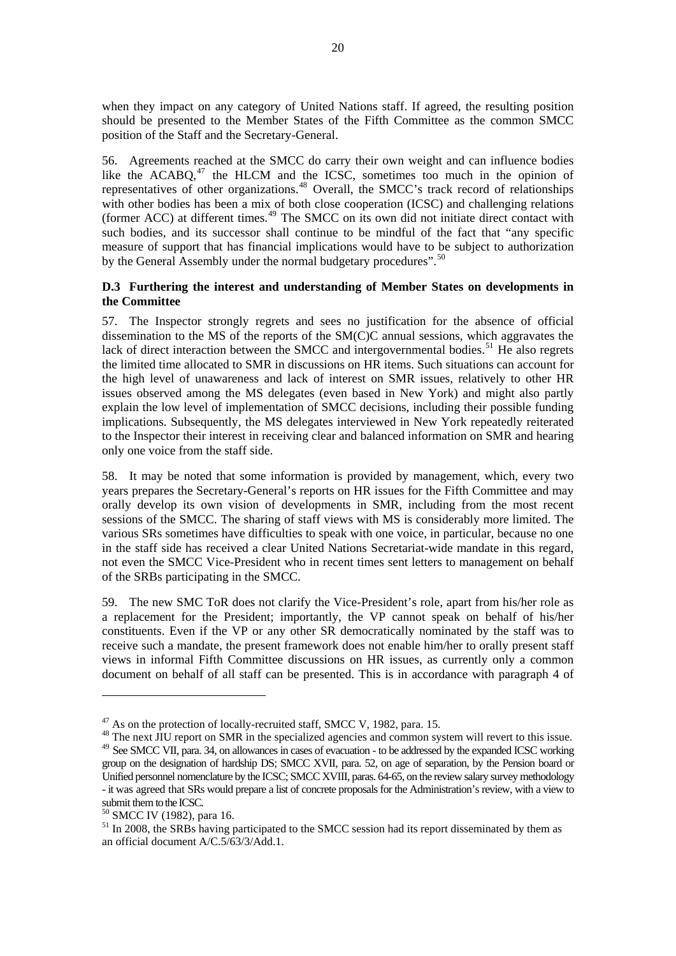<span id="page-31-0"></span>when they impact on any category of United Nations staff. If agreed, the resulting position should be presented to the Member States of the Fifth Committee as the common SMCC position of the Staff and the Secretary-General.

56. Agreements reached at the SMCC do carry their own weight and can influence bodies like the ACABQ, $47$  the HLCM and the ICSC, sometimes too much in the opinion of representatives of other organizations.[48](#page-31-0) Overall, the SMCC's track record of relationships with other bodies has been a mix of both close cooperation (ICSC) and challenging relations (former ACC) at different times.[49](#page-31-0) The SMCC on its own did not initiate direct contact with such bodies, and its successor shall continue to be mindful of the fact that "any specific measure of support that has financial implications would have to be subject to authorization by the General Assembly under the normal budgetary procedures".<sup>[50](#page-31-0)</sup>

#### **D.3 Furthering the interest and understanding of Member States on developments in the Committee**

57. The Inspector strongly regrets and sees no justification for the absence of official dissemination to the MS of the reports of the SM(C)C annual sessions, which aggravates the lack of direct interaction between the SMCC and intergovernmental bodies.<sup>[51](#page-31-0)</sup> He also regrets the limited time allocated to SMR in discussions on HR items. Such situations can account for the high level of unawareness and lack of interest on SMR issues, relatively to other HR issues observed among the MS delegates (even based in New York) and might also partly explain the low level of implementation of SMCC decisions, including their possible funding implications. Subsequently, the MS delegates interviewed in New York repeatedly reiterated to the Inspector their interest in receiving clear and balanced information on SMR and hearing only one voice from the staff side.

58. It may be noted that some information is provided by management, which, every two years prepares the Secretary-General's reports on HR issues for the Fifth Committee and may orally develop its own vision of developments in SMR, including from the most recent sessions of the SMCC. The sharing of staff views with MS is considerably more limited. The various SRs sometimes have difficulties to speak with one voice, in particular, because no one in the staff side has received a clear United Nations Secretariat-wide mandate in this regard, not even the SMCC Vice-President who in recent times sent letters to management on behalf of the SRBs participating in the SMCC.

59. The new SMC ToR does not clarify the Vice-President's role, apart from his/her role as a replacement for the President; importantly, the VP cannot speak on behalf of his/her constituents. Even if the VP or any other SR democratically nominated by the staff was to receive such a mandate, the present framework does not enable him/her to orally present staff views in informal Fifth Committee discussions on HR issues, as currently only a common document on behalf of all staff can be presented. This is in accordance with paragraph 4 of

 $^{47}$  As on the protection of locally-recruited staff, SMCC V, 1982, para. 15.<br> $^{48}$  The next JIU report on SMR in the specialized agencies and common system will revert to this issue. <sup>49</sup> See SMCC VII, para. 34, on allowances in cases of evacuation - to be addressed by the expanded ICSC working group on the designation of hardship DS; SMCC XVII, para. 52, on age of separation, by the Pension board or Unified personnel nomenclature by the ICSC; SMCC XVIII, paras. 64-65, on the review salary survey methodology - it was agreed that SRs would prepare a list of concrete proposals for the Administration's review, with a view to submit them to the ICSC.

<sup>50</sup> SMCC IV (1982), para 16.

<sup>&</sup>lt;sup>51</sup> In 2008, the SRBs having participated to the SMCC session had its report disseminated by them as an official document A/C.5/63/3/Add.1.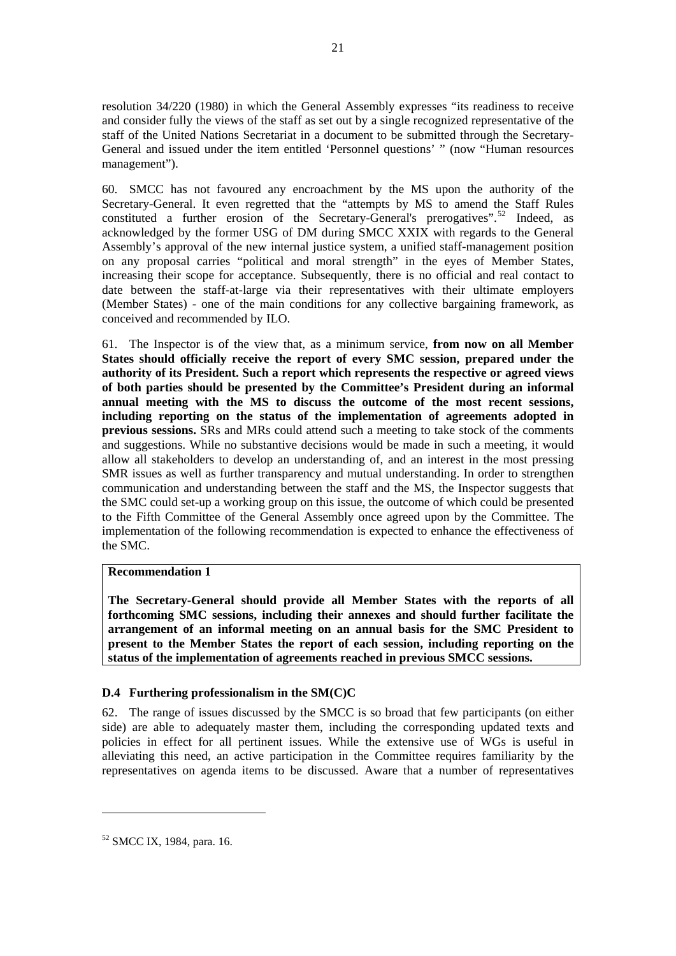<span id="page-32-0"></span>resolution 34/220 (1980) in which the General Assembly expresses "its readiness to receive and consider fully the views of the staff as set out by a single recognized representative of the staff of the United Nations Secretariat in a document to be submitted through the Secretary-General and issued under the item entitled 'Personnel questions' " (now "Human resources management").

60. SMCC has not favoured any encroachment by the MS upon the authority of the Secretary-General. It even regretted that the "attempts by MS to amend the Staff Rules constituted a further erosion of the Secretary-General's prerogatives".<sup>[52](#page-32-0)</sup> Indeed, as acknowledged by the former USG of DM during SMCC XXIX with regards to the General Assembly's approval of the new internal justice system, a unified staff-management position on any proposal carries "political and moral strength" in the eyes of Member States, increasing their scope for acceptance. Subsequently, there is no official and real contact to date between the staff-at-large via their representatives with their ultimate employers (Member States) - one of the main conditions for any collective bargaining framework, as conceived and recommended by ILO.

61. The Inspector is of the view that, as a minimum service, **from now on all Member States should officially receive the report of every SMC session, prepared under the authority of its President. Such a report which represents the respective or agreed views of both parties should be presented by the Committee's President during an informal annual meeting with the MS to discuss the outcome of the most recent sessions, including reporting on the status of the implementation of agreements adopted in previous sessions.** SRs and MRs could attend such a meeting to take stock of the comments and suggestions. While no substantive decisions would be made in such a meeting, it would allow all stakeholders to develop an understanding of, and an interest in the most pressing SMR issues as well as further transparency and mutual understanding. In order to strengthen communication and understanding between the staff and the MS, the Inspector suggests that the SMC could set-up a working group on this issue, the outcome of which could be presented to the Fifth Committee of the General Assembly once agreed upon by the Committee. The implementation of the following recommendation is expected to enhance the effectiveness of the SMC.

#### **Recommendation 1**

**The Secretary-General should provide all Member States with the reports of all forthcoming SMC sessions, including their annexes and should further facilitate the arrangement of an informal meeting on an annual basis for the SMC President to present to the Member States the report of each session, including reporting on the status of the implementation of agreements reached in previous SMCC sessions.** 

#### **D.4 Furthering professionalism in the SM(C)C**

62. The range of issues discussed by the SMCC is so broad that few participants (on either side) are able to adequately master them, including the corresponding updated texts and policies in effect for all pertinent issues. While the extensive use of WGs is useful in alleviating this need, an active participation in the Committee requires familiarity by the representatives on agenda items to be discussed. Aware that a number of representatives

<sup>52</sup> SMCC IX, 1984, para. 16.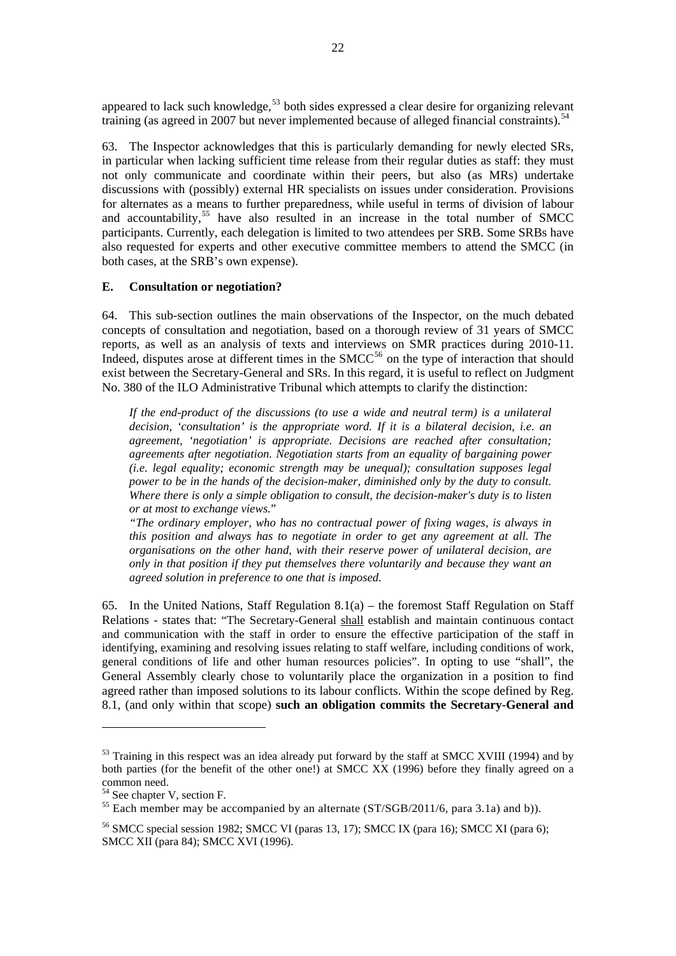<span id="page-33-0"></span>appeared to lack such knowledge, $53$  both sides expressed a clear desire for organizing relevant training (as agreed in 2007 but never implemented because of alleged financial constraints).<sup>[54](#page-33-0)</sup>

63. The Inspector acknowledges that this is particularly demanding for newly elected SRs, in particular when lacking sufficient time release from their regular duties as staff: they must not only communicate and coordinate within their peers, but also (as MRs) undertake discussions with (possibly) external HR specialists on issues under consideration. Provisions for alternates as a means to further preparedness, while useful in terms of division of labour and accountability,<sup>[55](#page-33-0)</sup> have also resulted in an increase in the total number of SMCC participants. Currently, each delegation is limited to two attendees per SRB. Some SRBs have also requested for experts and other executive committee members to attend the SMCC (in both cases, at the SRB's own expense).

#### **E. Consultation or negotiation?**

64. This sub-section outlines the main observations of the Inspector, on the much debated concepts of consultation and negotiation, based on a thorough review of 31 years of SMCC reports, as well as an analysis of texts and interviews on SMR practices during 2010-11. Indeed, disputes arose at different times in the  $SMCC^{56}$  $SMCC^{56}$  $SMCC^{56}$  on the type of interaction that should exist between the Secretary-General and SRs. In this regard, it is useful to reflect on Judgment No. 380 of the ILO Administrative Tribunal which attempts to clarify the distinction:

*If the end-product of the discussions (to use a wide and neutral term) is a unilateral decision, 'consultation' is the appropriate word. If it is a bilateral decision, i.e. an agreement, 'negotiation' is appropriate. Decisions are reached after consultation; agreements after negotiation. Negotiation starts from an equality of bargaining power (i.e. legal equality; economic strength may be unequal); consultation supposes legal power to be in the hands of the decision-maker, diminished only by the duty to consult. Where there is only a simple obligation to consult, the decision-maker's duty is to listen or at most to exchange views.*"

*"The ordinary employer, who has no contractual power of fixing wages, is always in this position and always has to negotiate in order to get any agreement at all. The organisations on the other hand, with their reserve power of unilateral decision, are only in that position if they put themselves there voluntarily and because they want an agreed solution in preference to one that is imposed.* 

65. In the United Nations, Staff Regulation 8.1(a) – the foremost Staff Regulation on Staff Relations - states that: "The Secretary-General shall establish and maintain continuous contact and communication with the staff in order to ensure the effective participation of the staff in identifying, examining and resolving issues relating to staff welfare, including conditions of work, general conditions of life and other human resources policies". In opting to use "shall", the General Assembly clearly chose to voluntarily place the organization in a position to find agreed rather than imposed solutions to its labour conflicts. Within the scope defined by Reg. 8.1, (and only within that scope) **such an obligation commits the Secretary-General and** 

<sup>&</sup>lt;sup>53</sup> Training in this respect was an idea already put forward by the staff at SMCC XVIII (1994) and by both parties (for the benefit of the other one!) at SMCC XX (1996) before they finally agreed on a common need.

<sup>&</sup>lt;sup>54</sup> See chapter V, section F.

 $^{55}$  Each member may be accompanied by an alternate (ST/SGB/2011/6, para 3.1a) and b)).

<sup>&</sup>lt;sup>56</sup> SMCC special session 1982; SMCC VI (paras 13, 17); SMCC IX (para 16); SMCC XI (para 6); SMCC XII (para 84); SMCC XVI (1996).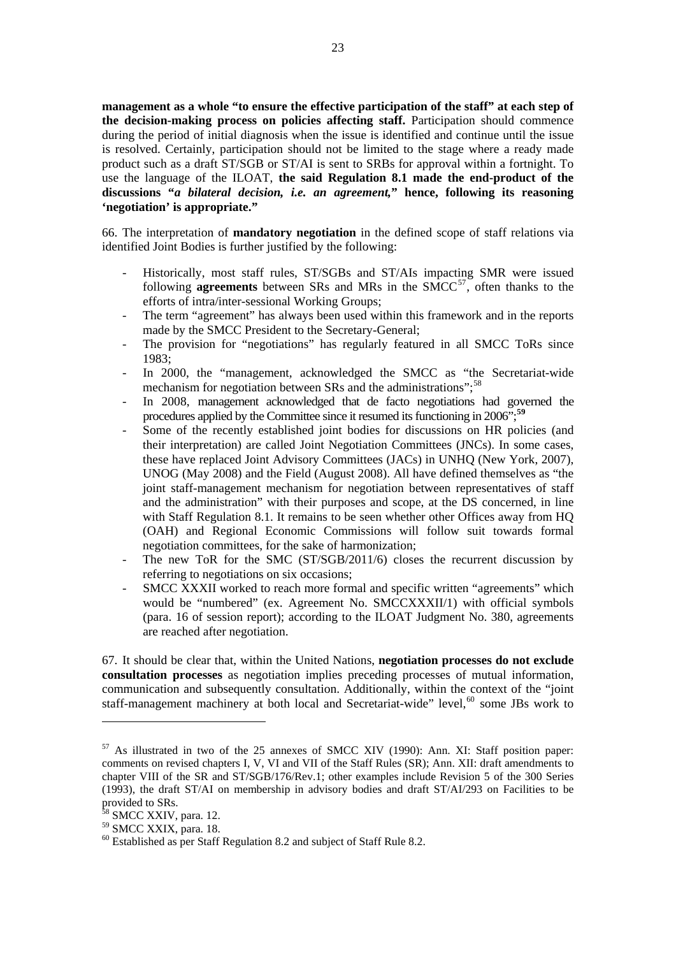<span id="page-34-0"></span>**management as a whole "to ensure the effective participation of the staff" at each step of the decision-making process on policies affecting staff.** Participation should commence during the period of initial diagnosis when the issue is identified and continue until the issue is resolved. Certainly, participation should not be limited to the stage where a ready made product such as a draft ST/SGB or ST/AI is sent to SRBs for approval within a fortnight. To use the language of the ILOAT, **the said Regulation 8.1 made the end-product of the discussions "***a bilateral decision, i.e. an agreement,***" hence, following its reasoning 'negotiation' is appropriate."**

66. The interpretation of **mandatory negotiation** in the defined scope of staff relations via identified Joint Bodies is further justified by the following:

- Historically, most staff rules, ST/SGBs and ST/AIs impacting SMR were issued following **agreements** between SRs and MRs in the  $SMCC^{57}$  $SMCC^{57}$  $SMCC^{57}$ , often thanks to the efforts of intra/inter-sessional Working Groups;
- The term "agreement" has always been used within this framework and in the reports made by the SMCC President to the Secretary-General;
- The provision for "negotiations" has regularly featured in all SMCC ToRs since 1983;
- In 2000, the "management*,* acknowledged the SMCC as "the Secretariat-wide mechanism for negotiation between SRs and the administrations"; $^{58}$  $^{58}$  $^{58}$
- In 2008, management acknowledged that de facto negotiations had governed the procedures applied by the Committee since it resumed its functioning in 2006";**[59](#page-34-0)**
- Some of the recently established joint bodies for discussions on HR policies (and their interpretation) are called Joint Negotiation Committees (JNCs). In some cases, these have replaced Joint Advisory Committees (JACs) in UNHQ (New York, 2007), UNOG (May 2008) and the Field (August 2008). All have defined themselves as "the joint staff-management mechanism for negotiation between representatives of staff and the administration" with their purposes and scope, at the DS concerned, in line with Staff Regulation 8.1. It remains to be seen whether other Offices away from HQ (OAH) and Regional Economic Commissions will follow suit towards formal negotiation committees, for the sake of harmonization;
- The new ToR for the SMC (ST/SGB/2011/6) closes the recurrent discussion by referring to negotiations on six occasions;
- SMCC XXXII worked to reach more formal and specific written "agreements" which would be "numbered" (ex. Agreement No. SMCCXXXII/1) with official symbols (para. 16 of session report); according to the ILOAT Judgment No. 380, agreements are reached after negotiation.

67. It should be clear that, within the United Nations, **negotiation processes do not exclude consultation processes** as negotiation implies preceding processes of mutual information, communication and subsequently consultation. Additionally, within the context of the "joint staff-management machinery at both local and Secretariat-wide" level,<sup>[60](#page-34-0)</sup> some JBs work to

<sup>57</sup> As illustrated in two of the 25 annexes of SMCC XIV (1990): Ann. XI: Staff position paper: comments on revised chapters I, V, VI and VII of the Staff Rules (SR); Ann. XII: draft amendments to chapter VIII of the SR and ST/SGB/176/Rev.1; other examples include Revision 5 of the 300 Series (1993), the draft ST/AI on membership in advisory bodies and draft ST/AI/293 on Facilities to be provided to SRs.

<sup>&</sup>lt;sup>58</sup> SMCC XXIV, para. 12.

<sup>&</sup>lt;sup>59</sup> SMCC XXIX, para. 18.

 $60$  Established as per Staff Regulation 8.2 and subject of Staff Rule 8.2.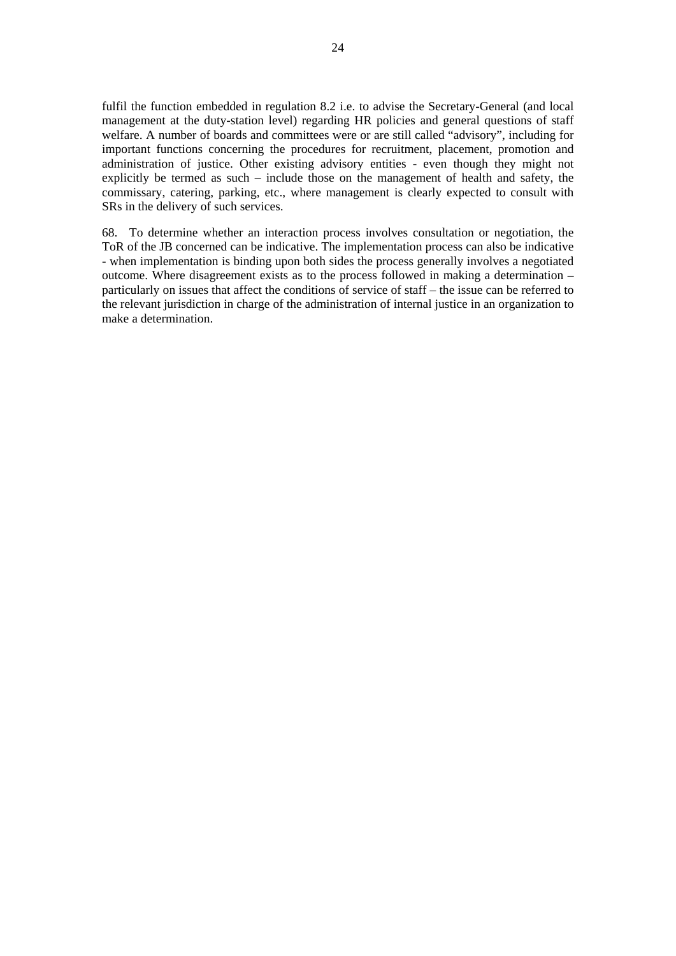fulfil the function embedded in regulation 8.2 i.e. to advise the Secretary-General (and local management at the duty-station level) regarding HR policies and general questions of staff welfare. A number of boards and committees were or are still called "advisory", including for important functions concerning the procedures for recruitment, placement, promotion and administration of justice. Other existing advisory entities - even though they might not explicitly be termed as such – include those on the management of health and safety, the commissary, catering, parking, etc., where management is clearly expected to consult with SRs in the delivery of such services.

68. To determine whether an interaction process involves consultation or negotiation, the ToR of the JB concerned can be indicative. The implementation process can also be indicative - when implementation is binding upon both sides the process generally involves a negotiated outcome. Where disagreement exists as to the process followed in making a determination – particularly on issues that affect the conditions of service of staff – the issue can be referred to the relevant jurisdiction in charge of the administration of internal justice in an organization to make a determination.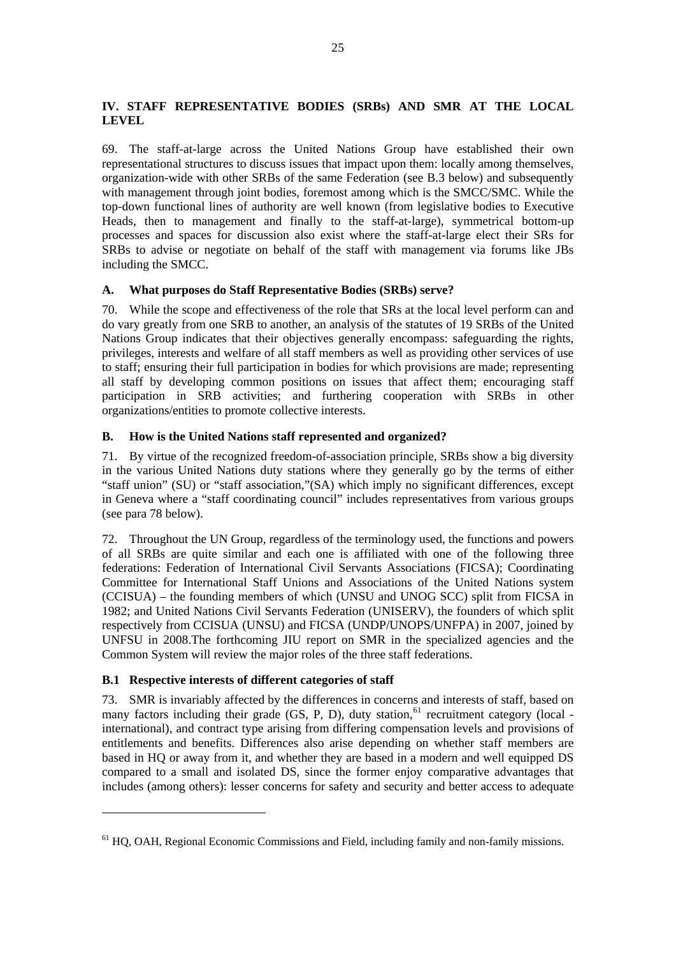# <span id="page-36-0"></span>**IV. STAFF REPRESENTATIVE BODIES (SRBs) AND SMR AT THE LOCAL LEVEL**

69. The staff-at-large across the United Nations Group have established their own representational structures to discuss issues that impact upon them: locally among themselves, organization-wide with other SRBs of the same Federation (see B.3 below) and subsequently with management through joint bodies, foremost among which is the SMCC/SMC. While the top-down functional lines of authority are well known (from legislative bodies to Executive Heads, then to management and finally to the staff-at-large), symmetrical bottom-up processes and spaces for discussion also exist where the staff-at-large elect their SRs for SRBs to advise or negotiate on behalf of the staff with management via forums like JBs including the SMCC.

# **A. What purposes do Staff Representative Bodies (SRBs) serve?**

70. While the scope and effectiveness of the role that SRs at the local level perform can and do vary greatly from one SRB to another, an analysis of the statutes of 19 SRBs of the United Nations Group indicates that their objectives generally encompass: safeguarding the rights, privileges, interests and welfare of all staff members as well as providing other services of use to staff; ensuring their full participation in bodies for which provisions are made; representing all staff by developing common positions on issues that affect them; encouraging staff participation in SRB activities; and furthering cooperation with SRBs in other organizations/entities to promote collective interests.

# **B. How is the United Nations staff represented and organized?**

71. By virtue of the recognized freedom-of-association principle, SRBs show a big diversity in the various United Nations duty stations where they generally go by the terms of either "staff union" (SU) or "staff association,"(SA) which imply no significant differences, except in Geneva where a "staff coordinating council" includes representatives from various groups (see para 78 below).

72. Throughout the UN Group, regardless of the terminology used, the functions and powers of all SRBs are quite similar and each one is affiliated with one of the following three federations: Federation of International Civil Servants Associations (FICSA); Coordinating Committee for International Staff Unions and Associations of the United Nations system (CCISUA) – the founding members of which (UNSU and UNOG SCC) split from FICSA in 1982; and United Nations Civil Servants Federation (UNISERV), the founders of which split respectively from CCISUA (UNSU) and FICSA (UNDP/UNOPS/UNFPA) in 2007, joined by UNFSU in 2008.The forthcoming JIU report on SMR in the specialized agencies and the Common System will review the major roles of the three staff federations.

# **B.1 Respective interests of different categories of staff**

 $\overline{a}$ 

73. SMR is invariably affected by the differences in concerns and interests of staff, based on many factors including their grade (GS, P, D), duty station,<sup>[61](#page-36-0)</sup> recruitment category (local international), and contract type arising from differing compensation levels and provisions of entitlements and benefits. Differences also arise depending on whether staff members are based in HQ or away from it, and whether they are based in a modern and well equipped DS compared to a small and isolated DS, since the former enjoy comparative advantages that includes (among others): lesser concerns for safety and security and better access to adequate

 $<sup>61</sup>$  HO, OAH, Regional Economic Commissions and Field, including family and non-family missions.</sup>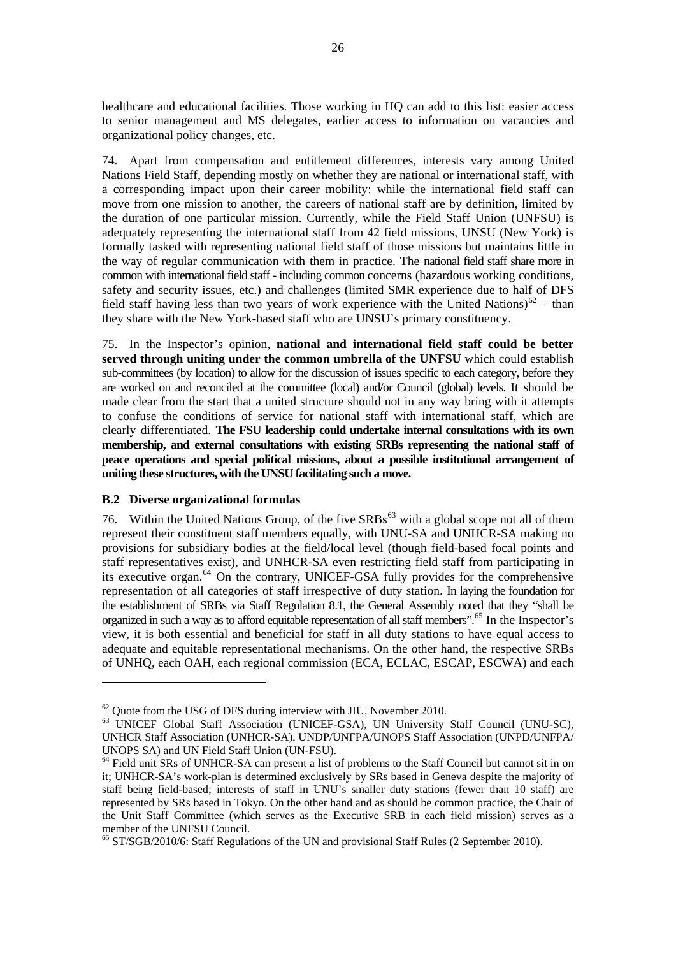<span id="page-37-0"></span>healthcare and educational facilities. Those working in HQ can add to this list: easier access to senior management and MS delegates, earlier access to information on vacancies and organizational policy changes, etc.

74. Apart from compensation and entitlement differences, interests vary among United Nations Field Staff, depending mostly on whether they are national or international staff, with a corresponding impact upon their career mobility: while the international field staff can move from one mission to another, the careers of national staff are by definition, limited by the duration of one particular mission. Currently, while the Field Staff Union (UNFSU) is adequately representing the international staff from 42 field missions, UNSU (New York) is formally tasked with representing national field staff of those missions but maintains little in the way of regular communication with them in practice. The national field staff share more in common with international field staff - including common concerns (hazardous working conditions, safety and security issues, etc.) and challenges (limited SMR experience due to half of DFS field staff having less than two years of work experience with the United Nations)<sup>[62](#page-37-0)</sup> – than they share with the New York-based staff who are UNSU's primary constituency.

75. In the Inspector's opinion, **national and international field staff could be better served through uniting under the common umbrella of the UNFSU** which could establish sub-committees (by location) to allow for the discussion of issues specific to each category, before they are worked on and reconciled at the committee (local) and/or Council (global) levels. It should be made clear from the start that a united structure should not in any way bring with it attempts to confuse the conditions of service for national staff with international staff, which are clearly differentiated. **The FSU leadership could undertake internal consultations with its own membership, and external consultations with existing SRBs representing the national staff of peace operations and special political missions, about a possible institutional arrangement of uniting these structures, with the UNSU facilitating such a move.**

#### **B.2 Diverse organizational formulas**

 $\overline{a}$ 

76. Within the United Nations Group, of the five  $SRBs^{63}$  $SRBs^{63}$  $SRBs^{63}$  with a global scope not all of them represent their constituent staff members equally, with UNU-SA and UNHCR-SA making no provisions for subsidiary bodies at the field/local level (though field-based focal points and staff representatives exist), and UNHCR-SA even restricting field staff from participating in its executive organ.<sup>[64](#page-37-0)</sup> On the contrary, UNICEF-GSA fully provides for the comprehensive representation of all categories of staff irrespective of duty station. In laying the foundation for the establishment of SRBs via Staff Regulation 8.1, the General Assembly noted that they "shall be organized in such a way as to afford equitable representation of all staff members".[65](#page-37-0) In the Inspector's view, it is both essential and beneficial for staff in all duty stations to have equal access to adequate and equitable representational mechanisms. On the other hand, the respective SRBs of UNHQ, each OAH, each regional commission (ECA, ECLAC, ESCAP, ESCWA) and each

 $62$  Quote from the USG of DFS during interview with JIU, November 2010.

<sup>63</sup> UNICEF Global Staff Association (UNICEF-GSA), UN University Staff Council (UNU-SC), UNHCR Staff Association (UNHCR-SA), UNDP/UNFPA/UNOPS Staff Association (UNPD/UNFPA/ UNOPS SA) and UN Field Staff Union (UN-FSU).

<sup>&</sup>lt;sup>64</sup> Field unit SRs of UNHCR-SA can present a list of problems to the Staff Council but cannot sit in on it; UNHCR-SA's work-plan is determined exclusively by SRs based in Geneva despite the majority of staff being field-based; interests of staff in UNU's smaller duty stations (fewer than 10 staff) are represented by SRs based in Tokyo. On the other hand and as should be common practice, the Chair of the Unit Staff Committee (which serves as the Executive SRB in each field mission) serves as a member of the UNFSU Council.

<sup>&</sup>lt;sup>65</sup> ST/SGB/2010/6: Staff Regulations of the UN and provisional Staff Rules (2 September 2010).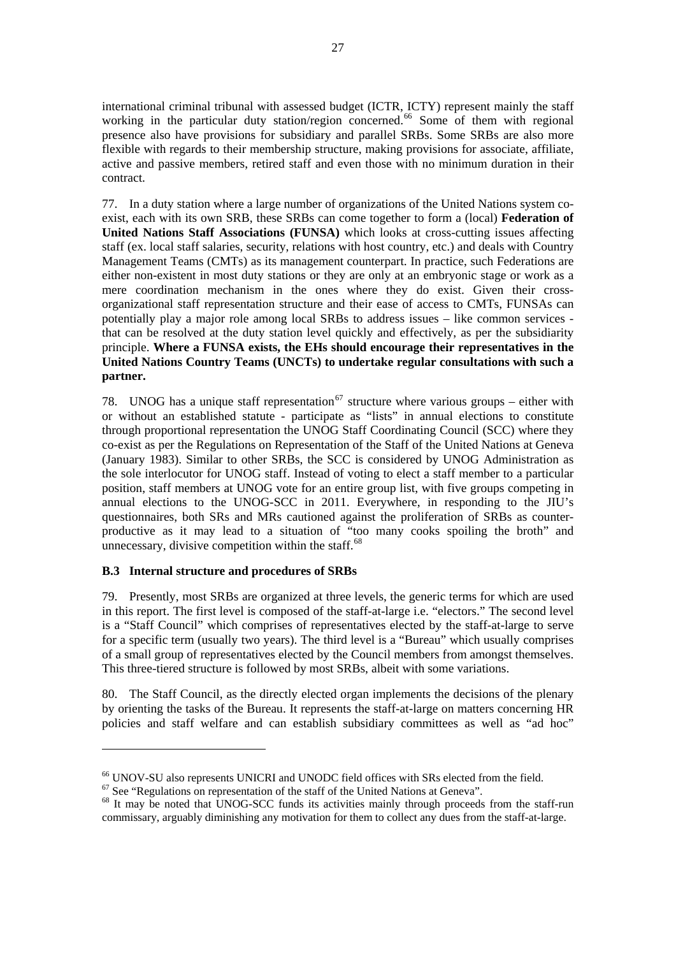<span id="page-38-0"></span>international criminal tribunal with assessed budget (ICTR, ICTY) represent mainly the staff working in the particular duty station/region concerned.<sup>[66](#page-38-0)</sup> Some of them with regional presence also have provisions for subsidiary and parallel SRBs. Some SRBs are also more flexible with regards to their membership structure, making provisions for associate, affiliate, active and passive members, retired staff and even those with no minimum duration in their contract.

77. In a duty station where a large number of organizations of the United Nations system coexist, each with its own SRB, these SRBs can come together to form a (local) **Federation of United Nations Staff Associations (FUNSA)** which looks at cross-cutting issues affecting staff (ex. local staff salaries, security, relations with host country, etc.) and deals with Country Management Teams (CMTs) as its management counterpart. In practice, such Federations are either non-existent in most duty stations or they are only at an embryonic stage or work as a mere coordination mechanism in the ones where they do exist. Given their crossorganizational staff representation structure and their ease of access to CMTs, FUNSAs can potentially play a major role among local SRBs to address issues – like common services that can be resolved at the duty station level quickly and effectively, as per the subsidiarity principle. **Where a FUNSA exists, the EHs should encourage their representatives in the United Nations Country Teams (UNCTs) to undertake regular consultations with such a partner.**

78. UNOG has a unique staff representation<sup>[67](#page-38-0)</sup> structure where various groups – either with or without an established statute - participate as "lists" in annual elections to constitute through proportional representation the UNOG Staff Coordinating Council (SCC) where they co-exist as per the Regulations on Representation of the Staff of the United Nations at Geneva (January 1983). Similar to other SRBs, the SCC is considered by UNOG Administration as the sole interlocutor for UNOG staff. Instead of voting to elect a staff member to a particular position, staff members at UNOG vote for an entire group list, with five groups competing in annual elections to the UNOG-SCC in 2011. Everywhere, in responding to the JIU's questionnaires, both SRs and MRs cautioned against the proliferation of SRBs as counterproductive as it may lead to a situation of "too many cooks spoiling the broth" and unnecessary, divisive competition within the staff. $^{68}$  $^{68}$  $^{68}$ 

# **B.3 Internal structure and procedures of SRBs**

 $\overline{a}$ 

79. Presently, most SRBs are organized at three levels, the generic terms for which are used in this report. The first level is composed of the staff-at-large i.e. "electors." The second level is a "Staff Council" which comprises of representatives elected by the staff-at-large to serve for a specific term (usually two years). The third level is a "Bureau" which usually comprises of a small group of representatives elected by the Council members from amongst themselves. This three-tiered structure is followed by most SRBs, albeit with some variations.

80. The Staff Council, as the directly elected organ implements the decisions of the plenary by orienting the tasks of the Bureau. It represents the staff-at-large on matters concerning HR policies and staff welfare and can establish subsidiary committees as well as "ad hoc"

<sup>&</sup>lt;sup>66</sup> UNOV-SU also represents UNICRI and UNODC field offices with SRs elected from the field.  $67$  See "Regulations on representation of the staff of the United Nations at Geneva".

<sup>&</sup>lt;sup>68</sup> It may be noted that UNOG-SCC funds its activities mainly through proceeds from the staff-run commissary, arguably diminishing any motivation for them to collect any dues from the staff-at-large.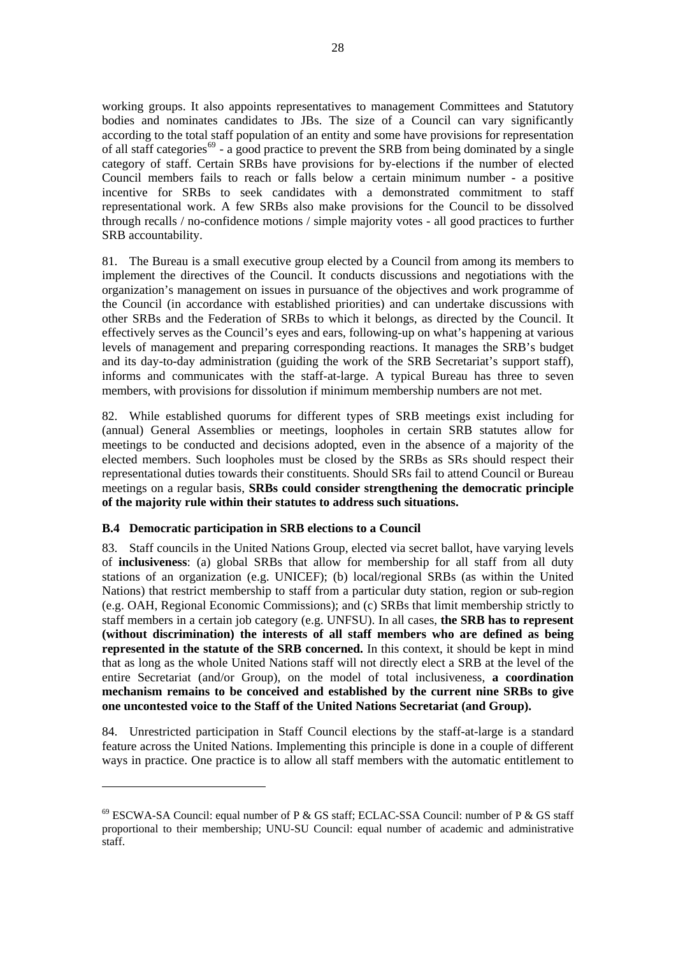<span id="page-39-0"></span>working groups. It also appoints representatives to management Committees and Statutory bodies and nominates candidates to JBs. The size of a Council can vary significantly according to the total staff population of an entity and some have provisions for representation of all staff categories<sup>[69](#page-39-0)</sup> - a good practice to prevent the SRB from being dominated by a single category of staff. Certain SRBs have provisions for by-elections if the number of elected Council members fails to reach or falls below a certain minimum number - a positive incentive for SRBs to seek candidates with a demonstrated commitment to staff representational work. A few SRBs also make provisions for the Council to be dissolved through recalls / no-confidence motions / simple majority votes - all good practices to further SRB accountability.

81. The Bureau is a small executive group elected by a Council from among its members to implement the directives of the Council. It conducts discussions and negotiations with the organization's management on issues in pursuance of the objectives and work programme of the Council (in accordance with established priorities) and can undertake discussions with other SRBs and the Federation of SRBs to which it belongs, as directed by the Council. It effectively serves as the Council's eyes and ears, following-up on what's happening at various levels of management and preparing corresponding reactions. It manages the SRB's budget and its day-to-day administration (guiding the work of the SRB Secretariat's support staff), informs and communicates with the staff-at-large. A typical Bureau has three to seven members, with provisions for dissolution if minimum membership numbers are not met.

82. While established quorums for different types of SRB meetings exist including for (annual) General Assemblies or meetings, loopholes in certain SRB statutes allow for meetings to be conducted and decisions adopted, even in the absence of a majority of the elected members. Such loopholes must be closed by the SRBs as SRs should respect their representational duties towards their constituents. Should SRs fail to attend Council or Bureau meetings on a regular basis, **SRBs could consider strengthening the democratic principle of the majority rule within their statutes to address such situations.** 

## **B.4 Democratic participation in SRB elections to a Council**

 $\overline{a}$ 

83. Staff councils in the United Nations Group, elected via secret ballot, have varying levels of **inclusiveness**: (a) global SRBs that allow for membership for all staff from all duty stations of an organization (e.g. UNICEF); (b) local/regional SRBs (as within the United Nations) that restrict membership to staff from a particular duty station, region or sub-region (e.g. OAH, Regional Economic Commissions); and (c) SRBs that limit membership strictly to staff members in a certain job category (e.g. UNFSU). In all cases, **the SRB has to represent (without discrimination) the interests of all staff members who are defined as being represented in the statute of the SRB concerned.** In this context, it should be kept in mind that as long as the whole United Nations staff will not directly elect a SRB at the level of the entire Secretariat (and/or Group), on the model of total inclusiveness, **a coordination mechanism remains to be conceived and established by the current nine SRBs to give one uncontested voice to the Staff of the United Nations Secretariat (and Group).**

84. Unrestricted participation in Staff Council elections by the staff-at-large is a standard feature across the United Nations. Implementing this principle is done in a couple of different ways in practice. One practice is to allow all staff members with the automatic entitlement to

 $^{69}$  ESCWA-SA Council: equal number of P & GS staff; ECLAC-SSA Council: number of P & GS staff proportional to their membership; UNU-SU Council: equal number of academic and administrative staff.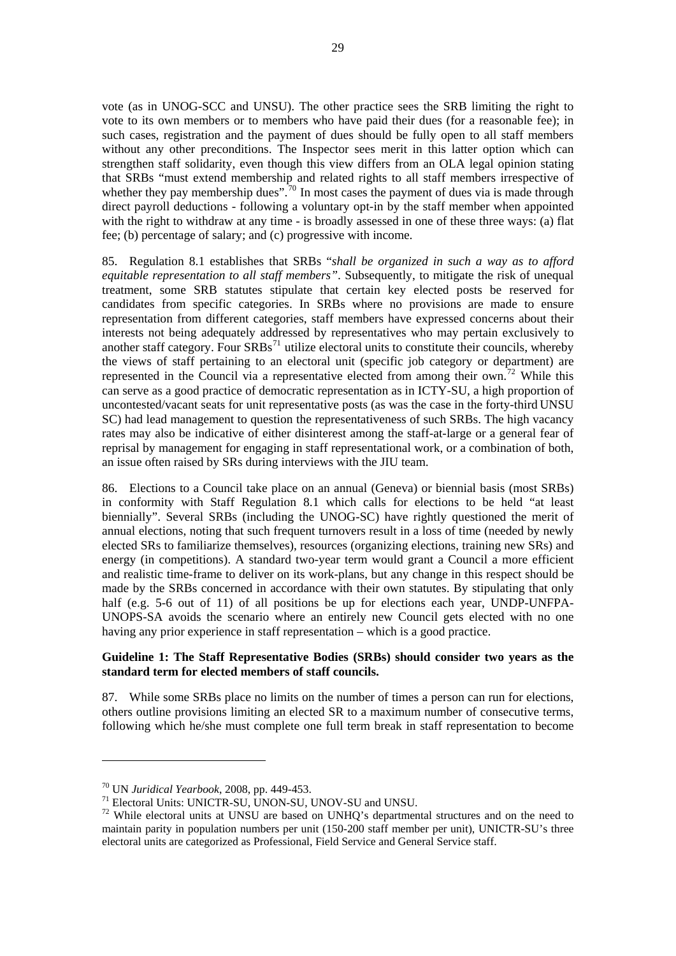<span id="page-40-0"></span>vote (as in UNOG-SCC and UNSU). The other practice sees the SRB limiting the right to vote to its own members or to members who have paid their dues (for a reasonable fee); in such cases, registration and the payment of dues should be fully open to all staff members without any other preconditions. The Inspector sees merit in this latter option which can strengthen staff solidarity, even though this view differs from an OLA legal opinion stating that SRBs "must extend membership and related rights to all staff members irrespective of whether they pay membership dues".<sup>[70](#page-40-0)</sup> In most cases the payment of dues via is made through direct payroll deductions - following a voluntary opt-in by the staff member when appointed with the right to withdraw at any time - is broadly assessed in one of these three ways: (a) flat fee; (b) percentage of salary; and (c) progressive with income.

85. Regulation 8.1 establishes that SRBs "*shall be organized in such a way as to afford equitable representation to all staff members"*. Subsequently, to mitigate the risk of unequal treatment, some SRB statutes stipulate that certain key elected posts be reserved for candidates from specific categories. In SRBs where no provisions are made to ensure representation from different categories, staff members have expressed concerns about their interests not being adequately addressed by representatives who may pertain exclusively to another staff category. Four  $\overline{SRBs}^{71}$  $\overline{SRBs}^{71}$  $\overline{SRBs}^{71}$  utilize electoral units to constitute their councils, whereby the views of staff pertaining to an electoral unit (specific job category or department) are represented in the Council via a representative elected from among their own.<sup>[72](#page-40-0)</sup> While this can serve as a good practice of democratic representation as in ICTY-SU, a high proportion of uncontested/vacant seats for unit representative posts (as was the case in the forty-third UNSU SC) had lead management to question the representativeness of such SRBs. The high vacancy rates may also be indicative of either disinterest among the staff-at-large or a general fear of reprisal by management for engaging in staff representational work, or a combination of both, an issue often raised by SRs during interviews with the JIU team.

86. Elections to a Council take place on an annual (Geneva) or biennial basis (most SRBs) in conformity with Staff Regulation 8.1 which calls for elections to be held "at least biennially". Several SRBs (including the UNOG-SC) have rightly questioned the merit of annual elections, noting that such frequent turnovers result in a loss of time (needed by newly elected SRs to familiarize themselves), resources (organizing elections, training new SRs) and energy (in competitions). A standard two-year term would grant a Council a more efficient and realistic time-frame to deliver on its work-plans, but any change in this respect should be made by the SRBs concerned in accordance with their own statutes. By stipulating that only half (e.g. 5-6 out of 11) of all positions be up for elections each year, UNDP-UNFPA-UNOPS-SA avoids the scenario where an entirely new Council gets elected with no one having any prior experience in staff representation – which is a good practice.

## **Guideline 1: The Staff Representative Bodies (SRBs) should consider two years as the standard term for elected members of staff councils.**

87. While some SRBs place no limits on the number of times a person can run for elections, others outline provisions limiting an elected SR to a maximum number of consecutive terms, following which he/she must complete one full term break in staff representation to become

<sup>70</sup> UN *Juridical Yearbook*, 2008, pp. 449-453. 71 Electoral Units: UNICTR-SU, UNON-SU, UNOV-SU and UNSU.

 $72$  While electoral units at UNSU are based on UNHQ's departmental structures and on the need to maintain parity in population numbers per unit (150-200 staff member per unit), UNICTR-SU's three electoral units are categorized as Professional, Field Service and General Service staff.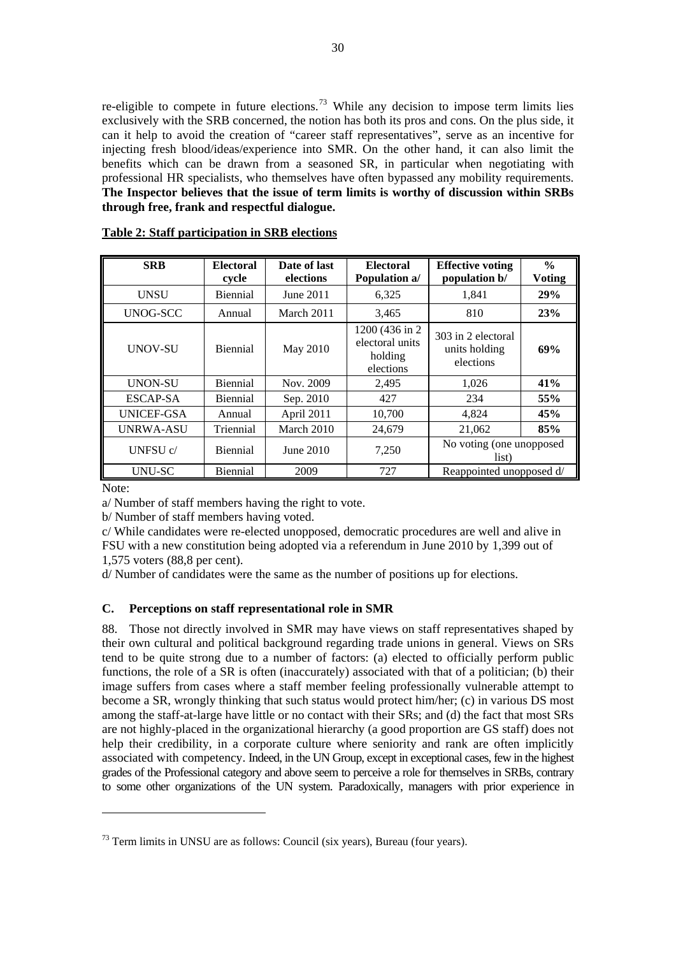<span id="page-41-0"></span>re-eligible to compete in future elections.<sup>[73](#page-41-0)</sup> While any decision to impose term limits lies exclusively with the SRB concerned, the notion has both its pros and cons. On the plus side, it can it help to avoid the creation of "career staff representatives", serve as an incentive for injecting fresh blood/ideas/experience into SMR. On the other hand, it can also limit the benefits which can be drawn from a seasoned SR, in particular when negotiating with professional HR specialists, who themselves have often bypassed any mobility requirements. **The Inspector believes that the issue of term limits is worthy of discussion within SRBs through free, frank and respectful dialogue.** 

| <b>SRB</b>       | <b>Electoral</b><br>cycle | Date of last<br>elections | <b>Electoral</b><br>Population a/                          | <b>Effective voting</b><br>population b/         | $\frac{6}{9}$<br><b>Voting</b> |
|------------------|---------------------------|---------------------------|------------------------------------------------------------|--------------------------------------------------|--------------------------------|
| <b>UNSU</b>      | <b>Biennial</b>           | June 2011                 | 6.325                                                      | 1,841                                            | 29%                            |
| UNOG-SCC         | Annual                    | March 2011                | 3,465                                                      | 810                                              | 23%                            |
| <b>UNOV-SU</b>   | <b>Biennial</b>           | May 2010                  | 1200 (436 in 2)<br>electoral units<br>holding<br>elections | 303 in 2 electoral<br>units holding<br>elections | 69%                            |
| <b>UNON-SU</b>   | Biennial                  | Nov. 2009                 | 2,495                                                      | 1,026                                            | 41%                            |
| ESCAP-SA         | <b>Biennial</b>           | Sep. 2010                 | 427                                                        | 234                                              | 55%                            |
| UNICEF-GSA       | Annual                    | April 2011                | 10,700                                                     | 4,824                                            | 45%                            |
| <b>UNRWA-ASU</b> | Triennial                 | March 2010                | 24,679                                                     | 21,062                                           | 85%                            |
| UNFSU c/         | <b>Biennial</b>           | June 2010                 | 7,250                                                      | No voting (one unopposed<br>list)                |                                |
| UNU-SC           | <b>Biennial</b>           | 2009                      | 727                                                        | Reappointed unopposed d/                         |                                |

#### **Table 2: Staff participation in SRB elections**

Note:

 $\overline{a}$ 

a/ Number of staff members having the right to vote.

b/ Number of staff members having voted.

c/ While candidates were re-elected unopposed, democratic procedures are well and alive in FSU with a new constitution being adopted via a referendum in June 2010 by 1,399 out of 1,575 voters (88,8 per cent).

d/ Number of candidates were the same as the number of positions up for elections.

#### **C. Perceptions on staff representational role in SMR**

88. Those not directly involved in SMR may have views on staff representatives shaped by their own cultural and political background regarding trade unions in general. Views on SRs tend to be quite strong due to a number of factors: (a) elected to officially perform public functions, the role of a SR is often (inaccurately) associated with that of a politician; (b) their image suffers from cases where a staff member feeling professionally vulnerable attempt to become a SR, wrongly thinking that such status would protect him/her; (c) in various DS most among the staff-at-large have little or no contact with their SRs; and (d) the fact that most SRs are not highly-placed in the organizational hierarchy (a good proportion are GS staff) does not help their credibility, in a corporate culture where seniority and rank are often implicitly associated with competency. Indeed, in the UN Group, except in exceptional cases, few in the highest grades of the Professional category and above seem to perceive a role for themselves in SRBs, contrary to some other organizations of the UN system. Paradoxically, managers with prior experience in

 $73$  Term limits in UNSU are as follows: Council (six years), Bureau (four years).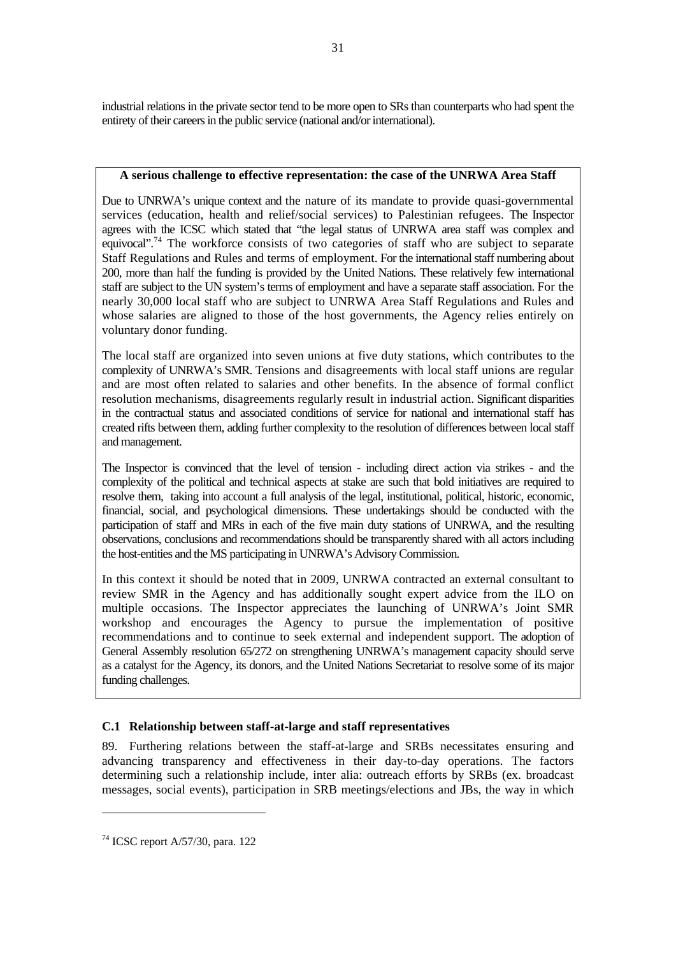<span id="page-42-0"></span>industrial relations in the private sector tend to be more open to SRs than counterparts who had spent the entirety of their careers in the public service (national and/or international).

## **A serious challenge to effective representation: the case of the UNRWA Area Staff**

Due to UNRWA's unique context and the nature of its mandate to provide quasi-governmental services (education, health and relief/social services) to Palestinian refugees. The Inspector agrees with the ICSC which stated that "the legal status of UNRWA area staff was complex and equivocal".[74](#page-42-0) The workforce consists of two categories of staff who are subject to separate Staff Regulations and Rules and terms of employment. For the international staff numbering about 200, more than half the funding is provided by the United Nations. These relatively few international staff are subject to the UN system's terms of employment and have a separate staff association. For the nearly 30,000 local staff who are subject to UNRWA Area Staff Regulations and Rules and whose salaries are aligned to those of the host governments, the Agency relies entirely on voluntary donor funding.

The local staff are organized into seven unions at five duty stations, which contributes to the complexity of UNRWA's SMR. Tensions and disagreements with local staff unions are regular and are most often related to salaries and other benefits. In the absence of formal conflict resolution mechanisms, disagreements regularly result in industrial action. Significant disparities in the contractual status and associated conditions of service for national and international staff has created rifts between them, adding further complexity to the resolution of differences between local staff and management.

The Inspector is convinced that the level of tension - including direct action via strikes - and the complexity of the political and technical aspects at stake are such that bold initiatives are required to resolve them, taking into account a full analysis of the legal, institutional, political, historic, economic, financial, social, and psychological dimensions. These undertakings should be conducted with the participation of staff and MRs in each of the five main duty stations of UNRWA, and the resulting observations, conclusions and recommendations should be transparently shared with all actors including the host-entities and the MS participating in UNRWA's Advisory Commission.

In this context it should be noted that in 2009, UNRWA contracted an external consultant to review SMR in the Agency and has additionally sought expert advice from the ILO on multiple occasions. The Inspector appreciates the launching of UNRWA's Joint SMR workshop and encourages the Agency to pursue the implementation of positive recommendations and to continue to seek external and independent support. The adoption of General Assembly resolution 65/272 on strengthening UNRWA's management capacity should serve as a catalyst for the Agency, its donors, and the United Nations Secretariat to resolve some of its major funding challenges.

# **C.1 Relationship between staff-at-large and staff representatives**

89. Furthering relations between the staff-at-large and SRBs necessitates ensuring and advancing transparency and effectiveness in their day-to-day operations. The factors determining such a relationship include, inter alia: outreach efforts by SRBs (ex. broadcast messages, social events), participation in SRB meetings/elections and JBs, the way in which

<sup>74</sup> ICSC report A/57/30, para. 122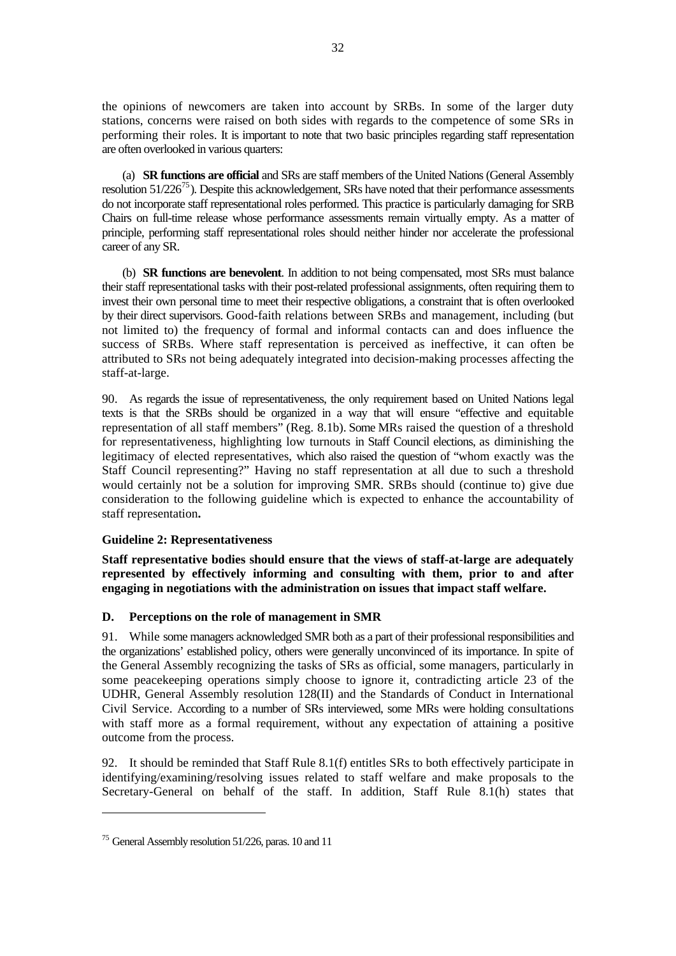<span id="page-43-0"></span>the opinions of newcomers are taken into account by SRBs. In some of the larger duty stations, concerns were raised on both sides with regards to the competence of some SRs in performing their roles. It is important to note that two basic principles regarding staff representation are often overlooked in various quarters:

 (a) **SR functions are official** and SRs are staff members of the United Nations (General Assembly resolution  $51/226^{75}$  $51/226^{75}$  $51/226^{75}$ ). Despite this acknowledgement, SRs have noted that their performance assessments do not incorporate staff representational roles performed. This practice is particularly damaging for SRB Chairs on full-time release whose performance assessments remain virtually empty. As a matter of principle, performing staff representational roles should neither hinder nor accelerate the professional career of any SR.

 (b) **SR functions are benevolent**. In addition to not being compensated, most SRs must balance their staff representational tasks with their post-related professional assignments, often requiring them to invest their own personal time to meet their respective obligations, a constraint that is often overlooked by their direct supervisors. Good-faith relations between SRBs and management, including (but not limited to) the frequency of formal and informal contacts can and does influence the success of SRBs. Where staff representation is perceived as ineffective, it can often be attributed to SRs not being adequately integrated into decision-making processes affecting the staff-at-large.

90. As regards the issue of representativeness, the only requirement based on United Nations legal texts is that the SRBs should be organized in a way that will ensure "effective and equitable representation of all staff members" (Reg. 8.1b). Some MRs raised the question of a threshold for representativeness, highlighting low turnouts in Staff Council elections, as diminishing the legitimacy of elected representatives, which also raised the question of "whom exactly was the Staff Council representing?" Having no staff representation at all due to such a threshold would certainly not be a solution for improving SMR. SRBs should (continue to) give due consideration to the following guideline which is expected to enhance the accountability of staff representation**.**

# **Guideline 2: Representativeness**

**Staff representative bodies should ensure that the views of staff-at-large are adequately represented by effectively informing and consulting with them, prior to and after engaging in negotiations with the administration on issues that impact staff welfare.** 

# **D. Perceptions on the role of management in SMR**

91. While some managers acknowledged SMR both as a part of their professional responsibilities and the organizations' established policy, others were generally unconvinced of its importance. In spite of the General Assembly recognizing the tasks of SRs as official, some managers, particularly in some peacekeeping operations simply choose to ignore it, contradicting article 23 of the UDHR, General Assembly resolution 128(II) and the Standards of Conduct in International Civil Service. According to a number of SRs interviewed, some MRs were holding consultations with staff more as a formal requirement, without any expectation of attaining a positive outcome from the process.

92. It should be reminded that Staff Rule 8.1(f) entitles SRs to both effectively participate in identifying/examining/resolving issues related to staff welfare and make proposals to the Secretary-General on behalf of the staff. In addition, Staff Rule 8.1(h) states that

<sup>75</sup> General Assembly resolution 51/226, paras. 10 and 11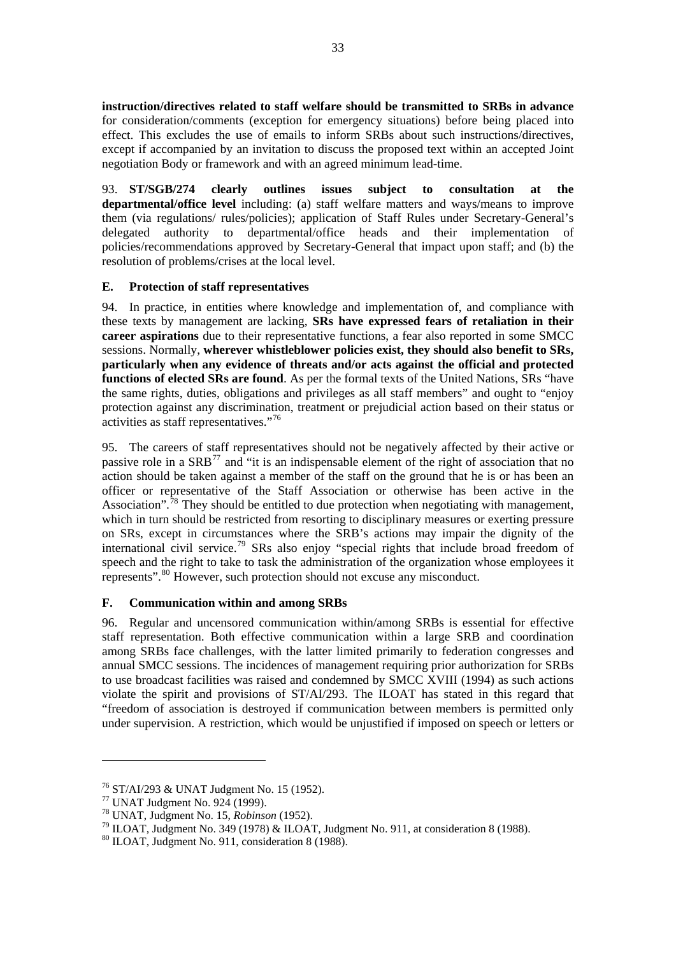<span id="page-44-0"></span>**instruction/directives related to staff welfare should be transmitted to SRBs in advance**  for consideration/comments (exception for emergency situations) before being placed into effect. This excludes the use of emails to inform SRBs about such instructions/directives, except if accompanied by an invitation to discuss the proposed text within an accepted Joint negotiation Body or framework and with an agreed minimum lead-time.

93. **ST/SGB/274 clearly outlines issues subject to consultation at the departmental/office level** including: (a) staff welfare matters and ways/means to improve them (via regulations/ rules/policies); application of Staff Rules under Secretary-General's delegated authority to departmental/office heads and their implementation of policies/recommendations approved by Secretary-General that impact upon staff; and (b) the resolution of problems/crises at the local level.

# **E. Protection of staff representatives**

94. In practice, in entities where knowledge and implementation of, and compliance with these texts by management are lacking, **SRs have expressed fears of retaliation in their career aspirations** due to their representative functions, a fear also reported in some SMCC sessions. Normally, **wherever whistleblower policies exist, they should also benefit to SRs, particularly when any evidence of threats and/or acts against the official and protected functions of elected SRs are found**. As per the formal texts of the United Nations, SRs "have the same rights, duties, obligations and privileges as all staff members" and ought to "enjoy protection against any discrimination, treatment or prejudicial action based on their status or activities as staff representatives."[76](#page-44-0)

95. The careers of staff representatives should not be negatively affected by their active or passive role in a  $SRB<sup>77</sup>$  $SRB<sup>77</sup>$  $SRB<sup>77</sup>$  and "it is an indispensable element of the right of association that no action should be taken against a member of the staff on the ground that he is or has been an officer or representative of the Staff Association or otherwise has been active in the Association".<sup>[78](#page-44-0)</sup> They should be entitled to due protection when negotiating with management, which in turn should be restricted from resorting to disciplinary measures or exerting pressure on SRs, except in circumstances where the SRB's actions may impair the dignity of the international civil service.<sup>[79](#page-44-0)</sup> SRs also enjoy "special rights that include broad freedom of speech and the right to take to task the administration of the organization whose employees it represents".<sup>[80](#page-44-0)</sup> However, such protection should not excuse any misconduct.

# **F. Communication within and among SRBs**

96. Regular and uncensored communication within/among SRBs is essential for effective staff representation. Both effective communication within a large SRB and coordination among SRBs face challenges, with the latter limited primarily to federation congresses and annual SMCC sessions. The incidences of management requiring prior authorization for SRBs to use broadcast facilities was raised and condemned by SMCC XVIII (1994) as such actions violate the spirit and provisions of ST/AI/293. The ILOAT has stated in this regard that "freedom of association is destroyed if communication between members is permitted only under supervision. A restriction, which would be unjustified if imposed on speech or letters or

<sup>76</sup> ST/AI/293 & UNAT Judgment No. 15 (1952).

 $^{77}$  UNAT Judgment No. 924 (1999).<br> $^{78}$  UNAT, Judgment No. 15, *Robinson* (1952).

<sup>&</sup>lt;sup>79</sup> ILOAT, Judgment No. 349 (1978) & ILOAT, Judgment No. 911, at consideration 8 (1988).

<sup>80</sup> ILOAT, Judgment No. 911, consideration 8 (1988).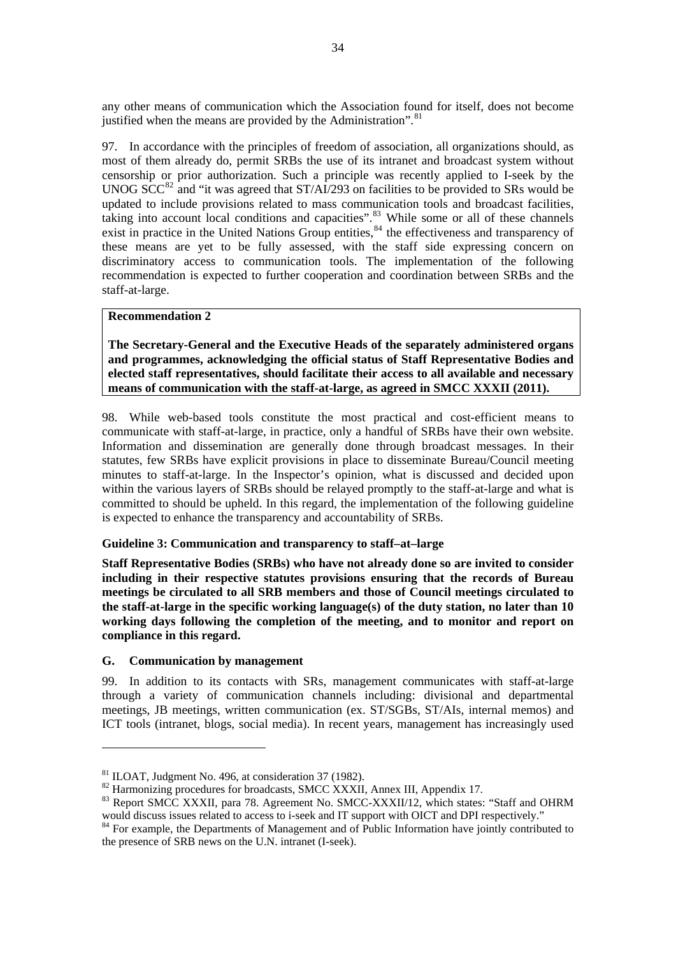<span id="page-45-0"></span>any other means of communication which the Association found for itself, does not become justified when the means are provided by the Administration". $81$ 

97. In accordance with the principles of freedom of association, all organizations should, as most of them already do, permit SRBs the use of its intranet and broadcast system without censorship or prior authorization. Such a principle was recently applied to I-seek by the UNOG  $SCC^{82}$  $SCC^{82}$  $SCC^{82}$  and "it was agreed that  $ST/AI/293$  on facilities to be provided to SRs would be updated to include provisions related to mass communication tools and broadcast facilities, taking into account local conditions and capacities".<sup>[83](#page-45-0)</sup> While some or all of these channels exist in practice in the United Nations Group entities,  $84$  the effectiveness and transparency of these means are yet to be fully assessed, with the staff side expressing concern on discriminatory access to communication tools. The implementation of the following recommendation is expected to further cooperation and coordination between SRBs and the staff-at-large.

## **Recommendation 2**

**The Secretary-General and the Executive Heads of the separately administered organs and programmes, acknowledging the official status of Staff Representative Bodies and elected staff representatives, should facilitate their access to all available and necessary means of communication with the staff-at-large, as agreed in SMCC XXXII (2011).**

98. While web-based tools constitute the most practical and cost-efficient means to communicate with staff-at-large, in practice, only a handful of SRBs have their own website. Information and dissemination are generally done through broadcast messages. In their statutes, few SRBs have explicit provisions in place to disseminate Bureau/Council meeting minutes to staff-at-large. In the Inspector's opinion, what is discussed and decided upon within the various layers of SRBs should be relayed promptly to the staff-at-large and what is committed to should be upheld. In this regard, the implementation of the following guideline is expected to enhance the transparency and accountability of SRBs.

# **Guideline 3: Communication and transparency to staff–at–large**

**Staff Representative Bodies (SRBs) who have not already done so are invited to consider including in their respective statutes provisions ensuring that the records of Bureau meetings be circulated to all SRB members and those of Council meetings circulated to the staff-at-large in the specific working language(s) of the duty station, no later than 10 working days following the completion of the meeting, and to monitor and report on compliance in this regard.**

# **G. Communication by management**

 $\overline{a}$ 

99. In addition to its contacts with SRs, management communicates with staff-at-large through a variety of communication channels including: divisional and departmental meetings, JB meetings, written communication (ex. ST/SGBs, ST/AIs, internal memos) and ICT tools (intranet, blogs, social media). In recent years, management has increasingly used

<sup>&</sup>lt;sup>81</sup> ILOAT, Judgment No. 496, at consideration 37 (1982).<br><sup>82</sup> Harmonizing procedures for broadcasts, SMCC XXXII, Annex III, Appendix 17.

<sup>&</sup>lt;sup>83</sup> Report SMCC XXXII, para 78. Agreement No. SMCC-XXXII/12, which states: "Staff and OHRM would discuss issues related to access to i-seek and IT support with OICT and DPI respectively."

 $84$  For example, the Departments of Management and of Public Information have jointly contributed to the presence of SRB news on the U.N. intranet (I-seek).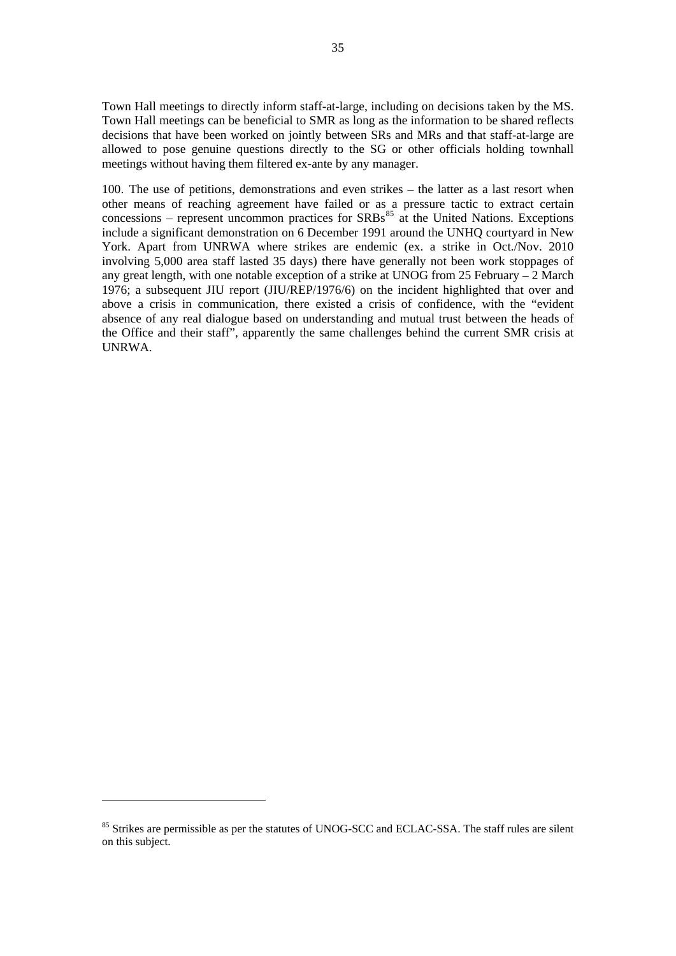<span id="page-46-0"></span>Town Hall meetings to directly inform staff-at-large, including on decisions taken by the MS. Town Hall meetings can be beneficial to SMR as long as the information to be shared reflects decisions that have been worked on jointly between SRs and MRs and that staff-at-large are allowed to pose genuine questions directly to the SG or other officials holding townhall meetings without having them filtered ex-ante by any manager.

100. The use of petitions, demonstrations and even strikes – the latter as a last resort when other means of reaching agreement have failed or as a pressure tactic to extract certain concessions – represent uncommon practices for  $SRBs^{85}$  $SRBs^{85}$  $SRBs^{85}$  at the United Nations. Exceptions include a significant demonstration on 6 December 1991 around the UNHQ courtyard in New York. Apart from UNRWA where strikes are endemic (ex. a strike in Oct./Nov. 2010 involving 5,000 area staff lasted 35 days) there have generally not been work stoppages of any great length, with one notable exception of a strike at UNOG from 25 February – 2 March 1976; a subsequent JIU report (JIU/REP/1976/6) on the incident highlighted that over and above a crisis in communication, there existed a crisis of confidence, with the "evident absence of any real dialogue based on understanding and mutual trust between the heads of the Office and their staff", apparently the same challenges behind the current SMR crisis at UNRWA.

<sup>&</sup>lt;sup>85</sup> Strikes are permissible as per the statutes of UNOG-SCC and ECLAC-SSA. The staff rules are silent on this subject.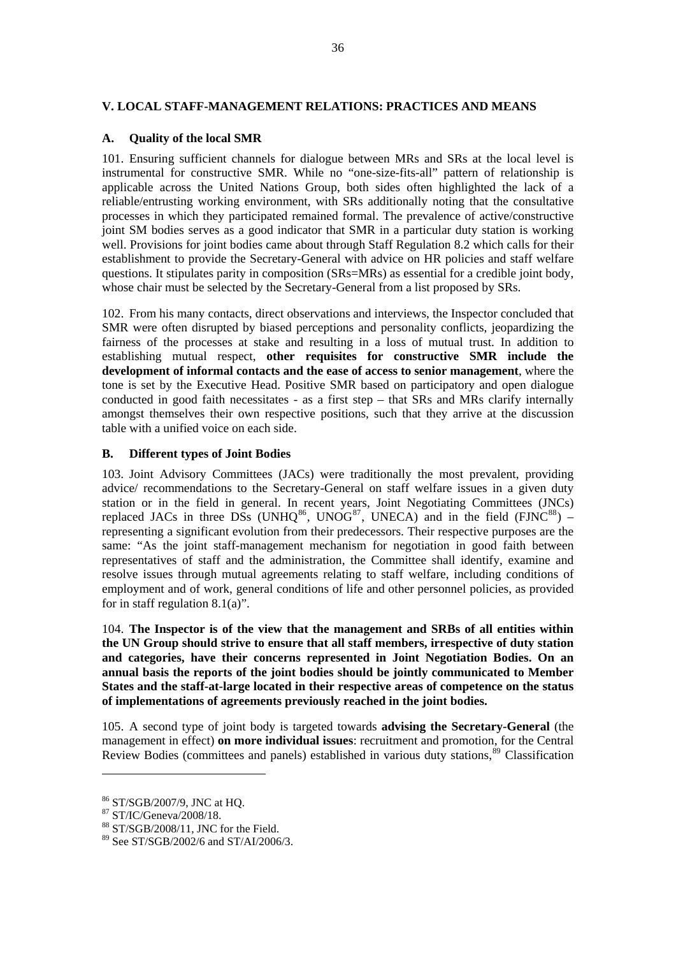## <span id="page-47-0"></span>**V. LOCAL STAFF-MANAGEMENT RELATIONS: PRACTICES AND MEANS**

### **A. Quality of the local SMR**

101. Ensuring sufficient channels for dialogue between MRs and SRs at the local level is instrumental for constructive SMR. While no "one-size-fits-all" pattern of relationship is applicable across the United Nations Group, both sides often highlighted the lack of a reliable/entrusting working environment, with SRs additionally noting that the consultative processes in which they participated remained formal. The prevalence of active/constructive joint SM bodies serves as a good indicator that SMR in a particular duty station is working well. Provisions for joint bodies came about through Staff Regulation 8.2 which calls for their establishment to provide the Secretary-General with advice on HR policies and staff welfare questions. It stipulates parity in composition (SRs=MRs) as essential for a credible joint body, whose chair must be selected by the Secretary-General from a list proposed by SRs.

102. From his many contacts, direct observations and interviews, the Inspector concluded that SMR were often disrupted by biased perceptions and personality conflicts, jeopardizing the fairness of the processes at stake and resulting in a loss of mutual trust. In addition to establishing mutual respect, **other requisites for constructive SMR include the development of informal contacts and the ease of access to senior management**, where the tone is set by the Executive Head. Positive SMR based on participatory and open dialogue conducted in good faith necessitates - as a first step – that SRs and MRs clarify internally amongst themselves their own respective positions, such that they arrive at the discussion table with a unified voice on each side.

## **B. Different types of Joint Bodies**

103. Joint Advisory Committees (JACs) were traditionally the most prevalent, providing advice/ recommendations to the Secretary-General on staff welfare issues in a given duty station or in the field in general. In recent years, Joint Negotiating Committees (JNCs) replaced JACs in three DSs (UNHQ<sup>[86](#page-47-0)</sup>, UNOG<sup>[87](#page-47-0)</sup>, UNECA) and in the field (FJNC<sup>[88](#page-47-0)</sup>) – representing a significant evolution from their predecessors. Their respective purposes are the same: "As the joint staff-management mechanism for negotiation in good faith between representatives of staff and the administration, the Committee shall identify, examine and resolve issues through mutual agreements relating to staff welfare, including conditions of employment and of work, general conditions of life and other personnel policies, as provided for in staff regulation  $8.1(a)$ ".

104. **The Inspector is of the view that the management and SRBs of all entities within the UN Group should strive to ensure that all staff members, irrespective of duty station and categories, have their concerns represented in Joint Negotiation Bodies. On an annual basis the reports of the joint bodies should be jointly communicated to Member States and the staff-at-large located in their respective areas of competence on the status of implementations of agreements previously reached in the joint bodies.**

105. A second type of joint body is targeted towards **advising the Secretary-General** (the management in effect) **on more individual issues**: recruitment and promotion, for the Central Review Bodies (committees and panels) established in various duty stations,<sup>[89](#page-47-0)</sup> Classification

<sup>86</sup> ST/SGB/2007/9, JNC at HQ.

<sup>87</sup> ST/IC/Geneva/2008/18.

<sup>88</sup> ST/SGB/2008/11, JNC for the Field.

<sup>89</sup> See ST/SGB/2002/6 and ST/AI/2006/3.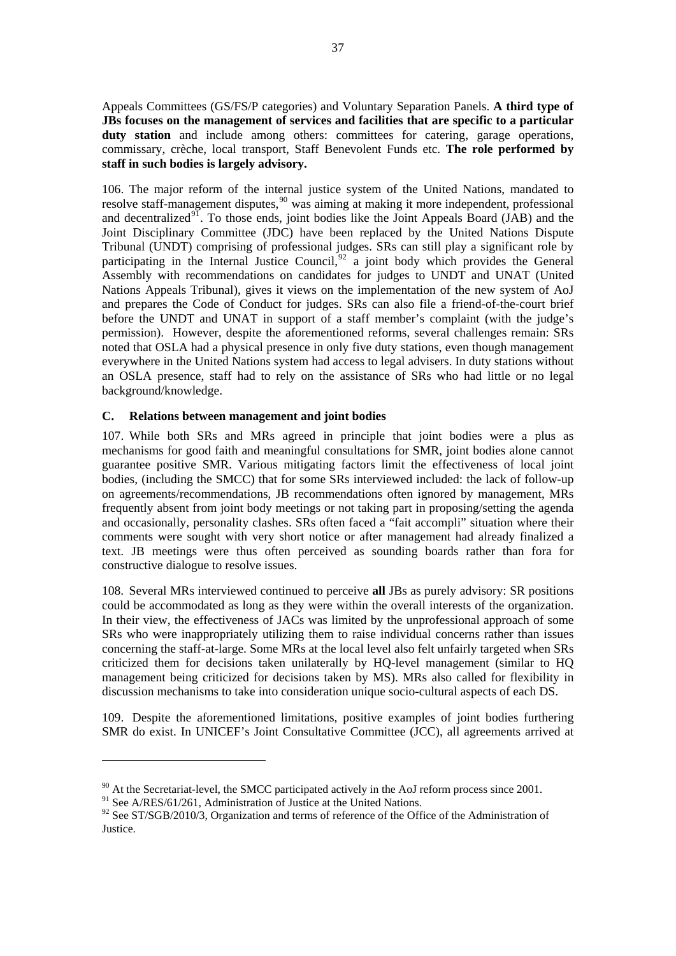<span id="page-48-0"></span>Appeals Committees (GS/FS/P categories) and Voluntary Separation Panels. **A third type of JBs focuses on the management of services and facilities that are specific to a particular**  duty station and include among others: committees for catering, garage operations, commissary, crèche, local transport, Staff Benevolent Funds etc. **The role performed by staff in such bodies is largely advisory.** 

106. The major reform of the internal justice system of the United Nations, mandated to resolve staff-management disputes,<sup>[90](#page-48-0)</sup> was aiming at making it more independent, professional and decentralized<sup>[91](#page-48-0)</sup>. To those ends, joint bodies like the Joint Appeals Board (JAB) and the Joint Disciplinary Committee (JDC) have been replaced by the United Nations Dispute Tribunal (UNDT) comprising of professional judges. SRs can still play a significant role by participating in the Internal Justice Council,<sup>[92](#page-48-0)</sup> a joint body which provides the General Assembly with recommendations on candidates for judges to UNDT and UNAT (United Nations Appeals Tribunal), gives it views on the implementation of the new system of AoJ and prepares the Code of Conduct for judges. SRs can also file a friend-of-the-court brief before the UNDT and UNAT in support of a staff member's complaint (with the judge's permission). However, despite the aforementioned reforms, several challenges remain: SRs noted that OSLA had a physical presence in only five duty stations, even though management everywhere in the United Nations system had access to legal advisers. In duty stations without an OSLA presence, staff had to rely on the assistance of SRs who had little or no legal background/knowledge.

# **C. Relations between management and joint bodies**

107. While both SRs and MRs agreed in principle that joint bodies were a plus as mechanisms for good faith and meaningful consultations for SMR, joint bodies alone cannot guarantee positive SMR. Various mitigating factors limit the effectiveness of local joint bodies, (including the SMCC) that for some SRs interviewed included: the lack of follow-up on agreements/recommendations, JB recommendations often ignored by management, MRs frequently absent from joint body meetings or not taking part in proposing/setting the agenda and occasionally, personality clashes. SRs often faced a "fait accompli" situation where their comments were sought with very short notice or after management had already finalized a text. JB meetings were thus often perceived as sounding boards rather than fora for constructive dialogue to resolve issues.

108. Several MRs interviewed continued to perceive **all** JBs as purely advisory: SR positions could be accommodated as long as they were within the overall interests of the organization. In their view, the effectiveness of JACs was limited by the unprofessional approach of some SRs who were inappropriately utilizing them to raise individual concerns rather than issues concerning the staff-at-large. Some MRs at the local level also felt unfairly targeted when SRs criticized them for decisions taken unilaterally by HQ-level management (similar to HQ management being criticized for decisions taken by MS). MRs also called for flexibility in discussion mechanisms to take into consideration unique socio-cultural aspects of each DS.

109. Despite the aforementioned limitations, positive examples of joint bodies furthering SMR do exist. In UNICEF's Joint Consultative Committee (JCC), all agreements arrived at

<sup>&</sup>lt;sup>90</sup> At the Secretariat-level, the SMCC participated actively in the AoJ reform process since 2001.

<sup>&</sup>lt;sup>91</sup> See A/RES/61/261, Administration of Justice at the United Nations.

 $92$  See ST/SGB/2010/3, Organization and terms of reference of the Office of the Administration of Justice.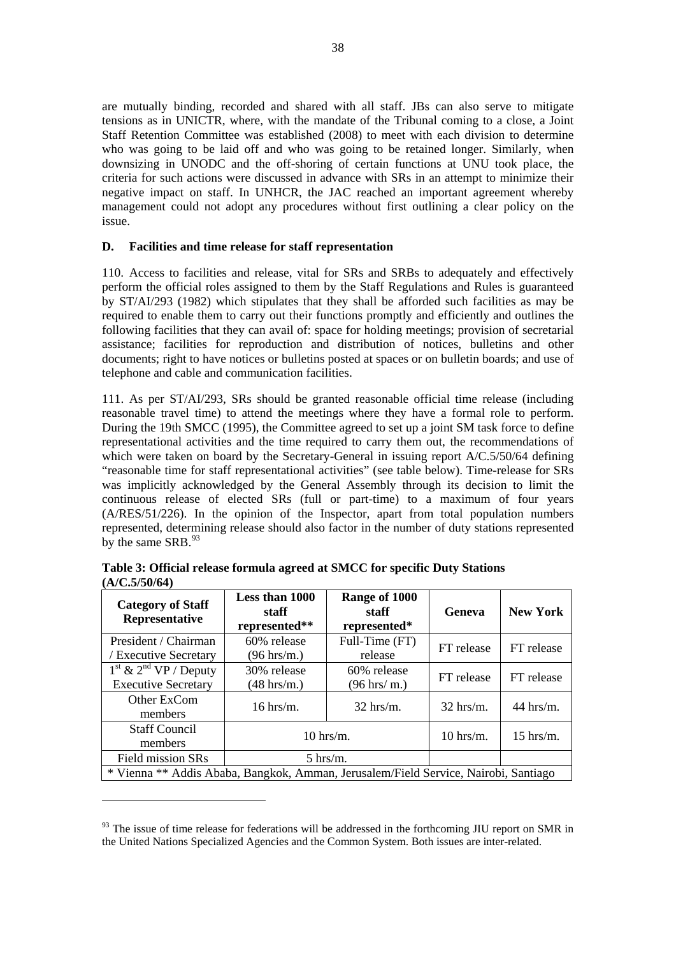<span id="page-49-0"></span>are mutually binding, recorded and shared with all staff. JBs can also serve to mitigate tensions as in UNICTR, where, with the mandate of the Tribunal coming to a close, a Joint Staff Retention Committee was established (2008) to meet with each division to determine who was going to be laid off and who was going to be retained longer. Similarly, when downsizing in UNODC and the off-shoring of certain functions at UNU took place, the criteria for such actions were discussed in advance with SRs in an attempt to minimize their negative impact on staff. In UNHCR, the JAC reached an important agreement whereby management could not adopt any procedures without first outlining a clear policy on the issue.

# **D. Facilities and time release for staff representation**

110. Access to facilities and release, vital for SRs and SRBs to adequately and effectively perform the official roles assigned to them by the Staff Regulations and Rules is guaranteed by ST/AI/293 (1982) which stipulates that they shall be afforded such facilities as may be required to enable them to carry out their functions promptly and efficiently and outlines the following facilities that they can avail of: space for holding meetings; provision of secretarial assistance; facilities for reproduction and distribution of notices, bulletins and other documents; right to have notices or bulletins posted at spaces or on bulletin boards; and use of telephone and cable and communication facilities.

111. As per ST/AI/293, SRs should be granted reasonable official time release (including reasonable travel time) to attend the meetings where they have a formal role to perform. During the 19th SMCC (1995), the Committee agreed to set up a joint SM task force to define representational activities and the time required to carry them out, the recommendations of which were taken on board by the Secretary-General in issuing report A/C.5/50/64 defining "reasonable time for staff representational activities" (see table below). Time-release for SRs was implicitly acknowledged by the General Assembly through its decision to limit the continuous release of elected SRs (full or part-time) to a maximum of four years (A/RES/51/226). In the opinion of the Inspector, apart from total population numbers represented, determining release should also factor in the number of duty stations represented by the same SRB.<sup>[93](#page-49-0)</sup>

| <b>Category of Staff</b><br>Representative                                          | Less than 1000<br>staff<br>represented** | Range of 1000<br>staff<br>represented* | Geneva      | <b>New York</b> |
|-------------------------------------------------------------------------------------|------------------------------------------|----------------------------------------|-------------|-----------------|
| President / Chairman<br><b>Executive Secretary</b>                                  | 60% release<br>$(96 \text{ hrs/m.})$     | Full-Time (FT)<br>release              | FT release  | FT release      |
| $1st$ & $2nd$ VP / Deputy<br><b>Executive Secretary</b>                             | 30% release<br>$(48 \text{ hrs/m.})$     | 60% release<br>$(96 \text{ hrs/m.})$   | FT release  | FT release      |
| Other ExCom<br>members                                                              | $16$ hrs/m.                              | $32$ hrs/m.                            | $32$ hrs/m. | $44$ hrs/m.     |
| <b>Staff Council</b><br>members                                                     | $10$ hrs/m.                              |                                        | $10$ hrs/m. | $15$ hrs/m.     |
| Field mission SRs                                                                   | $5 \text{ hrs/m}.$                       |                                        |             |                 |
| * Vienna ** Addis Ababa, Bangkok, Amman, Jerusalem/Field Service, Nairobi, Santiago |                                          |                                        |             |                 |

**Table 3: Official release formula agreed at SMCC for specific Duty Stations (A/C.5/50/64)** 

 $93$  The issue of time release for federations will be addressed in the forthcoming JIU report on SMR in the United Nations Specialized Agencies and the Common System. Both issues are inter-related.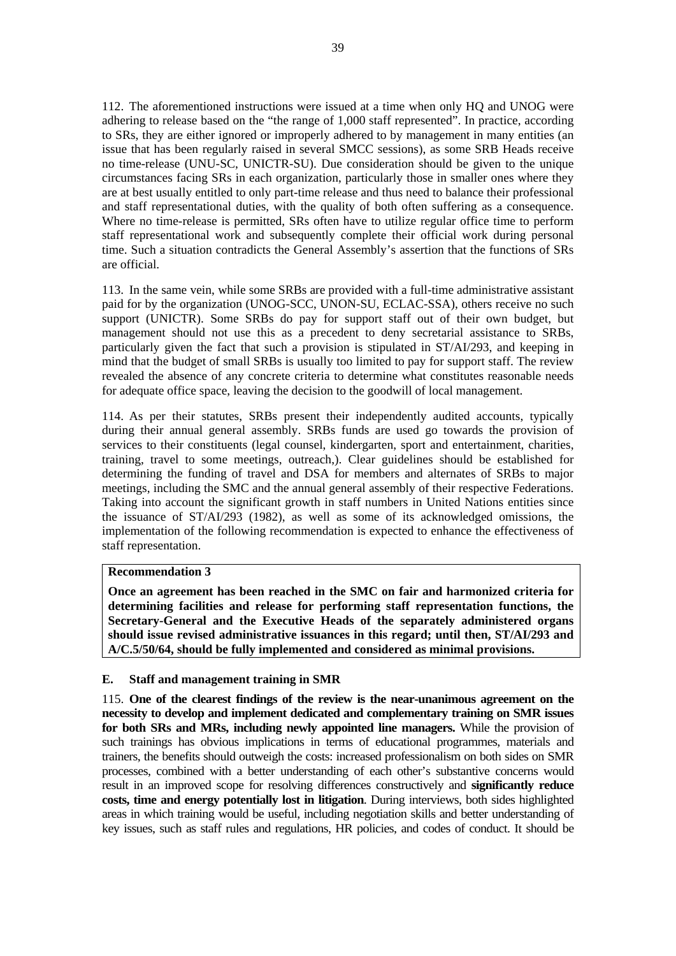112. The aforementioned instructions were issued at a time when only HQ and UNOG were adhering to release based on the "the range of 1,000 staff represented". In practice, according to SRs, they are either ignored or improperly adhered to by management in many entities (an issue that has been regularly raised in several SMCC sessions), as some SRB Heads receive no time-release (UNU-SC, UNICTR-SU). Due consideration should be given to the unique circumstances facing SRs in each organization, particularly those in smaller ones where they are at best usually entitled to only part-time release and thus need to balance their professional and staff representational duties, with the quality of both often suffering as a consequence. Where no time-release is permitted, SRs often have to utilize regular office time to perform staff representational work and subsequently complete their official work during personal time. Such a situation contradicts the General Assembly's assertion that the functions of SRs are official.

113. In the same vein, while some SRBs are provided with a full-time administrative assistant paid for by the organization (UNOG-SCC, UNON-SU, ECLAC-SSA), others receive no such support (UNICTR). Some SRBs do pay for support staff out of their own budget, but management should not use this as a precedent to deny secretarial assistance to SRBs, particularly given the fact that such a provision is stipulated in ST/AI/293, and keeping in mind that the budget of small SRBs is usually too limited to pay for support staff. The review revealed the absence of any concrete criteria to determine what constitutes reasonable needs for adequate office space, leaving the decision to the goodwill of local management.

114. As per their statutes, SRBs present their independently audited accounts, typically during their annual general assembly. SRBs funds are used go towards the provision of services to their constituents (legal counsel, kindergarten, sport and entertainment, charities, training, travel to some meetings, outreach,). Clear guidelines should be established for determining the funding of travel and DSA for members and alternates of SRBs to major meetings, including the SMC and the annual general assembly of their respective Federations. Taking into account the significant growth in staff numbers in United Nations entities since the issuance of ST/AI/293 (1982), as well as some of its acknowledged omissions, the implementation of the following recommendation is expected to enhance the effectiveness of staff representation.

#### **Recommendation 3**

**Once an agreement has been reached in the SMC on fair and harmonized criteria for determining facilities and release for performing staff representation functions, the Secretary-General and the Executive Heads of the separately administered organs should issue revised administrative issuances in this regard; until then, ST/AI/293 and A/C.5/50/64, should be fully implemented and considered as minimal provisions.** 

#### **E. Staff and management training in SMR**

115. **One of the clearest findings of the review is the near-unanimous agreement on the necessity to develop and implement dedicated and complementary training on SMR issues for both SRs and MRs, including newly appointed line managers.** While the provision of such trainings has obvious implications in terms of educational programmes, materials and trainers, the benefits should outweigh the costs: increased professionalism on both sides on SMR processes, combined with a better understanding of each other's substantive concerns would result in an improved scope for resolving differences constructively and **significantly reduce costs, time and energy potentially lost in litigation**. During interviews, both sides highlighted areas in which training would be useful, including negotiation skills and better understanding of key issues, such as staff rules and regulations, HR policies, and codes of conduct. It should be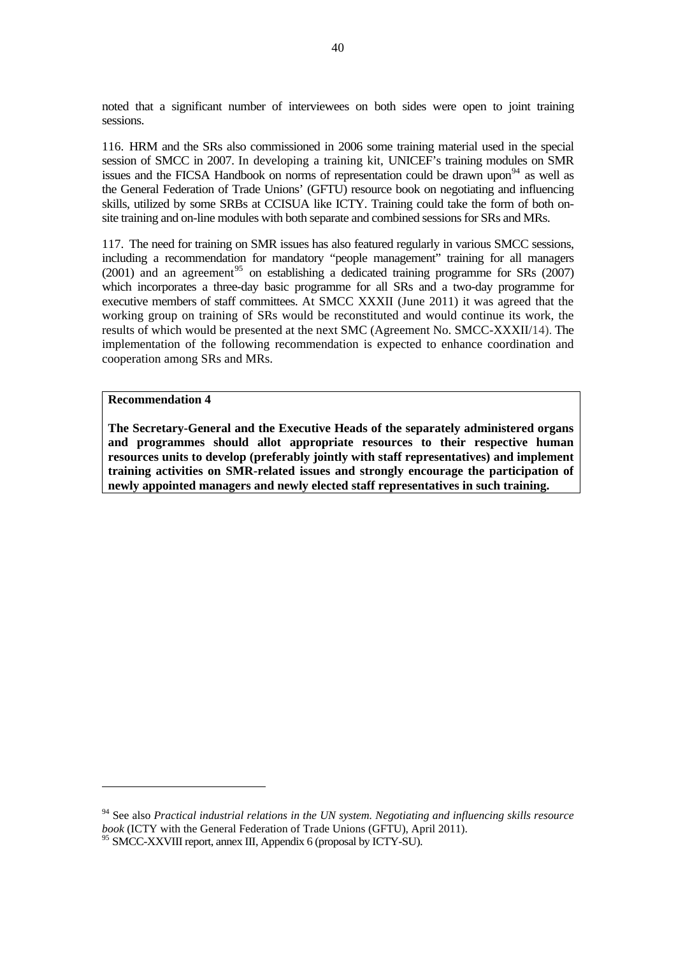<span id="page-51-0"></span>noted that a significant number of interviewees on both sides were open to joint training sessions.

116. HRM and the SRs also commissioned in 2006 some training material used in the special session of SMCC in 2007. In developing a training kit, UNICEF's training modules on SMR issues and the FICSA Handbook on norms of representation could be drawn upon<sup>[94](#page-51-0)</sup> as well as the General Federation of Trade Unions' (GFTU) resource book on negotiating and influencing skills, utilized by some SRBs at CCISUA like ICTY. Training could take the form of both onsite training and on-line modules with both separate and combined sessions for SRs and MRs.

117. The need for training on SMR issues has also featured regularly in various SMCC sessions, including a recommendation for mandatory "people management" training for all managers  $(2001)$  and an agreement<sup>[95](#page-51-0)</sup> on establishing a dedicated training programme for SRs  $(2007)$ which incorporates a three-day basic programme for all SRs and a two-day programme for executive members of staff committees. At SMCC XXXII (June 2011) it was agreed that the working group on training of SRs would be reconstituted and would continue its work, the results of which would be presented at the next SMC (Agreement No. SMCC-XXXII/14). The implementation of the following recommendation is expected to enhance coordination and cooperation among SRs and MRs.

#### **Recommendation 4**

 $\overline{a}$ 

**The Secretary-General and the Executive Heads of the separately administered organs and programmes should allot appropriate resources to their respective human resources units to develop (preferably jointly with staff representatives) and implement training activities on SMR-related issues and strongly encourage the participation of newly appointed managers and newly elected staff representatives in such training.** 

<sup>94</sup> See also *Practical industrial relations in the UN system. Negotiating and influencing skills resource book* (ICTY with the General Federation of Trade Unions (GFTU), April 2011).

<sup>&</sup>lt;sup>95</sup> SMCC-XXVIII report, annex III, Appendix 6 (proposal by ICTY-SU).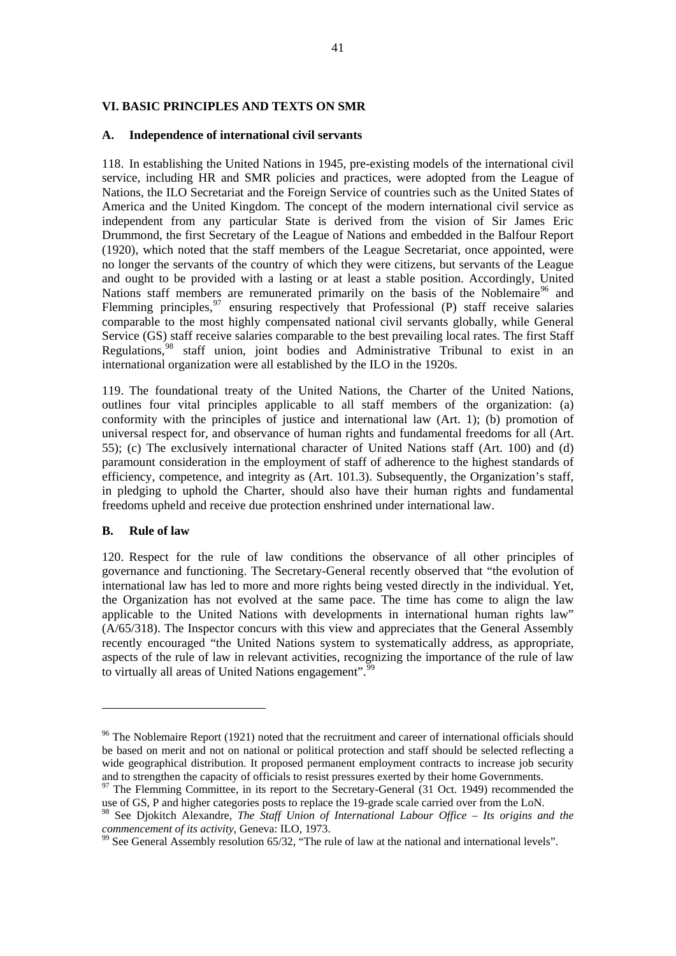## <span id="page-52-0"></span>**VI. BASIC PRINCIPLES AND TEXTS ON SMR**

### **A. Independence of international civil servants**

118. In establishing the United Nations in 1945, pre-existing models of the international civil service, including HR and SMR policies and practices, were adopted from the League of Nations, the ILO Secretariat and the Foreign Service of countries such as the United States of America and the United Kingdom. The concept of the modern international civil service as independent from any particular State is derived from the vision of Sir James Eric Drummond, the first Secretary of the League of Nations and embedded in the Balfour Report (1920), which noted that the staff members of the League Secretariat, once appointed, were no longer the servants of the country of which they were citizens, but servants of the League and ought to be provided with a lasting or at least a stable position. Accordingly, United Nations staff members are remunerated primarily on the basis of the Noblemaire<sup>[96](#page-52-0)</sup> and Flemming principles,  $97$  ensuring respectively that Professional (P) staff receive salaries comparable to the most highly compensated national civil servants globally, while General Service (GS) staff receive salaries comparable to the best prevailing local rates. The first Staff Regulations,[98](#page-52-0) staff union, joint bodies and Administrative Tribunal to exist in an international organization were all established by the ILO in the 1920s.

119. The foundational treaty of the United Nations, the Charter of the United Nations, outlines four vital principles applicable to all staff members of the organization: (a) conformity with the principles of justice and international law (Art. 1); (b) promotion of universal respect for, and observance of human rights and fundamental freedoms for all (Art. 55); (c) The exclusively international character of United Nations staff (Art. 100) and (d) paramount consideration in the employment of staff of adherence to the highest standards of efficiency, competence, and integrity as (Art. 101.3). Subsequently, the Organization's staff, in pledging to uphold the Charter, should also have their human rights and fundamental freedoms upheld and receive due protection enshrined under international law.

#### **B. Rule of law**

 $\overline{a}$ 

120. Respect for the rule of law conditions the observance of all other principles of governance and functioning. The Secretary-General recently observed that "the evolution of international law has led to more and more rights being vested directly in the individual. Yet, the Organization has not evolved at the same pace. The time has come to align the law applicable to the United Nations with developments in international human rights law" (A/65/318). The Inspector concurs with this view and appreciates that the General Assembly recently encouraged "the United Nations system to systematically address, as appropriate, aspects of the rule of law in relevant activities, recognizing the importance of the rule of law to virtually all areas of United Nations engagement".<sup>9</sup>

<sup>&</sup>lt;sup>96</sup> The Noblemaire Report (1921) noted that the recruitment and career of international officials should be based on merit and not on national or political protection and staff should be selected reflecting a wide geographical distribution. It proposed permanent employment contracts to increase job security and to strengthen the capacity of officials to resist pressures exerted by their home Governments.

<sup>&</sup>lt;sup>97</sup> The Flemming Committee, in its report to the Secretary-General (31 Oct. 1949) recommended the use of GS, P and higher categories posts to replace the 19-grade scale carried over from the LoN.

<sup>98</sup> See Djokitch Alexandre, *The Staff Union of International Labour Office – Its origins and the commencement of its activity*, Geneva: ILO, 1973.<br><sup>99</sup> See General Assembly resolution 65/32, "The rule of law at the national and international levels".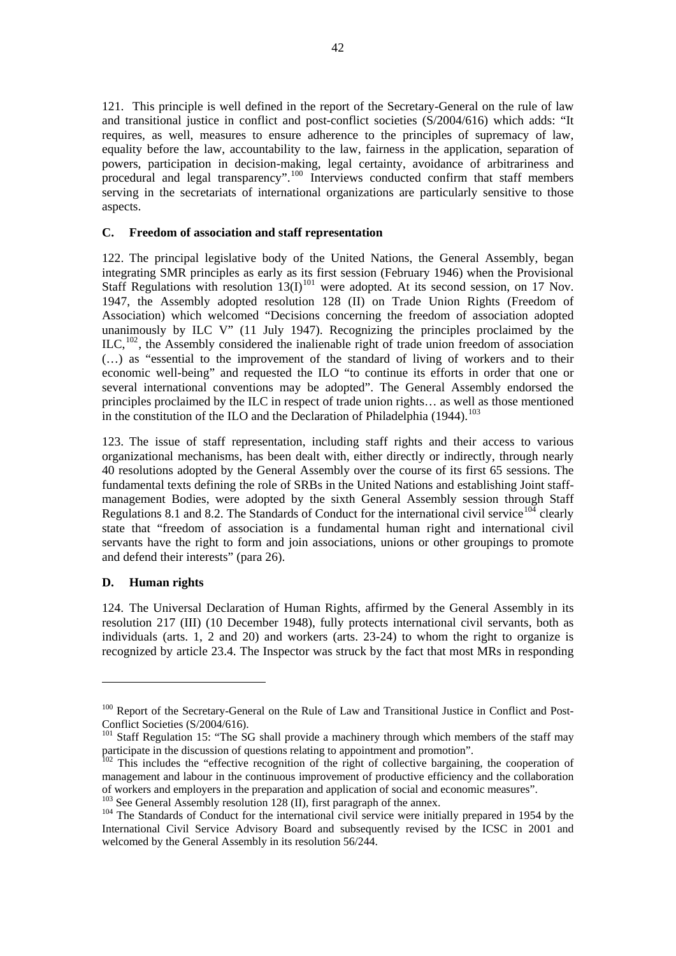<span id="page-53-0"></span>121. This principle is well defined in the report of the Secretary-General on the rule of law and transitional justice in conflict and post-conflict societies (S/2004/616) which adds: "It requires, as well, measures to ensure adherence to the principles of supremacy of law, equality before the law, accountability to the law, fairness in the application, separation of powers, participation in decision-making, legal certainty, avoidance of arbitrariness and procedural and legal transparency".<sup>[100](#page-53-0)</sup> Interviews conducted confirm that staff members serving in the secretariats of international organizations are particularly sensitive to those aspects.

#### **C. Freedom of association and staff representation**

122. The principal legislative body of the United Nations, the General Assembly, began integrating SMR principles as early as its first session (February 1946) when the Provisional Staff Regulations with resolution  $13(I)^{101}$  $13(I)^{101}$  $13(I)^{101}$  were adopted. At its second session, on 17 Nov. 1947, the Assembly adopted resolution 128 (II) on Trade Union Rights (Freedom of Association) which welcomed "Decisions concerning the freedom of association adopted unanimously by ILC V" (11 July 1947). Recognizing the principles proclaimed by the  $ILC<sub>102</sub>$  $ILC<sub>102</sub>$  $ILC<sub>102</sub>$ , the Assembly considered the inalienable right of trade union freedom of association (…) as "essential to the improvement of the standard of living of workers and to their economic well-being" and requested the ILO "to continue its efforts in order that one or several international conventions may be adopted". The General Assembly endorsed the principles proclaimed by the ILC in respect of trade union rights… as well as those mentioned in the constitution of the ILO and the Declaration of Philadelphia  $(1944)$ .<sup>[103](#page-53-0)</sup>

123. The issue of staff representation, including staff rights and their access to various organizational mechanisms, has been dealt with, either directly or indirectly, through nearly 40 resolutions adopted by the General Assembly over the course of its first 65 sessions. The fundamental texts defining the role of SRBs in the United Nations and establishing Joint staffmanagement Bodies, were adopted by the sixth General Assembly session through Staff Regulations 8.1 and 8.2. The Standards of Conduct for the international civil service<sup>[104](#page-53-0)</sup> clearly state that "freedom of association is a fundamental human right and international civil servants have the right to form and join associations, unions or other groupings to promote and defend their interests" (para 26).

# **D. Human rights**

 $\overline{a}$ 

124. The Universal Declaration of Human Rights, affirmed by the General Assembly in its resolution 217 (III) (10 December 1948), fully protects international civil servants, both as individuals (arts. 1, 2 and 20) and workers (arts. 23-24) to whom the right to organize is recognized by article 23.4. The Inspector was struck by the fact that most MRs in responding

<sup>&</sup>lt;sup>100</sup> Report of the Secretary-General on the Rule of Law and Transitional Justice in Conflict and Post-Conflict Societies (S/2004/616).

<sup>&</sup>lt;sup>101</sup> Staff Regulation 15: "The SG shall provide a machinery through which members of the staff may participate in the discussion of questions relating to appointment and promotion".

 $102$  This includes the "effective recognition of the right of collective bargaining, the cooperation of management and labour in the continuous improvement of productive efficiency and the collaboration of workers and employers in the preparation and application of social and economic measures".<br><sup>103</sup> See General Assembly resolution 128 (II), first paragraph of the annex.

<sup>&</sup>lt;sup>104</sup> The Standards of Conduct for the international civil service were initially prepared in 1954 by the International Civil Service Advisory Board and subsequently revised by the ICSC in 2001 and welcomed by the General Assembly in its resolution 56/244.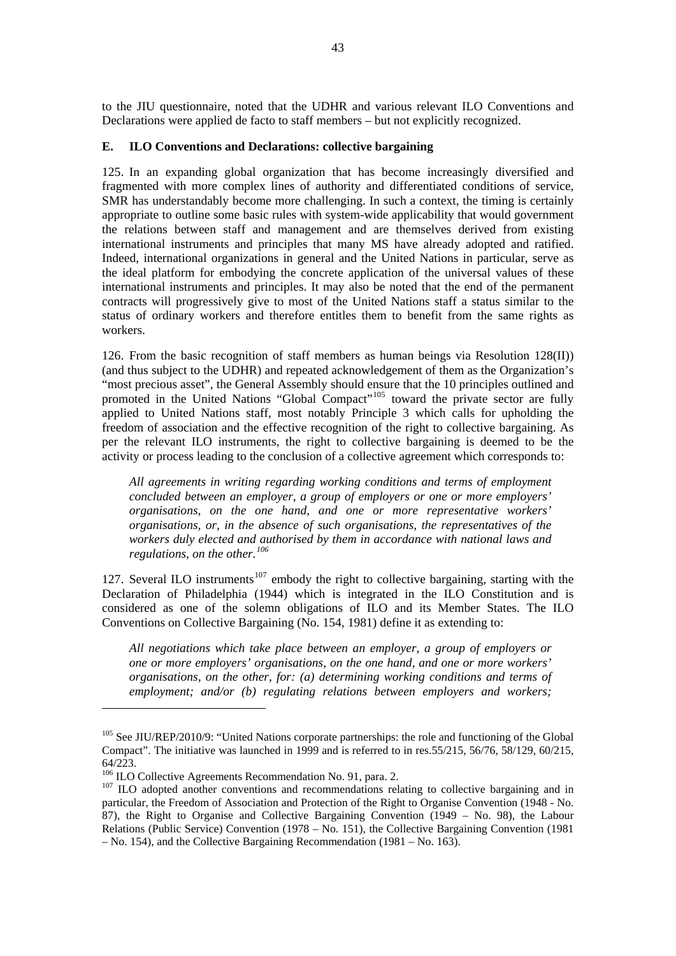<span id="page-54-0"></span>to the JIU questionnaire, noted that the UDHR and various relevant ILO Conventions and Declarations were applied de facto to staff members – but not explicitly recognized.

## **E. ILO Conventions and Declarations: collective bargaining**

125. In an expanding global organization that has become increasingly diversified and fragmented with more complex lines of authority and differentiated conditions of service, SMR has understandably become more challenging. In such a context, the timing is certainly appropriate to outline some basic rules with system-wide applicability that would government the relations between staff and management and are themselves derived from existing international instruments and principles that many MS have already adopted and ratified. Indeed, international organizations in general and the United Nations in particular, serve as the ideal platform for embodying the concrete application of the universal values of these international instruments and principles. It may also be noted that the end of the permanent contracts will progressively give to most of the United Nations staff a status similar to the status of ordinary workers and therefore entitles them to benefit from the same rights as workers.

126. From the basic recognition of staff members as human beings via Resolution  $128(\text{II})$ ) (and thus subject to the UDHR) and repeated acknowledgement of them as the Organization's "most precious asset", the General Assembly should ensure that the 10 principles outlined and promoted in the United Nations "Global Compact"<sup>[105](#page-54-0)</sup> toward the private sector are fully applied to United Nations staff, most notably Principle 3 which calls for upholding the freedom of association and the effective recognition of the right to collective bargaining. As per the relevant ILO instruments, the right to collective bargaining is deemed to be the activity or process leading to the conclusion of a collective agreement which corresponds to:

*All agreements in writing regarding working conditions and terms of employment concluded between an employer, a group of employers or one or more employers' organisations, on the one hand, and one or more representative workers' organisations, or, in the absence of such organisations, the representatives of the workers duly elected and authorised by them in accordance with national laws and regulations, on the other.[106](#page-54-0)*

127. Several ILO instruments<sup>[107](#page-54-0)</sup> embody the right to collective bargaining, starting with the Declaration of Philadelphia (1944) which is integrated in the ILO Constitution and is considered as one of the solemn obligations of ILO and its Member States. The ILO Conventions on Collective Bargaining (No. 154, 1981) define it as extending to:

*All negotiations which take place between an employer, a group of employers or one or more employers' organisations, on the one hand, and one or more workers' organisations, on the other, for: (a) determining working conditions and terms of employment; and/or (b) regulating relations between employers and workers;* 

 $105$  See JIU/REP/2010/9: "United Nations corporate partnerships: the role and functioning of the Global Compact". The initiative was launched in 1999 and is referred to in res.55/215, 56/76, 58/129, 60/215, 64/223.<br><sup>106</sup> ILO Collective Agreements Recommendation No. 91, para. 2.

 $107$  ILO adopted another conventions and recommendations relating to collective bargaining and in particular, the Freedom of Association and Protection of the Right to Organise Convention (1948 - No. 87), the Right to Organise and Collective Bargaining Convention (1949 – No. 98), the Labour Relations (Public Service) Convention (1978 – No. 151), the Collective Bargaining Convention (1981 – No. 154), and the Collective Bargaining Recommendation (1981 – No. 163).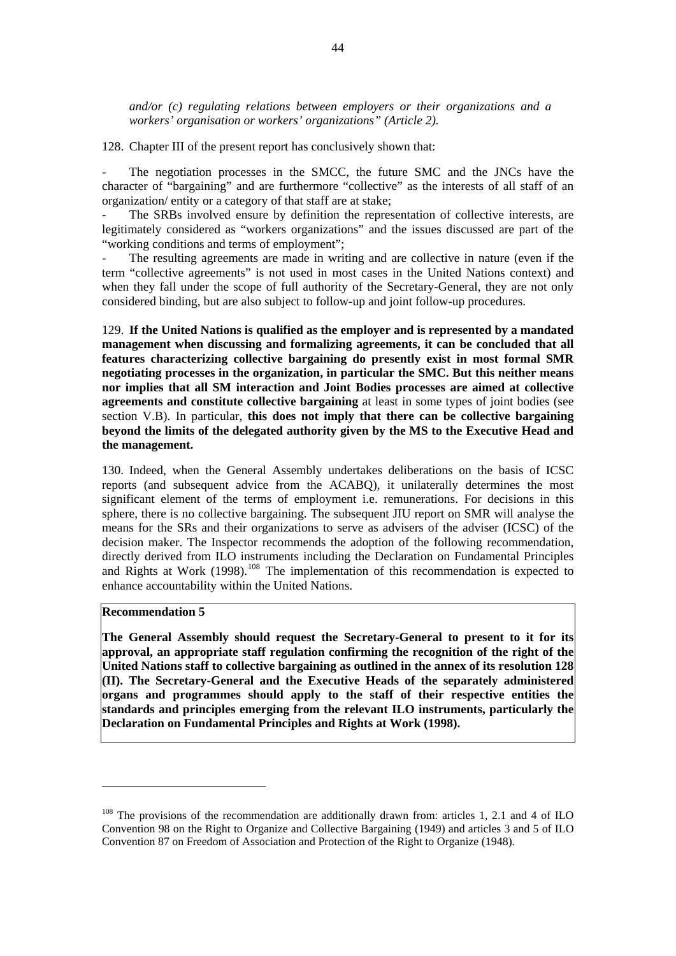<span id="page-55-0"></span>*and/or (c) regulating relations between employers or their organizations and a workers' organisation or workers' organizations" (Article 2).* 

128. Chapter III of the present report has conclusively shown that:

The negotiation processes in the SMCC, the future SMC and the JNCs have the character of "bargaining" and are furthermore "collective" as the interests of all staff of an organization/ entity or a category of that staff are at stake;

The SRBs involved ensure by definition the representation of collective interests, are legitimately considered as "workers organizations" and the issues discussed are part of the "working conditions and terms of employment";

The resulting agreements are made in writing and are collective in nature (even if the term "collective agreements" is not used in most cases in the United Nations context) and when they fall under the scope of full authority of the Secretary-General, they are not only considered binding, but are also subject to follow-up and joint follow-up procedures.

129. **If the United Nations is qualified as the employer and is represented by a mandated management when discussing and formalizing agreements, it can be concluded that all features characterizing collective bargaining do presently exist in most formal SMR negotiating processes in the organization, in particular the SMC. But this neither means nor implies that all SM interaction and Joint Bodies processes are aimed at collective agreements and constitute collective bargaining** at least in some types of joint bodies (see section V.B). In particular, **this does not imply that there can be collective bargaining beyond the limits of the delegated authority given by the MS to the Executive Head and the management.**

130. Indeed, when the General Assembly undertakes deliberations on the basis of ICSC reports (and subsequent advice from the ACABQ), it unilaterally determines the most significant element of the terms of employment i.e. remunerations. For decisions in this sphere, there is no collective bargaining. The subsequent JIU report on SMR will analyse the means for the SRs and their organizations to serve as advisers of the adviser (ICSC) of the decision maker. The Inspector recommends the adoption of the following recommendation, directly derived from ILO instruments including the Declaration on Fundamental Principles and Rights at Work (1998).<sup>[108](#page-55-0)</sup> The implementation of this recommendation is expected to enhance accountability within the United Nations.

#### **Recommendation 5**

 $\overline{a}$ 

**The General Assembly should request the Secretary-General to present to it for its approval, an appropriate staff regulation confirming the recognition of the right of the United Nations staff to collective bargaining as outlined in the annex of its resolution 128 (II). The Secretary-General and the Executive Heads of the separately administered organs and programmes should apply to the staff of their respective entities the standards and principles emerging from the relevant ILO instruments, particularly the Declaration on Fundamental Principles and Rights at Work (1998).** 

<sup>&</sup>lt;sup>108</sup> The provisions of the recommendation are additionally drawn from: articles 1, 2.1 and 4 of ILO Convention 98 on the Right to Organize and Collective Bargaining (1949) and articles 3 and 5 of ILO Convention 87 on Freedom of Association and Protection of the Right to Organize (1948).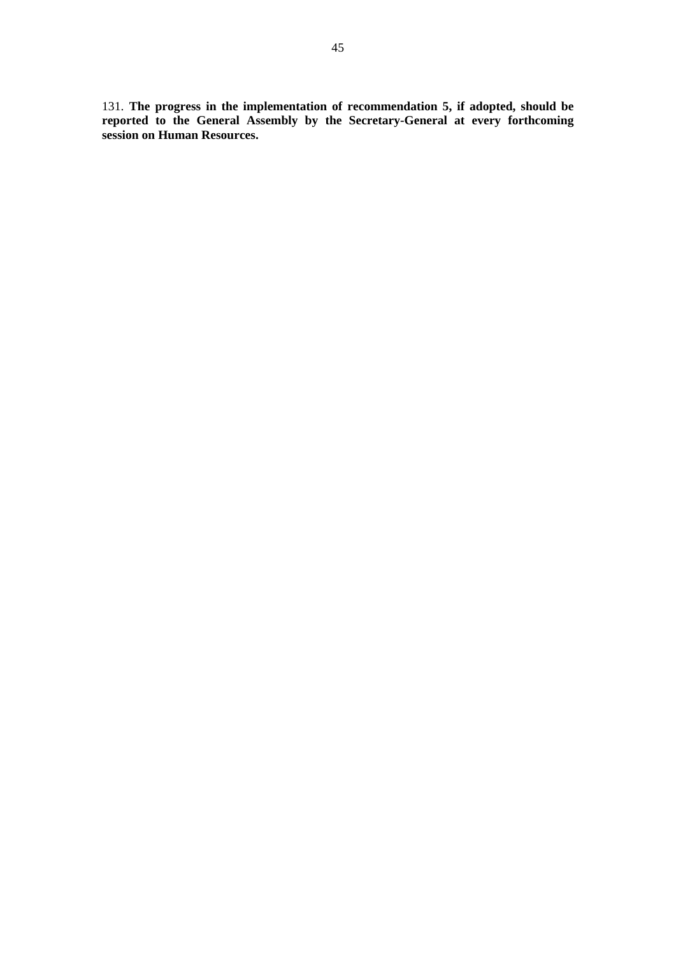131. **The progress in the implementation of recommendation 5, if adopted, should be reported to the General Assembly by the Secretary-General at every forthcoming session on Human Resources.**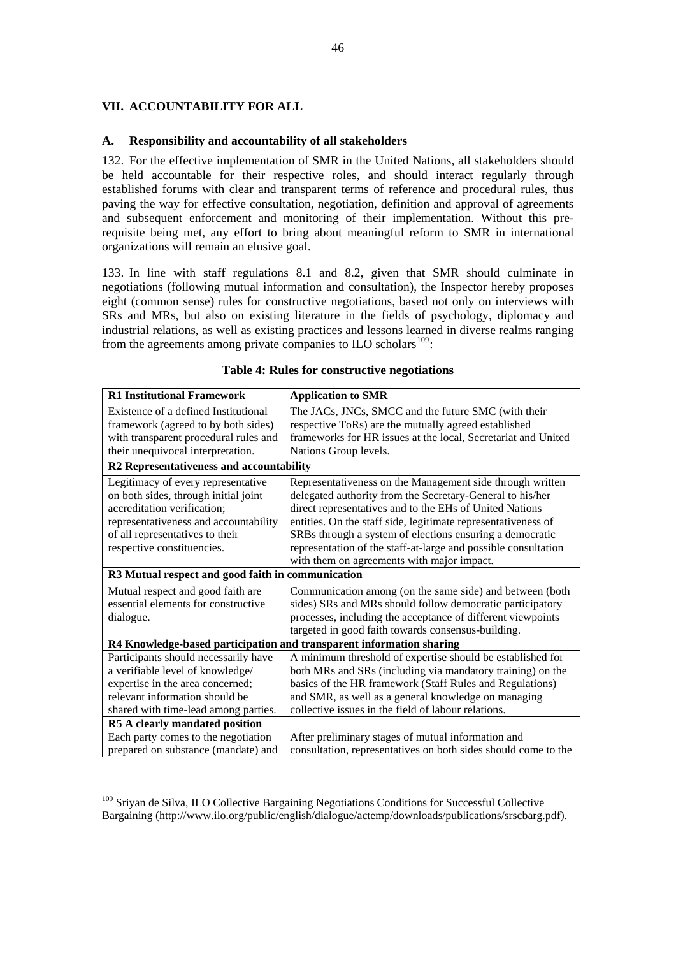# <span id="page-57-0"></span>**VII. ACCOUNTABILITY FOR ALL**

 $\overline{a}$ 

## **A. Responsibility and accountability of all stakeholders**

132. For the effective implementation of SMR in the United Nations, all stakeholders should be held accountable for their respective roles, and should interact regularly through established forums with clear and transparent terms of reference and procedural rules, thus paving the way for effective consultation, negotiation, definition and approval of agreements and subsequent enforcement and monitoring of their implementation. Without this prerequisite being met, any effort to bring about meaningful reform to SMR in international organizations will remain an elusive goal.

133. In line with staff regulations 8.1 and 8.2, given that SMR should culminate in negotiations (following mutual information and consultation), the Inspector hereby proposes eight (common sense) rules for constructive negotiations, based not only on interviews with SRs and MRs, but also on existing literature in the fields of psychology, diplomacy and industrial relations, as well as existing practices and lessons learned in diverse realms ranging from the agreements among private companies to ILO scholars<sup>[109](#page-57-0)</sup>:

| <b>R1 Institutional Framework</b>                 | <b>Application to SMR</b>                                            |  |
|---------------------------------------------------|----------------------------------------------------------------------|--|
| Existence of a defined Institutional              | The JACs, JNCs, SMCC and the future SMC (with their                  |  |
| framework (agreed to by both sides)               | respective ToRs) are the mutually agreed established                 |  |
| with transparent procedural rules and             | frameworks for HR issues at the local, Secretariat and United        |  |
| their unequivocal interpretation.                 | Nations Group levels.                                                |  |
| R2 Representativeness and accountability          |                                                                      |  |
| Legitimacy of every representative                | Representativeness on the Management side through written            |  |
| on both sides, through initial joint              | delegated authority from the Secretary-General to his/her            |  |
| accreditation verification;                       | direct representatives and to the EHs of United Nations              |  |
| representativeness and accountability             | entities. On the staff side, legitimate representativeness of        |  |
| of all representatives to their                   | SRBs through a system of elections ensuring a democratic             |  |
| respective constituencies.                        | representation of the staff-at-large and possible consultation       |  |
|                                                   | with them on agreements with major impact.                           |  |
| R3 Mutual respect and good faith in communication |                                                                      |  |
| Mutual respect and good faith are                 | Communication among (on the same side) and between (both             |  |
| essential elements for constructive               | sides) SRs and MRs should follow democratic participatory            |  |
| dialogue.                                         | processes, including the acceptance of different viewpoints          |  |
|                                                   | targeted in good faith towards consensus-building.                   |  |
|                                                   | R4 Knowledge-based participation and transparent information sharing |  |
| Participants should necessarily have              | A minimum threshold of expertise should be established for           |  |
| a verifiable level of knowledge/                  | both MRs and SRs (including via mandatory training) on the           |  |
| expertise in the area concerned;                  | basics of the HR framework (Staff Rules and Regulations)             |  |
| relevant information should be                    | and SMR, as well as a general knowledge on managing                  |  |
| shared with time-lead among parties.              | collective issues in the field of labour relations.                  |  |
| R5 A clearly mandated position                    |                                                                      |  |
| Each party comes to the negotiation               | After preliminary stages of mutual information and                   |  |
| prepared on substance (mandate) and               | consultation, representatives on both sides should come to the       |  |

## **Table 4: Rules for constructive negotiations**

<sup>&</sup>lt;sup>109</sup> Sriyan de Silva, ILO Collective Bargaining Negotiations Conditions for Successful Collective Bargaining (http://www.ilo.org/public/english/dialogue/actemp/downloads/publications/srscbarg.pdf).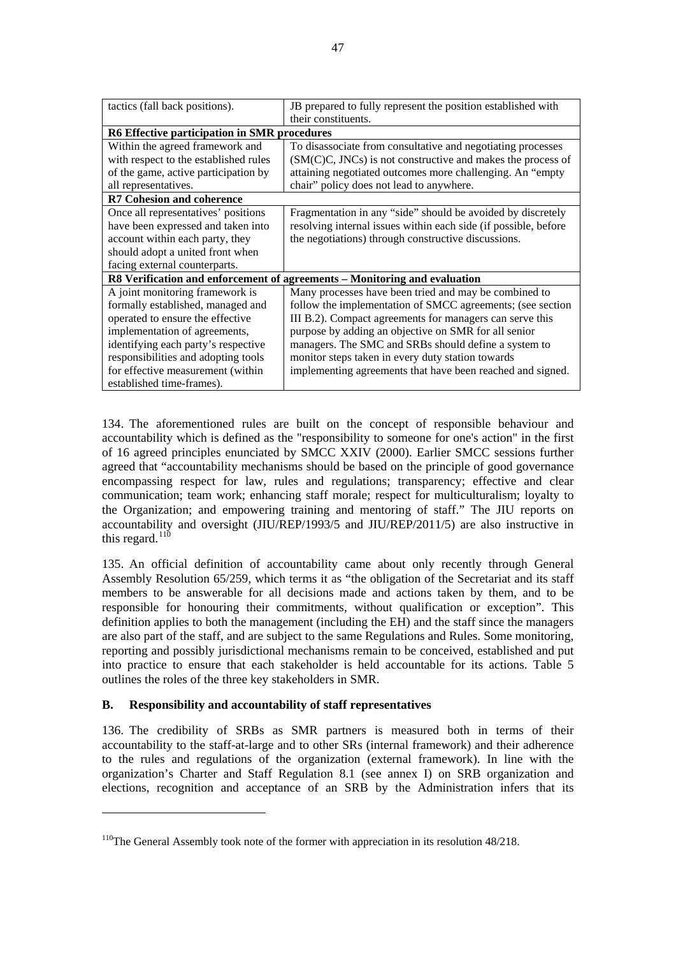<span id="page-58-0"></span>

| tactics (fall back positions).               | JB prepared to fully represent the position established with              |  |
|----------------------------------------------|---------------------------------------------------------------------------|--|
|                                              | their constituents.                                                       |  |
| R6 Effective participation in SMR procedures |                                                                           |  |
| Within the agreed framework and              | To disassociate from consultative and negotiating processes               |  |
| with respect to the established rules        | $(SM(C)C, JNCs)$ is not constructive and makes the process of             |  |
| of the game, active participation by         | attaining negotiated outcomes more challenging. An "empty                 |  |
| all representatives.                         | chair" policy does not lead to anywhere.                                  |  |
| <b>R7 Cohesion and coherence</b>             |                                                                           |  |
| Once all representatives' positions          | Fragmentation in any "side" should be avoided by discretely               |  |
| have been expressed and taken into           | resolving internal issues within each side (if possible, before           |  |
| account within each party, they              | the negotiations) through constructive discussions.                       |  |
| should adopt a united front when             |                                                                           |  |
| facing external counterparts.                |                                                                           |  |
|                                              | R8 Verification and enforcement of agreements - Monitoring and evaluation |  |
| A joint monitoring framework is              | Many processes have been tried and may be combined to                     |  |
| formally established, managed and            | follow the implementation of SMCC agreements; (see section                |  |
| operated to ensure the effective             | III B.2). Compact agreements for managers can serve this                  |  |
| implementation of agreements,                | purpose by adding an objective on SMR for all senior                      |  |
| identifying each party's respective          | managers. The SMC and SRBs should define a system to                      |  |
| responsibilities and adopting tools          | monitor steps taken in every duty station towards                         |  |
| for effective measurement (within            | implementing agreements that have been reached and signed.                |  |
| established time-frames).                    |                                                                           |  |

134. The aforementioned rules are built on the concept of responsible behaviour and accountability which is defined as the "responsibility to someone for one's action" in the first of 16 agreed principles enunciated by SMCC XXIV (2000). Earlier SMCC sessions further agreed that "accountability mechanisms should be based on the principle of good governance encompassing respect for law, rules and regulations; transparency; effective and clear communication; team work; enhancing staff morale; respect for multiculturalism; loyalty to the Organization; and empowering training and mentoring of staff." The JIU reports on accountability and oversight (JIU/REP/1993/5 and JIU/REP/2011/5) are also instructive in this regard. $110$ 

135. An official definition of accountability came about only recently through General Assembly Resolution 65/259, which terms it as "the obligation of the Secretariat and its staff members to be answerable for all decisions made and actions taken by them, and to be responsible for honouring their commitments, without qualification or exception". This definition applies to both the management (including the EH) and the staff since the managers are also part of the staff, and are subject to the same Regulations and Rules. Some monitoring, reporting and possibly jurisdictional mechanisms remain to be conceived, established and put into practice to ensure that each stakeholder is held accountable for its actions. Table 5 outlines the roles of the three key stakeholders in SMR.

# **B. Responsibility and accountability of staff representatives**

 $\overline{a}$ 

136. The credibility of SRBs as SMR partners is measured both in terms of their accountability to the staff-at-large and to other SRs (internal framework) and their adherence to the rules and regulations of the organization (external framework). In line with the organization's Charter and Staff Regulation 8.1 (see annex I) on SRB organization and elections, recognition and acceptance of an SRB by the Administration infers that its

<sup>&</sup>lt;sup>110</sup>The General Assembly took note of the former with appreciation in its resolution 48/218.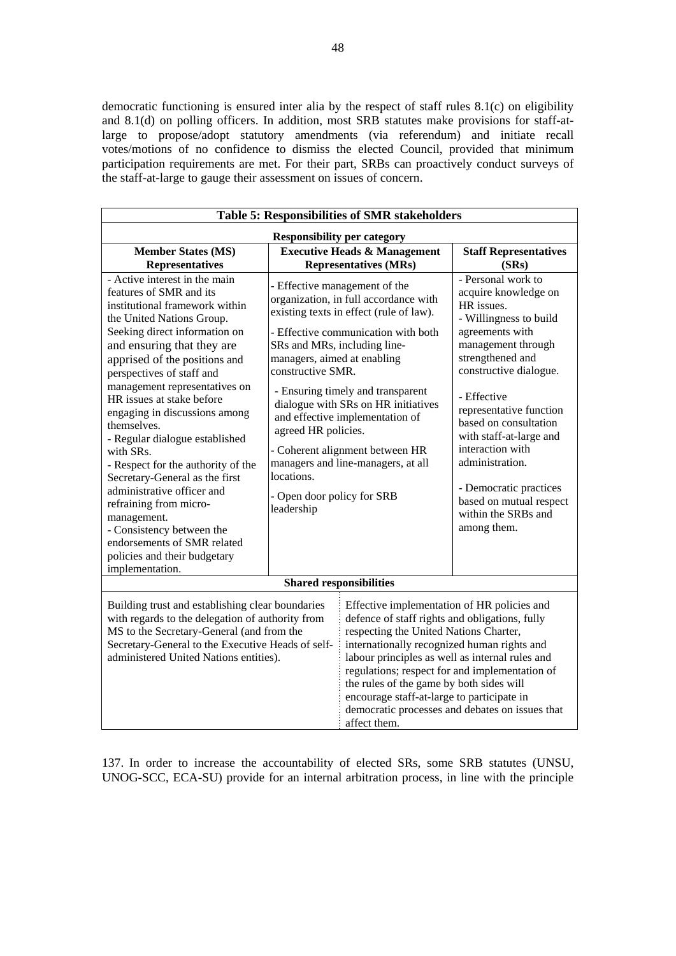democratic functioning is ensured inter alia by the respect of staff rules 8.1(c) on eligibility and 8.1(d) on polling officers. In addition, most SRB statutes make provisions for staff-atlarge to propose/adopt statutory amendments (via referendum) and initiate recall votes/motions of no confidence to dismiss the elected Council, provided that minimum participation requirements are met. For their part, SRBs can proactively conduct surveys of the staff-at-large to gauge their assessment on issues of concern.

| <b>Table 5: Responsibilities of SMR stakeholders</b>                                                                                                                                                                                                                                                                                                                                                                                                                                                                                                                                                                                                                            |                                                                                                                                                                   |                                                                                                                                                                                                                                                                                                                                                                                                                                                          |                                                                                                                                                                                                                                                                                                                                                                                                           |  |
|---------------------------------------------------------------------------------------------------------------------------------------------------------------------------------------------------------------------------------------------------------------------------------------------------------------------------------------------------------------------------------------------------------------------------------------------------------------------------------------------------------------------------------------------------------------------------------------------------------------------------------------------------------------------------------|-------------------------------------------------------------------------------------------------------------------------------------------------------------------|----------------------------------------------------------------------------------------------------------------------------------------------------------------------------------------------------------------------------------------------------------------------------------------------------------------------------------------------------------------------------------------------------------------------------------------------------------|-----------------------------------------------------------------------------------------------------------------------------------------------------------------------------------------------------------------------------------------------------------------------------------------------------------------------------------------------------------------------------------------------------------|--|
| <b>Responsibility per category</b>                                                                                                                                                                                                                                                                                                                                                                                                                                                                                                                                                                                                                                              |                                                                                                                                                                   |                                                                                                                                                                                                                                                                                                                                                                                                                                                          |                                                                                                                                                                                                                                                                                                                                                                                                           |  |
| <b>Member States (MS)</b><br><b>Representatives</b>                                                                                                                                                                                                                                                                                                                                                                                                                                                                                                                                                                                                                             |                                                                                                                                                                   | <b>Executive Heads &amp; Management</b><br><b>Representatives (MRs)</b>                                                                                                                                                                                                                                                                                                                                                                                  | <b>Staff Representatives</b><br>(SRs)                                                                                                                                                                                                                                                                                                                                                                     |  |
| - Active interest in the main<br>features of SMR and its<br>institutional framework within<br>the United Nations Group.<br>Seeking direct information on<br>and ensuring that they are<br>apprised of the positions and<br>perspectives of staff and<br>management representatives on<br>HR issues at stake before<br>engaging in discussions among<br>themselves.<br>- Regular dialogue established<br>with SRs.<br>- Respect for the authority of the<br>Secretary-General as the first<br>administrative officer and<br>refraining from micro-<br>management.<br>- Consistency between the<br>endorsements of SMR related<br>policies and their budgetary<br>implementation. | SRs and MRs, including line-<br>managers, aimed at enabling<br>constructive SMR.<br>agreed HR policies.<br>locations.<br>- Open door policy for SRB<br>leadership | - Effective management of the<br>organization, in full accordance with<br>existing texts in effect (rule of law).<br>- Effective communication with both<br>- Ensuring timely and transparent<br>dialogue with SRs on HR initiatives<br>and effective implementation of<br>- Coherent alignment between HR<br>managers and line-managers, at all                                                                                                         | - Personal work to<br>acquire knowledge on<br>HR issues.<br>- Willingness to build<br>agreements with<br>management through<br>strengthened and<br>constructive dialogue.<br>- Effective<br>representative function<br>based on consultation<br>with staff-at-large and<br>interaction with<br>administration.<br>- Democratic practices<br>based on mutual respect<br>within the SRBs and<br>among them. |  |
| <b>Shared responsibilities</b>                                                                                                                                                                                                                                                                                                                                                                                                                                                                                                                                                                                                                                                  |                                                                                                                                                                   |                                                                                                                                                                                                                                                                                                                                                                                                                                                          |                                                                                                                                                                                                                                                                                                                                                                                                           |  |
| Building trust and establishing clear boundaries<br>with regards to the delegation of authority from<br>MS to the Secretary-General (and from the<br>Secretary-General to the Executive Heads of self-<br>administered United Nations entities).                                                                                                                                                                                                                                                                                                                                                                                                                                |                                                                                                                                                                   | Effective implementation of HR policies and<br>defence of staff rights and obligations, fully<br>respecting the United Nations Charter,<br>internationally recognized human rights and<br>labour principles as well as internal rules and<br>regulations; respect for and implementation of<br>the rules of the game by both sides will<br>encourage staff-at-large to participate in<br>democratic processes and debates on issues that<br>affect them. |                                                                                                                                                                                                                                                                                                                                                                                                           |  |

137. In order to increase the accountability of elected SRs, some SRB statutes (UNSU, UNOG-SCC, ECA-SU) provide for an internal arbitration process, in line with the principle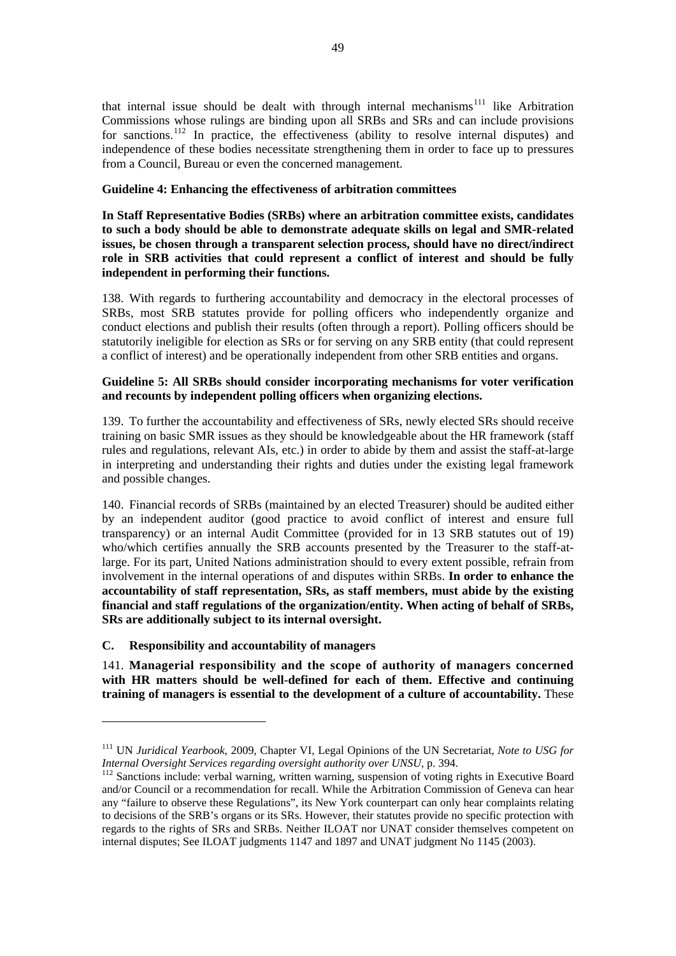<span id="page-60-0"></span>that internal issue should be dealt with through internal mechanisms<sup> $111$ </sup> like Arbitration Commissions whose rulings are binding upon all SRBs and SRs and can include provisions for sanctions.<sup>[112](#page-60-0)</sup> In practice, the effectiveness (ability to resolve internal disputes) and independence of these bodies necessitate strengthening them in order to face up to pressures from a Council, Bureau or even the concerned management.

# **Guideline 4: Enhancing the effectiveness of arbitration committees**

**In Staff Representative Bodies (SRBs) where an arbitration committee exists, candidates to such a body should be able to demonstrate adequate skills on legal and SMR-related issues, be chosen through a transparent selection process, should have no direct/indirect role in SRB activities that could represent a conflict of interest and should be fully independent in performing their functions.**

138. With regards to furthering accountability and democracy in the electoral processes of SRBs, most SRB statutes provide for polling officers who independently organize and conduct elections and publish their results (often through a report). Polling officers should be statutorily ineligible for election as SRs or for serving on any SRB entity (that could represent a conflict of interest) and be operationally independent from other SRB entities and organs.

## **Guideline 5: All SRBs should consider incorporating mechanisms for voter verification and recounts by independent polling officers when organizing elections.**

139. To further the accountability and effectiveness of SRs, newly elected SRs should receive training on basic SMR issues as they should be knowledgeable about the HR framework (staff rules and regulations, relevant AIs, etc.) in order to abide by them and assist the staff-at-large in interpreting and understanding their rights and duties under the existing legal framework and possible changes.

140. Financial records of SRBs (maintained by an elected Treasurer) should be audited either by an independent auditor (good practice to avoid conflict of interest and ensure full transparency) or an internal Audit Committee (provided for in 13 SRB statutes out of 19) who/which certifies annually the SRB accounts presented by the Treasurer to the staff-atlarge. For its part, United Nations administration should to every extent possible, refrain from involvement in the internal operations of and disputes within SRBs. **In order to enhance the accountability of staff representation, SRs, as staff members, must abide by the existing financial and staff regulations of the organization/entity. When acting of behalf of SRBs, SRs are additionally subject to its internal oversight.** 

# **C. Responsibility and accountability of managers**

 $\overline{a}$ 

141. **Managerial responsibility and the scope of authority of managers concerned with HR matters should be well-defined for each of them. Effective and continuing training of managers is essential to the development of a culture of accountability.** These

<sup>&</sup>lt;sup>111</sup> UN *Juridical Yearbook*, 2009, Chapter VI, Legal Opinions of the UN Secretariat, *Note to USG for Internal Oversight Services regarding oversight authority over UNSU*, p. 394.

<sup>&</sup>lt;sup>112</sup> Sanctions include: verbal warning, written warning, suspension of voting rights in Executive Board and/or Council or a recommendation for recall. While the Arbitration Commission of Geneva can hear any "failure to observe these Regulations", its New York counterpart can only hear complaints relating to decisions of the SRB's organs or its SRs. However, their statutes provide no specific protection with regards to the rights of SRs and SRBs. Neither ILOAT nor UNAT consider themselves competent on internal disputes; See ILOAT judgments 1147 and 1897 and UNAT judgment No 1145 (2003).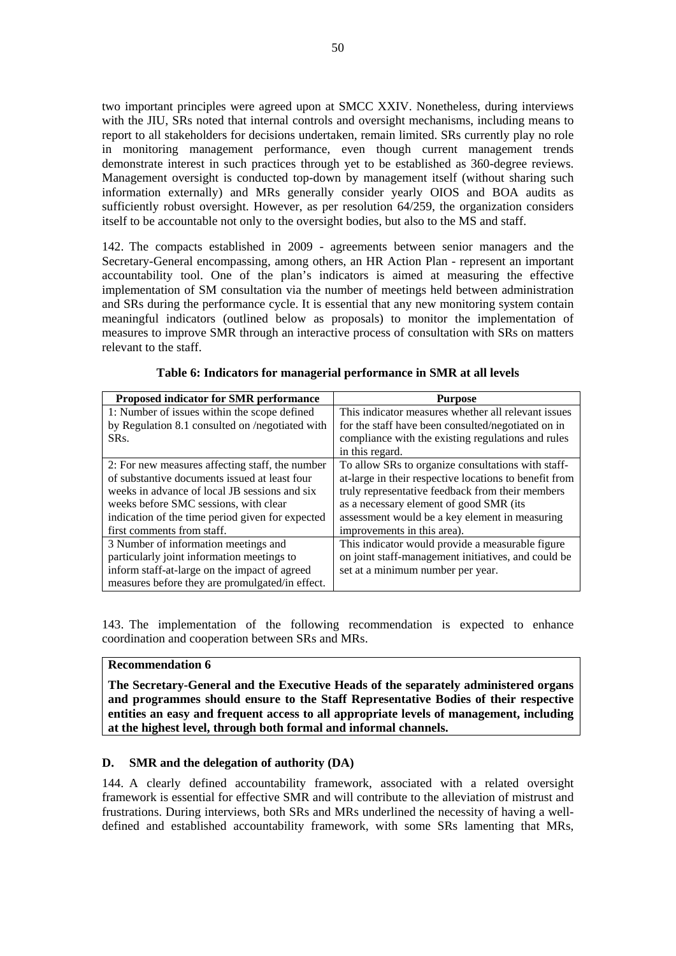two important principles were agreed upon at SMCC XXIV. Nonetheless, during interviews with the JIU, SRs noted that internal controls and oversight mechanisms, including means to report to all stakeholders for decisions undertaken, remain limited. SRs currently play no role in monitoring management performance, even though current management trends demonstrate interest in such practices through yet to be established as 360-degree reviews. Management oversight is conducted top-down by management itself (without sharing such information externally) and MRs generally consider yearly OIOS and BOA audits as sufficiently robust oversight. However, as per resolution 64/259, the organization considers itself to be accountable not only to the oversight bodies, but also to the MS and staff.

142. The compacts established in 2009 - agreements between senior managers and the Secretary-General encompassing, among others, an HR Action Plan - represent an important accountability tool. One of the plan's indicators is aimed at measuring the effective implementation of SM consultation via the number of meetings held between administration and SRs during the performance cycle. It is essential that any new monitoring system contain meaningful indicators (outlined below as proposals) to monitor the implementation of measures to improve SMR through an interactive process of consultation with SRs on matters relevant to the staff.

| Proposed indicator for SMR performance           | <b>Purpose</b>                                         |
|--------------------------------------------------|--------------------------------------------------------|
| 1: Number of issues within the scope defined     | This indicator measures whether all relevant issues    |
| by Regulation 8.1 consulted on /negotiated with  | for the staff have been consulted/negotiated on in     |
| SR <sub>S</sub> .                                | compliance with the existing regulations and rules     |
|                                                  | in this regard.                                        |
| 2: For new measures affecting staff, the number  | To allow SRs to organize consultations with staff-     |
| of substantive documents issued at least four    | at-large in their respective locations to benefit from |
| weeks in advance of local JB sessions and six    | truly representative feedback from their members       |
| weeks before SMC sessions, with clear            | as a necessary element of good SMR (its                |
| indication of the time period given for expected | assessment would be a key element in measuring         |
| first comments from staff.                       | improvements in this area).                            |
| 3 Number of information meetings and             | This indicator would provide a measurable figure       |
| particularly joint information meetings to       | on joint staff-management initiatives, and could be    |
| inform staff-at-large on the impact of agreed    | set at a minimum number per year.                      |
| measures before they are promulgated/in effect.  |                                                        |

**Table 6: Indicators for managerial performance in SMR at all levels** 

143. The implementation of the following recommendation is expected to enhance coordination and cooperation between SRs and MRs.

# **Recommendation 6**

**The Secretary-General and the Executive Heads of the separately administered organs and programmes should ensure to the Staff Representative Bodies of their respective entities an easy and frequent access to all appropriate levels of management, including at the highest level, through both formal and informal channels.**

# **D. SMR and the delegation of authority (DA)**

144. A clearly defined accountability framework, associated with a related oversight framework is essential for effective SMR and will contribute to the alleviation of mistrust and frustrations. During interviews, both SRs and MRs underlined the necessity of having a welldefined and established accountability framework, with some SRs lamenting that MRs,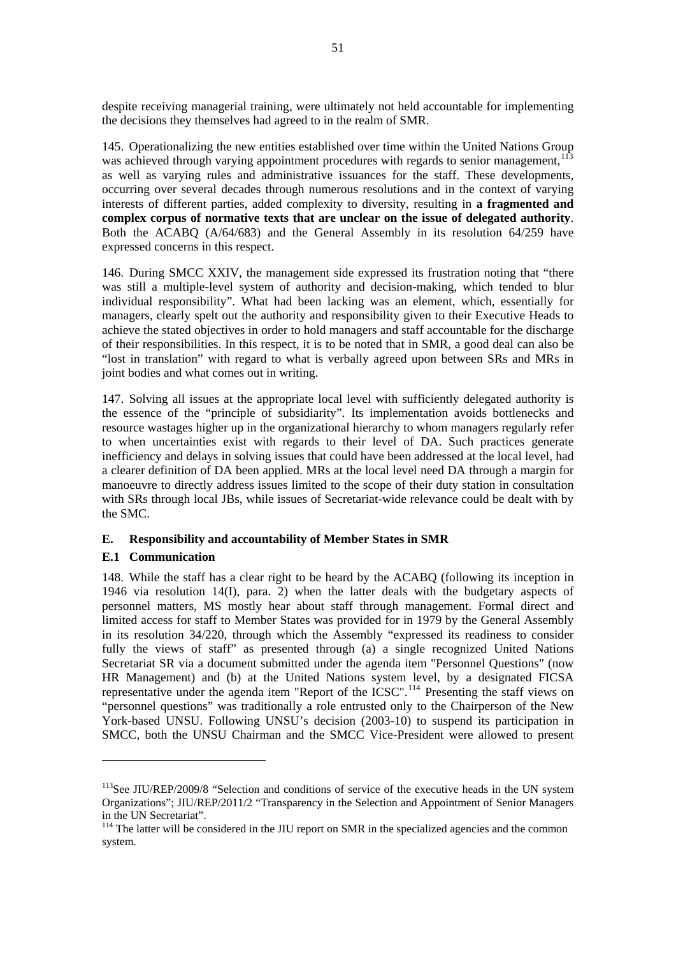<span id="page-62-0"></span>despite receiving managerial training, were ultimately not held accountable for implementing the decisions they themselves had agreed to in the realm of SMR.

145. Operationalizing the new entities established over time within the United Nations Group was achieved through varying appointment procedures with regards to senior management,<sup>[113](#page-62-0)</sup> as well as varying rules and administrative issuances for the staff. These developments, occurring over several decades through numerous resolutions and in the context of varying interests of different parties, added complexity to diversity, resulting in **a fragmented and complex corpus of normative texts that are unclear on the issue of delegated authority**. Both the ACABQ (A/64/683) and the General Assembly in its resolution 64/259 have expressed concerns in this respect.

146. During SMCC XXIV, the management side expressed its frustration noting that "there was still a multiple-level system of authority and decision-making, which tended to blur individual responsibility". What had been lacking was an element, which, essentially for managers, clearly spelt out the authority and responsibility given to their Executive Heads to achieve the stated objectives in order to hold managers and staff accountable for the discharge of their responsibilities. In this respect, it is to be noted that in SMR, a good deal can also be "lost in translation" with regard to what is verbally agreed upon between SRs and MRs in joint bodies and what comes out in writing.

147. Solving all issues at the appropriate local level with sufficiently delegated authority is the essence of the "principle of subsidiarity". Its implementation avoids bottlenecks and resource wastages higher up in the organizational hierarchy to whom managers regularly refer to when uncertainties exist with regards to their level of DA. Such practices generate inefficiency and delays in solving issues that could have been addressed at the local level, had a clearer definition of DA been applied. MRs at the local level need DA through a margin for manoeuvre to directly address issues limited to the scope of their duty station in consultation with SRs through local JBs, while issues of Secretariat-wide relevance could be dealt with by the SMC.

# **E. Responsibility and accountability of Member States in SMR**

# **E.1 Communication**

 $\overline{a}$ 

148. While the staff has a clear right to be heard by the ACABQ (following its inception in 1946 via resolution 14(I), para. 2) when the latter deals with the budgetary aspects of personnel matters, MS mostly hear about staff through management. Formal direct and limited access for staff to Member States was provided for in 1979 by the General Assembly in its resolution 34/220, through which the Assembly "expressed its readiness to consider fully the views of staff" as presented through (a) a single recognized United Nations Secretariat SR via a document submitted under the agenda item "Personnel Questions" (now HR Management) and (b) at the United Nations system level, by a designated FICSA representative under the agenda item "Report of the  $\text{ICSC}$ ".<sup>[114](#page-62-0)</sup> Presenting the staff views on "personnel questions" was traditionally a role entrusted only to the Chairperson of the New York-based UNSU. Following UNSU's decision (2003-10) to suspend its participation in SMCC, both the UNSU Chairman and the SMCC Vice-President were allowed to present

<sup>&</sup>lt;sup>113</sup>See JIU/REP/2009/8 "Selection and conditions of service of the executive heads in the UN system Organizations"; JIU/REP/2011/2 "Transparency in the Selection and Appointment of Senior Managers in the UN Secretariat".

<sup>&</sup>lt;sup>114</sup> The latter will be considered in the JIU report on SMR in the specialized agencies and the common system.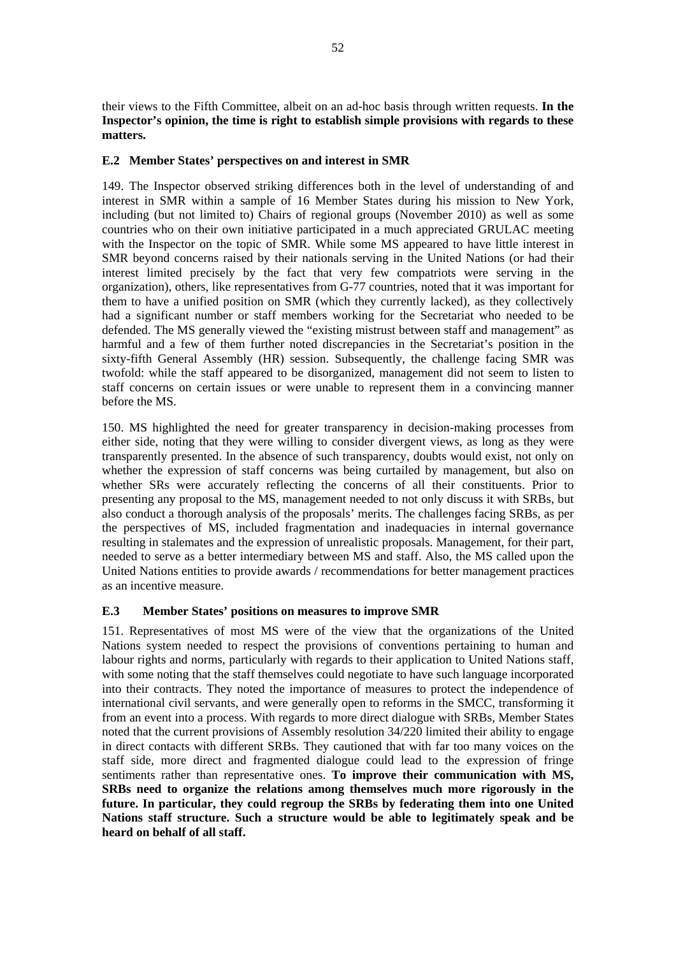their views to the Fifth Committee, albeit on an ad-hoc basis through written requests. **In the Inspector's opinion, the time is right to establish simple provisions with regards to these matters.** 

# **E.2 Member States' perspectives on and interest in SMR**

149. The Inspector observed striking differences both in the level of understanding of and interest in SMR within a sample of 16 Member States during his mission to New York, including (but not limited to) Chairs of regional groups (November 2010) as well as some countries who on their own initiative participated in a much appreciated GRULAC meeting with the Inspector on the topic of SMR. While some MS appeared to have little interest in SMR beyond concerns raised by their nationals serving in the United Nations (or had their interest limited precisely by the fact that very few compatriots were serving in the organization), others, like representatives from G-77 countries, noted that it was important for them to have a unified position on SMR (which they currently lacked), as they collectively had a significant number or staff members working for the Secretariat who needed to be defended. The MS generally viewed the "existing mistrust between staff and management" as harmful and a few of them further noted discrepancies in the Secretariat's position in the sixty-fifth General Assembly (HR) session. Subsequently, the challenge facing SMR was twofold: while the staff appeared to be disorganized, management did not seem to listen to staff concerns on certain issues or were unable to represent them in a convincing manner before the MS.

150. MS highlighted the need for greater transparency in decision-making processes from either side, noting that they were willing to consider divergent views, as long as they were transparently presented. In the absence of such transparency, doubts would exist, not only on whether the expression of staff concerns was being curtailed by management, but also on whether SRs were accurately reflecting the concerns of all their constituents. Prior to presenting any proposal to the MS, management needed to not only discuss it with SRBs, but also conduct a thorough analysis of the proposals' merits. The challenges facing SRBs, as per the perspectives of MS, included fragmentation and inadequacies in internal governance resulting in stalemates and the expression of unrealistic proposals. Management, for their part, needed to serve as a better intermediary between MS and staff. Also, the MS called upon the United Nations entities to provide awards / recommendations for better management practices as an incentive measure.

# **E.3 Member States' positions on measures to improve SMR**

151. Representatives of most MS were of the view that the organizations of the United Nations system needed to respect the provisions of conventions pertaining to human and labour rights and norms, particularly with regards to their application to United Nations staff, with some noting that the staff themselves could negotiate to have such language incorporated into their contracts. They noted the importance of measures to protect the independence of international civil servants, and were generally open to reforms in the SMCC, transforming it from an event into a process. With regards to more direct dialogue with SRBs, Member States noted that the current provisions of Assembly resolution 34/220 limited their ability to engage in direct contacts with different SRBs. They cautioned that with far too many voices on the staff side, more direct and fragmented dialogue could lead to the expression of fringe sentiments rather than representative ones. **To improve their communication with MS, SRBs need to organize the relations among themselves much more rigorously in the future. In particular, they could regroup the SRBs by federating them into one United Nations staff structure. Such a structure would be able to legitimately speak and be heard on behalf of all staff.**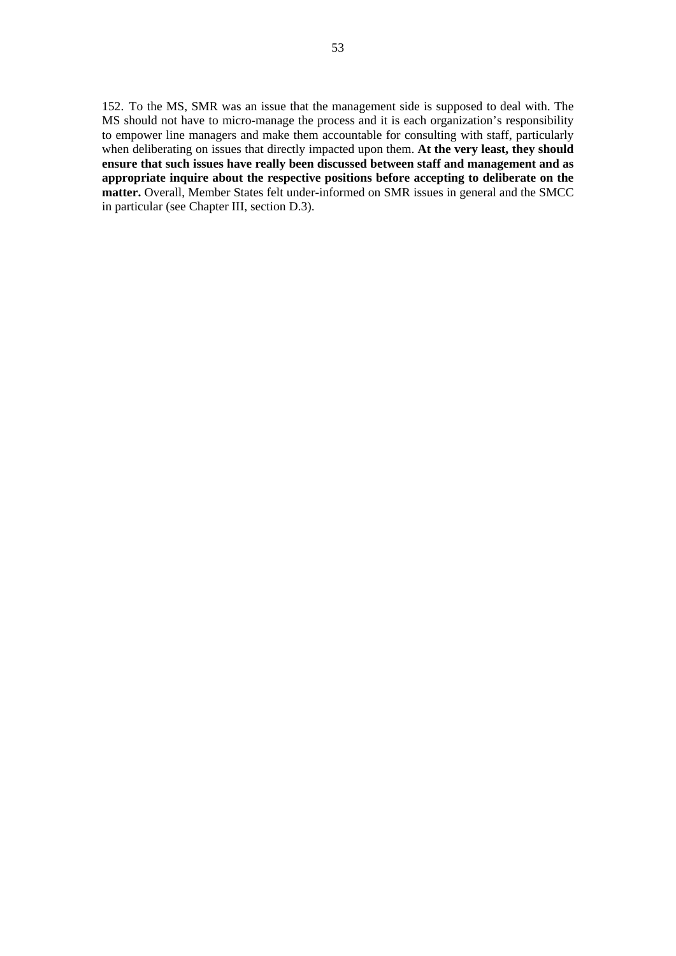152. To the MS, SMR was an issue that the management side is supposed to deal with. The MS should not have to micro-manage the process and it is each organization's responsibility to empower line managers and make them accountable for consulting with staff, particularly when deliberating on issues that directly impacted upon them. At the very least, they should **ensure that such issues have really been discussed between staff and management and as appropriate inquire about the respective positions before accepting to deliberate on the matter.** Overall, Member States felt under-informed on SMR issues in general and the SMCC in particular (see Chapter III, section D.3).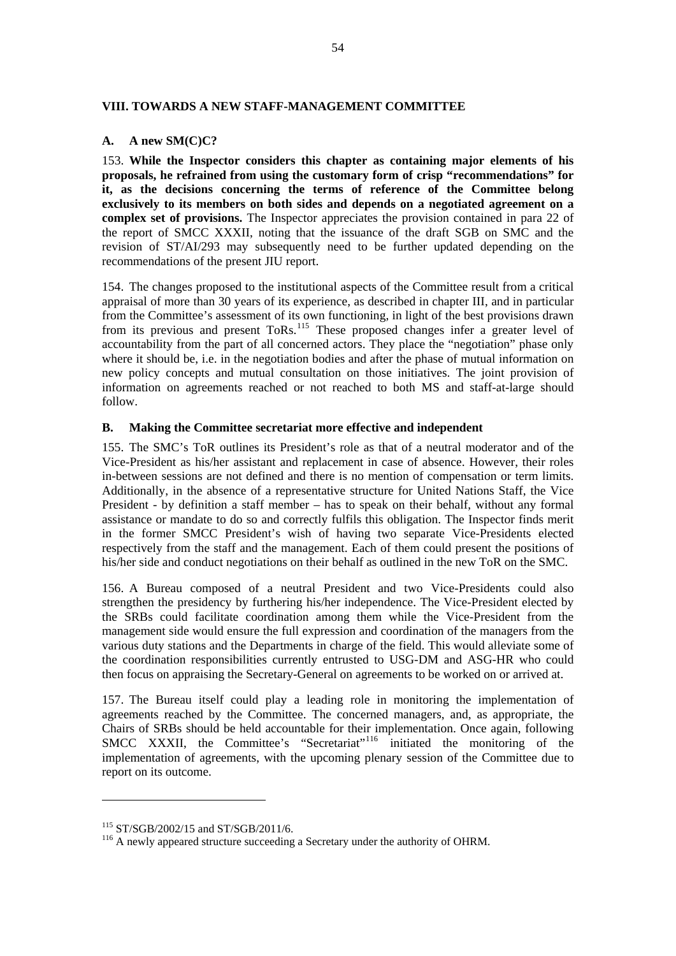#### <span id="page-65-0"></span>**VIII. TOWARDS A NEW STAFF-MANAGEMENT COMMITTEE**

## **A. A new SM(C)C?**

153. **While the Inspector considers this chapter as containing major elements of his proposals, he refrained from using the customary form of crisp "recommendations" for it, as the decisions concerning the terms of reference of the Committee belong exclusively to its members on both sides and depends on a negotiated agreement on a complex set of provisions.** The Inspector appreciates the provision contained in para 22 of the report of SMCC XXXII, noting that the issuance of the draft SGB on SMC and the revision of ST/AI/293 may subsequently need to be further updated depending on the recommendations of the present JIU report.

154. The changes proposed to the institutional aspects of the Committee result from a critical appraisal of more than 30 years of its experience, as described in chapter III, and in particular from the Committee's assessment of its own functioning, in light of the best provisions drawn from its previous and present ToRs.<sup>[115](#page-65-0)</sup> These proposed changes infer a greater level of accountability from the part of all concerned actors. They place the "negotiation" phase only where it should be, i.e. in the negotiation bodies and after the phase of mutual information on new policy concepts and mutual consultation on those initiatives. The joint provision of information on agreements reached or not reached to both MS and staff-at-large should follow.

## **B. Making the Committee secretariat more effective and independent**

155. The SMC's ToR outlines its President's role as that of a neutral moderator and of the Vice-President as his/her assistant and replacement in case of absence. However, their roles in-between sessions are not defined and there is no mention of compensation or term limits. Additionally, in the absence of a representative structure for United Nations Staff, the Vice President - by definition a staff member – has to speak on their behalf, without any formal assistance or mandate to do so and correctly fulfils this obligation. The Inspector finds merit in the former SMCC President's wish of having two separate Vice-Presidents elected respectively from the staff and the management. Each of them could present the positions of his/her side and conduct negotiations on their behalf as outlined in the new ToR on the SMC.

156. A Bureau composed of a neutral President and two Vice-Presidents could also strengthen the presidency by furthering his/her independence. The Vice-President elected by the SRBs could facilitate coordination among them while the Vice-President from the management side would ensure the full expression and coordination of the managers from the various duty stations and the Departments in charge of the field. This would alleviate some of the coordination responsibilities currently entrusted to USG-DM and ASG-HR who could then focus on appraising the Secretary-General on agreements to be worked on or arrived at.

157. The Bureau itself could play a leading role in monitoring the implementation of agreements reached by the Committee. The concerned managers, and, as appropriate, the Chairs of SRBs should be held accountable for their implementation. Once again, following SMCC XXXII, the Committee's "Secretariat"<sup>[116](#page-65-0)</sup> initiated the monitoring of the implementation of agreements, with the upcoming plenary session of the Committee due to report on its outcome.

<sup>&</sup>lt;sup>115</sup> ST/SGB/2002/15 and ST/SGB/2011/6.<br><sup>116</sup> A newly appeared structure succeeding a Secretary under the authority of OHRM.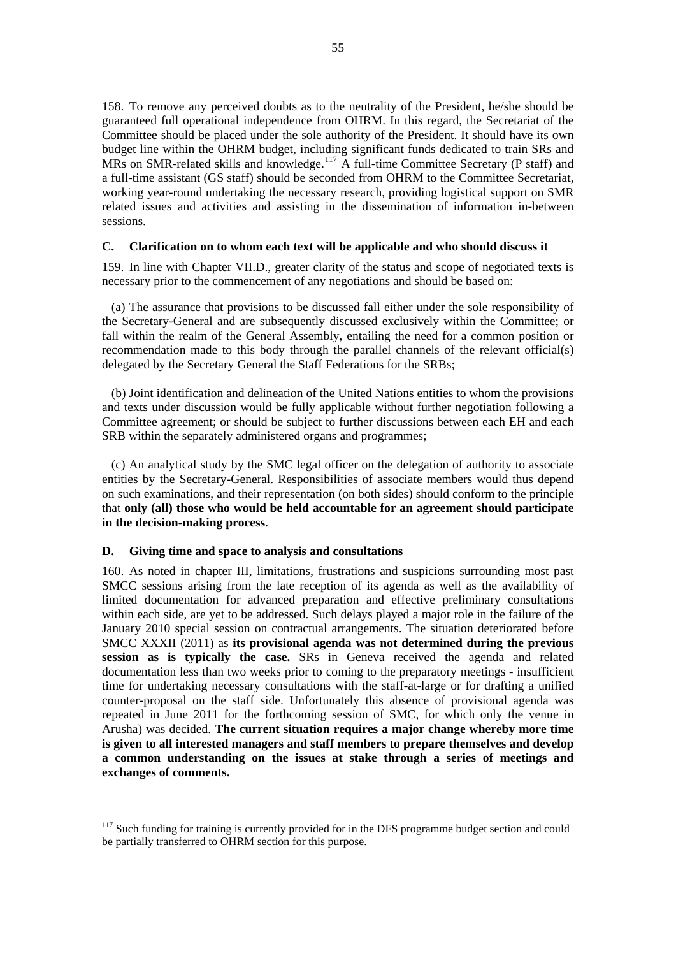<span id="page-66-0"></span>158. To remove any perceived doubts as to the neutrality of the President, he/she should be guaranteed full operational independence from OHRM. In this regard, the Secretariat of the Committee should be placed under the sole authority of the President. It should have its own budget line within the OHRM budget, including significant funds dedicated to train SRs and MRs on SMR-related skills and knowledge.<sup>[117](#page-66-0)</sup> A full-time Committee Secretary (P staff) and a full-time assistant (GS staff) should be seconded from OHRM to the Committee Secretariat, working year-round undertaking the necessary research, providing logistical support on SMR related issues and activities and assisting in the dissemination of information in-between sessions.

#### **C. Clarification on to whom each text will be applicable and who should discuss it**

159. In line with Chapter VII.D., greater clarity of the status and scope of negotiated texts is necessary prior to the commencement of any negotiations and should be based on:

 (a) The assurance that provisions to be discussed fall either under the sole responsibility of the Secretary-General and are subsequently discussed exclusively within the Committee; or fall within the realm of the General Assembly, entailing the need for a common position or recommendation made to this body through the parallel channels of the relevant official(s) delegated by the Secretary General the Staff Federations for the SRBs;

 (b) Joint identification and delineation of the United Nations entities to whom the provisions and texts under discussion would be fully applicable without further negotiation following a Committee agreement; or should be subject to further discussions between each EH and each SRB within the separately administered organs and programmes;

 (c) An analytical study by the SMC legal officer on the delegation of authority to associate entities by the Secretary-General. Responsibilities of associate members would thus depend on such examinations, and their representation (on both sides) should conform to the principle that **only (all) those who would be held accountable for an agreement should participate in the decision-making process**.

#### **D. Giving time and space to analysis and consultations**

 $\overline{a}$ 

160. As noted in chapter III, limitations, frustrations and suspicions surrounding most past SMCC sessions arising from the late reception of its agenda as well as the availability of limited documentation for advanced preparation and effective preliminary consultations within each side, are yet to be addressed. Such delays played a major role in the failure of the January 2010 special session on contractual arrangements. The situation deteriorated before SMCC XXXII (2011) as **its provisional agenda was not determined during the previous session as is typically the case.** SRs in Geneva received the agenda and related documentation less than two weeks prior to coming to the preparatory meetings - insufficient time for undertaking necessary consultations with the staff-at-large or for drafting a unified counter-proposal on the staff side. Unfortunately this absence of provisional agenda was repeated in June 2011 for the forthcoming session of SMC, for which only the venue in Arusha) was decided. **The current situation requires a major change whereby more time is given to all interested managers and staff members to prepare themselves and develop a common understanding on the issues at stake through a series of meetings and exchanges of comments.**

<sup>&</sup>lt;sup>117</sup> Such funding for training is currently provided for in the DFS programme budget section and could be partially transferred to OHRM section for this purpose.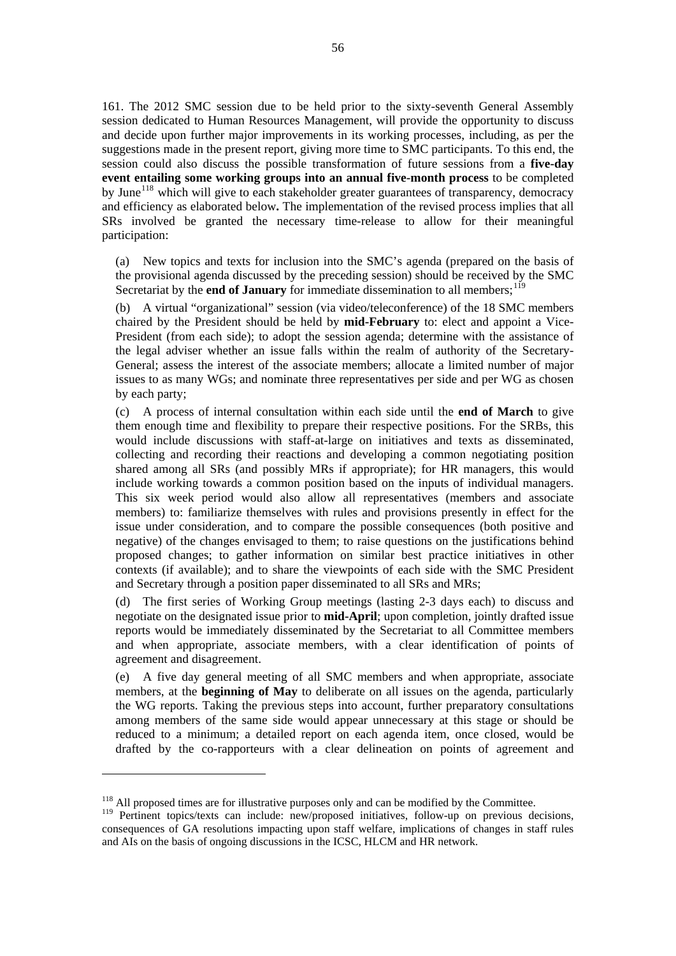<span id="page-67-0"></span>161. The 2012 SMC session due to be held prior to the sixty-seventh General Assembly session dedicated to Human Resources Management, will provide the opportunity to discuss and decide upon further major improvements in its working processes, including, as per the suggestions made in the present report, giving more time to SMC participants. To this end, the session could also discuss the possible transformation of future sessions from a **five-day event entailing some working groups into an annual five-month process** to be completed by June<sup>[118](#page-67-0)</sup> which will give to each stakeholder greater guarantees of transparency, democracy and efficiency as elaborated below**.** The implementation of the revised process implies that all SRs involved be granted the necessary time-release to allow for their meaningful participation:

 (a) New topics and texts for inclusion into the SMC's agenda (prepared on the basis of the provisional agenda discussed by the preceding session) should be received by the SMC Secretariat by the **end of January** for immediate dissemination to all members;<sup>[119](#page-67-0)</sup>

 (b) A virtual "organizational" session (via video/teleconference) of the 18 SMC members chaired by the President should be held by **mid-February** to: elect and appoint a Vice-President (from each side); to adopt the session agenda; determine with the assistance of the legal adviser whether an issue falls within the realm of authority of the Secretary-General; assess the interest of the associate members; allocate a limited number of major issues to as many WGs; and nominate three representatives per side and per WG as chosen by each party;

 (c) A process of internal consultation within each side until the **end of March** to give them enough time and flexibility to prepare their respective positions. For the SRBs, this would include discussions with staff-at-large on initiatives and texts as disseminated, collecting and recording their reactions and developing a common negotiating position shared among all SRs (and possibly MRs if appropriate); for HR managers, this would include working towards a common position based on the inputs of individual managers. This six week period would also allow all representatives (members and associate members) to: familiarize themselves with rules and provisions presently in effect for the issue under consideration, and to compare the possible consequences (both positive and negative) of the changes envisaged to them; to raise questions on the justifications behind proposed changes; to gather information on similar best practice initiatives in other contexts (if available); and to share the viewpoints of each side with the SMC President and Secretary through a position paper disseminated to all SRs and MRs;

 (d) The first series of Working Group meetings (lasting 2-3 days each) to discuss and negotiate on the designated issue prior to **mid-April**; upon completion, jointly drafted issue reports would be immediately disseminated by the Secretariat to all Committee members and when appropriate, associate members, with a clear identification of points of agreement and disagreement.

 (e) A five day general meeting of all SMC members and when appropriate, associate members, at the **beginning of May** to deliberate on all issues on the agenda, particularly the WG reports. Taking the previous steps into account, further preparatory consultations among members of the same side would appear unnecessary at this stage or should be reduced to a minimum; a detailed report on each agenda item, once closed, would be drafted by the co-rapporteurs with a clear delineation on points of agreement and

 $118$  All proposed times are for illustrative purposes only and can be modified by the Committee.

 $119$  Pertinent topics/texts can include: new/proposed initiatives, follow-up on previous decisions, consequences of GA resolutions impacting upon staff welfare, implications of changes in staff rules and AIs on the basis of ongoing discussions in the ICSC, HLCM and HR network.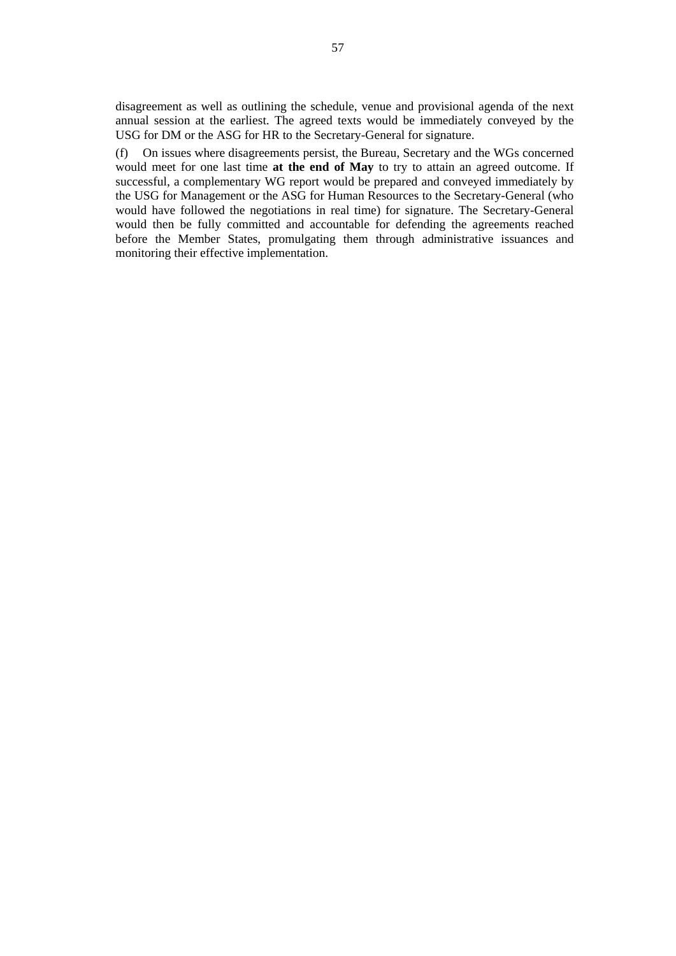disagreement as well as outlining the schedule, venue and provisional agenda of the next annual session at the earliest. The agreed texts would be immediately conveyed by the USG for DM or the ASG for HR to the Secretary-General for signature.

 (f) On issues where disagreements persist, the Bureau, Secretary and the WGs concerned would meet for one last time **at the end of May** to try to attain an agreed outcome. If successful, a complementary WG report would be prepared and conveyed immediately by the USG for Management or the ASG for Human Resources to the Secretary-General (who would have followed the negotiations in real time) for signature. The Secretary-General would then be fully committed and accountable for defending the agreements reached before the Member States, promulgating them through administrative issuances and monitoring their effective implementation.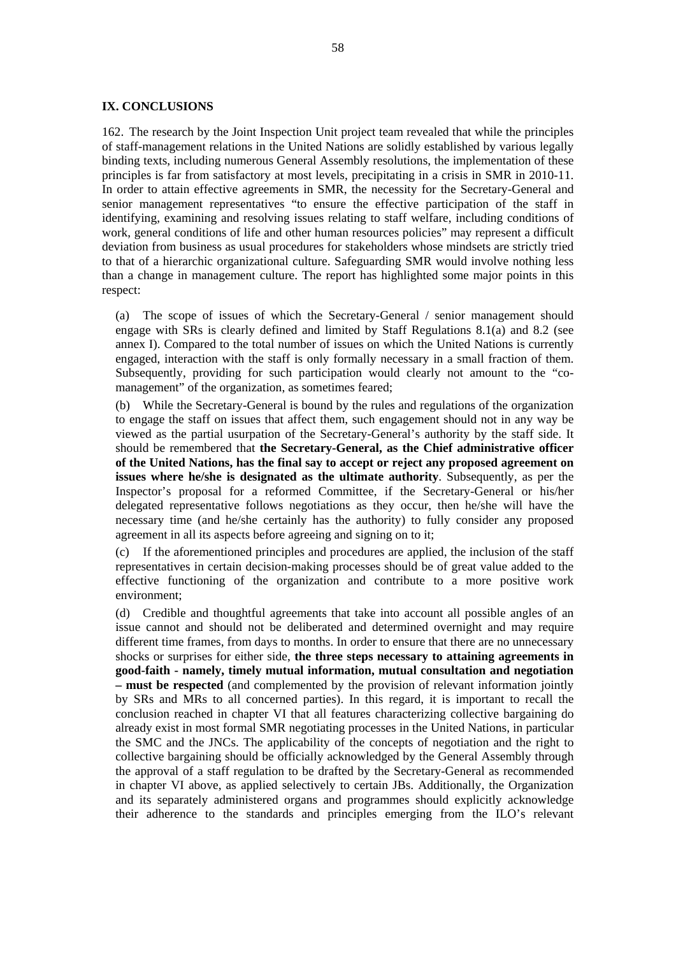#### **IX. CONCLUSIONS**

162. The research by the Joint Inspection Unit project team revealed that while the principles of staff-management relations in the United Nations are solidly established by various legally binding texts, including numerous General Assembly resolutions, the implementation of these principles is far from satisfactory at most levels, precipitating in a crisis in SMR in 2010-11. In order to attain effective agreements in SMR, the necessity for the Secretary-General and senior management representatives "to ensure the effective participation of the staff in identifying, examining and resolving issues relating to staff welfare, including conditions of work, general conditions of life and other human resources policies" may represent a difficult deviation from business as usual procedures for stakeholders whose mindsets are strictly tried to that of a hierarchic organizational culture. Safeguarding SMR would involve nothing less than a change in management culture. The report has highlighted some major points in this respect:

 (a) The scope of issues of which the Secretary-General / senior management should engage with SRs is clearly defined and limited by Staff Regulations 8.1(a) and 8.2 (see annex I). Compared to the total number of issues on which the United Nations is currently engaged, interaction with the staff is only formally necessary in a small fraction of them. Subsequently, providing for such participation would clearly not amount to the "comanagement" of the organization, as sometimes feared;

 (b) While the Secretary-General is bound by the rules and regulations of the organization to engage the staff on issues that affect them, such engagement should not in any way be viewed as the partial usurpation of the Secretary-General's authority by the staff side. It should be remembered that **the Secretary-General, as the Chief administrative officer of the United Nations, has the final say to accept or reject any proposed agreement on issues where he/she is designated as the ultimate authority**. Subsequently, as per the Inspector's proposal for a reformed Committee, if the Secretary-General or his/her delegated representative follows negotiations as they occur, then he/she will have the necessary time (and he/she certainly has the authority) to fully consider any proposed agreement in all its aspects before agreeing and signing on to it;

 (c) If the aforementioned principles and procedures are applied, the inclusion of the staff representatives in certain decision-making processes should be of great value added to the effective functioning of the organization and contribute to a more positive work environment;

 (d) Credible and thoughtful agreements that take into account all possible angles of an issue cannot and should not be deliberated and determined overnight and may require different time frames, from days to months. In order to ensure that there are no unnecessary shocks or surprises for either side, **the three steps necessary to attaining agreements in good-faith - namely, timely mutual information, mutual consultation and negotiation – must be respected** (and complemented by the provision of relevant information jointly by SRs and MRs to all concerned parties). In this regard, it is important to recall the conclusion reached in chapter VI that all features characterizing collective bargaining do already exist in most formal SMR negotiating processes in the United Nations, in particular the SMC and the JNCs. The applicability of the concepts of negotiation and the right to collective bargaining should be officially acknowledged by the General Assembly through the approval of a staff regulation to be drafted by the Secretary-General as recommended in chapter VI above, as applied selectively to certain JBs. Additionally, the Organization and its separately administered organs and programmes should explicitly acknowledge their adherence to the standards and principles emerging from the ILO's relevant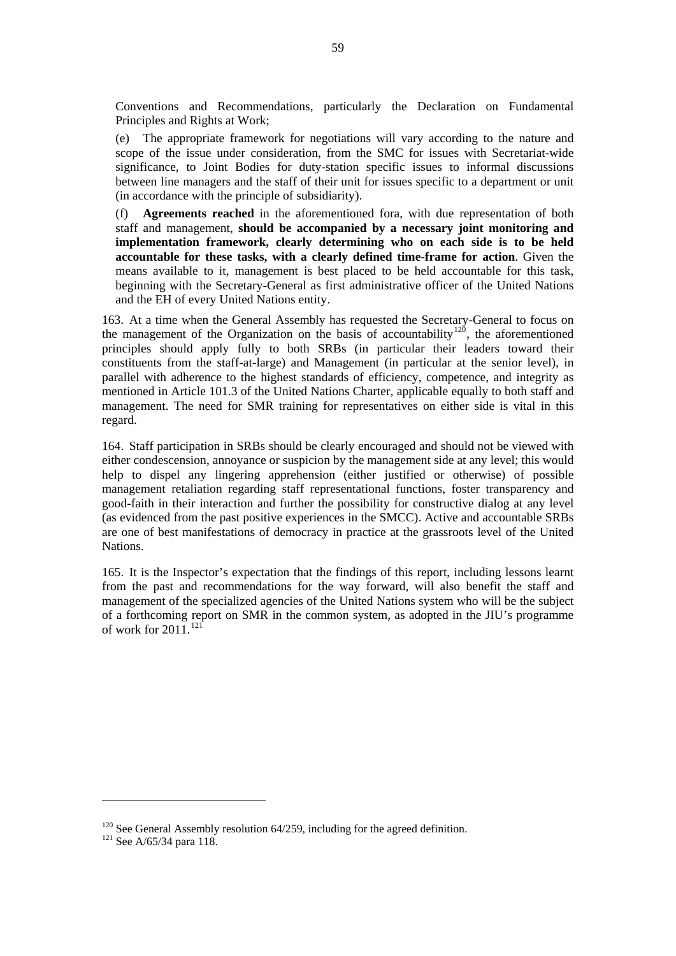<span id="page-70-0"></span>Conventions and Recommendations, particularly the Declaration on Fundamental Principles and Rights at Work;

 (e) The appropriate framework for negotiations will vary according to the nature and scope of the issue under consideration, from the SMC for issues with Secretariat-wide significance, to Joint Bodies for duty-station specific issues to informal discussions between line managers and the staff of their unit for issues specific to a department or unit (in accordance with the principle of subsidiarity).

 (f) **Agreements reached** in the aforementioned fora, with due representation of both staff and management, **should be accompanied by a necessary joint monitoring and implementation framework, clearly determining who on each side is to be held accountable for these tasks, with a clearly defined time-frame for action**. Given the means available to it, management is best placed to be held accountable for this task, beginning with the Secretary-General as first administrative officer of the United Nations and the EH of every United Nations entity.

163. At a time when the General Assembly has requested the Secretary-General to focus on the management of the Organization on the basis of accountability<sup>[120](#page-70-0)</sup>, the aforementioned principles should apply fully to both SRBs (in particular their leaders toward their constituents from the staff-at-large) and Management (in particular at the senior level), in parallel with adherence to the highest standards of efficiency, competence, and integrity as mentioned in Article 101.3 of the United Nations Charter, applicable equally to both staff and management. The need for SMR training for representatives on either side is vital in this regard.

164. Staff participation in SRBs should be clearly encouraged and should not be viewed with either condescension, annoyance or suspicion by the management side at any level; this would help to dispel any lingering apprehension (either justified or otherwise) of possible management retaliation regarding staff representational functions, foster transparency and good-faith in their interaction and further the possibility for constructive dialog at any level (as evidenced from the past positive experiences in the SMCC). Active and accountable SRBs are one of best manifestations of democracy in practice at the grassroots level of the United Nations.

165. It is the Inspector's expectation that the findings of this report, including lessons learnt from the past and recommendations for the way forward, will also benefit the staff and management of the specialized agencies of the United Nations system who will be the subject of a forthcoming report on SMR in the common system, as adopted in the JIU's programme of work for  $2011^{121}$  $2011^{121}$  $2011^{121}$ 

<sup>&</sup>lt;sup>120</sup> See General Assembly resolution 64/259, including for the agreed definition.<br><sup>121</sup> See A/65/34 para 118.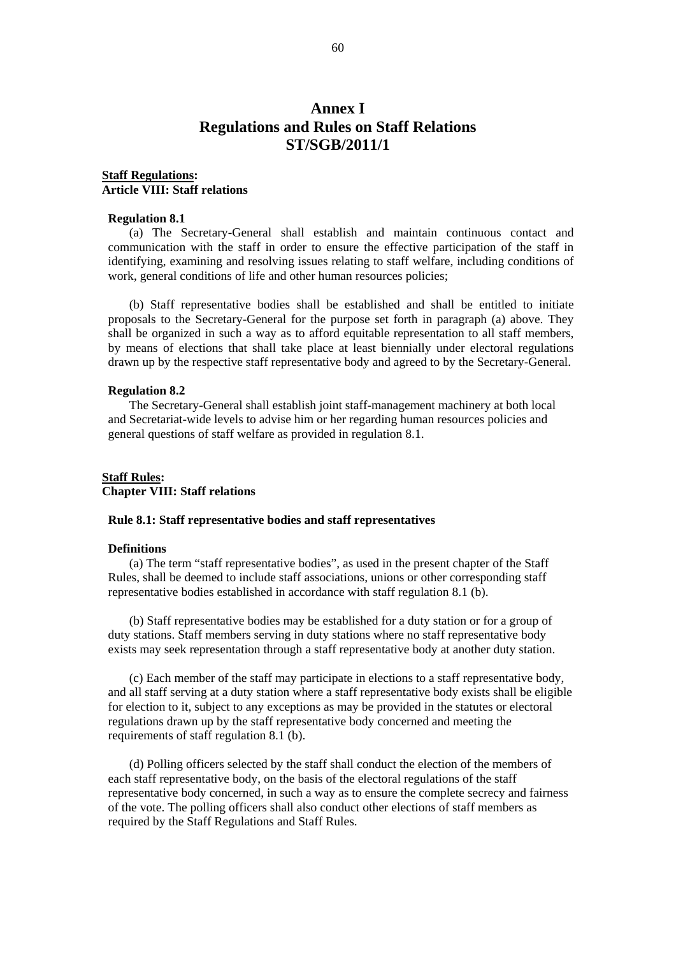# **Annex I Regulations and Rules on Staff Relations ST/SGB/2011/1**

## **Staff Regulations: Article VIII: Staff relations**

#### **Regulation 8.1**

(a) The Secretary-General shall establish and maintain continuous contact and communication with the staff in order to ensure the effective participation of the staff in identifying, examining and resolving issues relating to staff welfare, including conditions of work, general conditions of life and other human resources policies;

(b) Staff representative bodies shall be established and shall be entitled to initiate proposals to the Secretary-General for the purpose set forth in paragraph (a) above. They shall be organized in such a way as to afford equitable representation to all staff members, by means of elections that shall take place at least biennially under electoral regulations drawn up by the respective staff representative body and agreed to by the Secretary-General.

#### **Regulation 8.2**

The Secretary-General shall establish joint staff-management machinery at both local and Secretariat-wide levels to advise him or her regarding human resources policies and general questions of staff welfare as provided in regulation 8.1.

## **Staff Rules: Chapter VIII: Staff relations**

#### **Rule 8.1: Staff representative bodies and staff representatives**

#### **Definitions**

(a) The term "staff representative bodies", as used in the present chapter of the Staff Rules, shall be deemed to include staff associations, unions or other corresponding staff representative bodies established in accordance with staff regulation 8.1 (b).

(b) Staff representative bodies may be established for a duty station or for a group of duty stations. Staff members serving in duty stations where no staff representative body exists may seek representation through a staff representative body at another duty station.

(c) Each member of the staff may participate in elections to a staff representative body, and all staff serving at a duty station where a staff representative body exists shall be eligible for election to it, subject to any exceptions as may be provided in the statutes or electoral regulations drawn up by the staff representative body concerned and meeting the requirements of staff regulation 8.1 (b).

(d) Polling officers selected by the staff shall conduct the election of the members of each staff representative body, on the basis of the electoral regulations of the staff representative body concerned, in such a way as to ensure the complete secrecy and fairness of the vote. The polling officers shall also conduct other elections of staff members as required by the Staff Regulations and Staff Rules.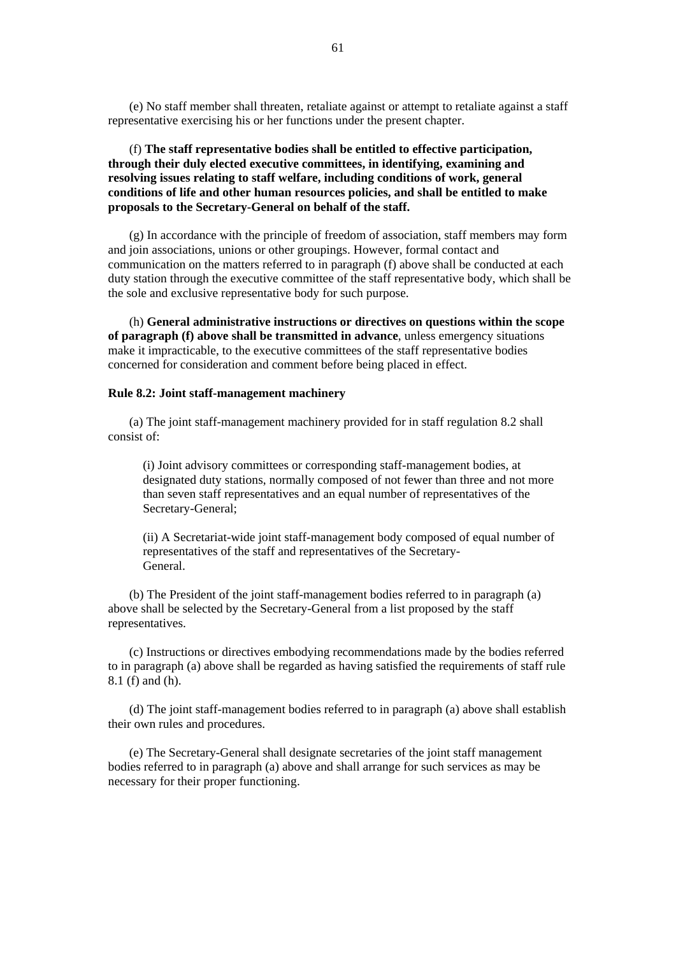(e) No staff member shall threaten, retaliate against or attempt to retaliate against a staff representative exercising his or her functions under the present chapter.

### (f) **The staff representative bodies shall be entitled to effective participation, through their duly elected executive committees, in identifying, examining and resolving issues relating to staff welfare, including conditions of work, general conditions of life and other human resources policies, and shall be entitled to make proposals to the Secretary-General on behalf of the staff.**

(g) In accordance with the principle of freedom of association, staff members may form and join associations, unions or other groupings. However, formal contact and communication on the matters referred to in paragraph (f) above shall be conducted at each duty station through the executive committee of the staff representative body, which shall be the sole and exclusive representative body for such purpose.

(h) **General administrative instructions or directives on questions within the scope of paragraph (f) above shall be transmitted in advance**, unless emergency situations make it impracticable, to the executive committees of the staff representative bodies concerned for consideration and comment before being placed in effect.

#### **Rule 8.2: Joint staff-management machinery**

(a) The joint staff-management machinery provided for in staff regulation 8.2 shall consist of:

(i) Joint advisory committees or corresponding staff-management bodies, at designated duty stations, normally composed of not fewer than three and not more than seven staff representatives and an equal number of representatives of the Secretary-General;

(ii) A Secretariat-wide joint staff-management body composed of equal number of representatives of the staff and representatives of the Secretary-General.

(b) The President of the joint staff-management bodies referred to in paragraph (a) above shall be selected by the Secretary-General from a list proposed by the staff representatives.

(c) Instructions or directives embodying recommendations made by the bodies referred to in paragraph (a) above shall be regarded as having satisfied the requirements of staff rule 8.1 (f) and (h).

(d) The joint staff-management bodies referred to in paragraph (a) above shall establish their own rules and procedures.

(e) The Secretary-General shall designate secretaries of the joint staff management bodies referred to in paragraph (a) above and shall arrange for such services as may be necessary for their proper functioning.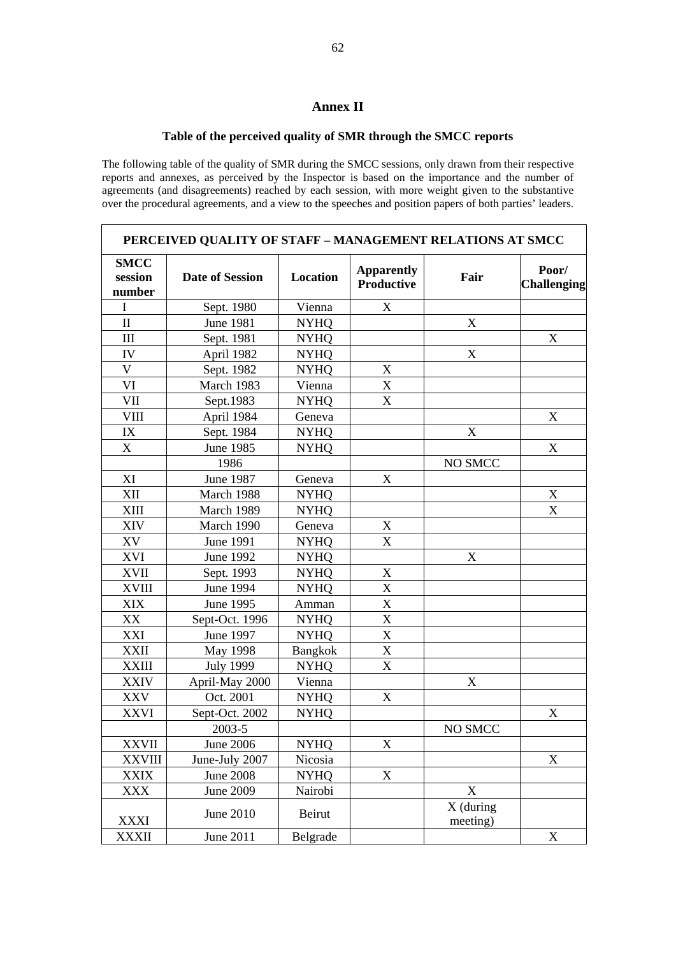## **Annex II**

## **Table of the perceived quality of SMR through the SMCC reports**

The following table of the quality of SMR during the SMCC sessions, only drawn from their respective reports and annexes, as perceived by the Inspector is based on the importance and the number of agreements (and disagreements) reached by each session, with more weight given to the substantive over the procedural agreements, and a view to the speeches and position papers of both parties' leaders.

| PERCEIVED QUALITY OF STAFF - MANAGEMENT RELATIONS AT SMCC |                        |                 |                                 |                           |                             |  |  |  |  |  |  |  |
|-----------------------------------------------------------|------------------------|-----------------|---------------------------------|---------------------------|-----------------------------|--|--|--|--|--|--|--|
| <b>SMCC</b><br>session<br>number                          | <b>Date of Session</b> | <b>Location</b> | <b>Apparently</b><br>Productive | Fair                      | Poor/<br><b>Challenging</b> |  |  |  |  |  |  |  |
| I                                                         | Sept. 1980             | Vienna          | X                               |                           |                             |  |  |  |  |  |  |  |
| $\rm II$                                                  | <b>June 1981</b>       | <b>NYHQ</b>     |                                 | X                         |                             |  |  |  |  |  |  |  |
| $\rm III$                                                 | Sept. 1981             | <b>NYHQ</b>     |                                 |                           | X                           |  |  |  |  |  |  |  |
| IV                                                        | April 1982             | <b>NYHQ</b>     |                                 | $\mathbf X$               |                             |  |  |  |  |  |  |  |
| $\mathbf V$                                               | Sept. 1982             | <b>NYHQ</b>     | $\mathbf X$                     |                           |                             |  |  |  |  |  |  |  |
| VI                                                        | March 1983             | Vienna          | X                               |                           |                             |  |  |  |  |  |  |  |
| VII                                                       | Sept.1983              | <b>NYHQ</b>     | $\mathbf X$                     |                           |                             |  |  |  |  |  |  |  |
| <b>VIII</b>                                               | April 1984             | Geneva          |                                 |                           | $\boldsymbol{\mathrm{X}}$   |  |  |  |  |  |  |  |
| IX                                                        | Sept. 1984             | <b>NYHQ</b>     |                                 | X                         |                             |  |  |  |  |  |  |  |
| $\boldsymbol{\mathrm{X}}$                                 | June 1985              | <b>NYHQ</b>     |                                 |                           | X                           |  |  |  |  |  |  |  |
|                                                           | 1986                   |                 |                                 | NO SMCC                   |                             |  |  |  |  |  |  |  |
| XI                                                        | June 1987              | Geneva          | X                               |                           |                             |  |  |  |  |  |  |  |
| XII                                                       | March 1988             | <b>NYHQ</b>     |                                 |                           | X                           |  |  |  |  |  |  |  |
| <b>XIII</b>                                               | March 1989             | <b>NYHQ</b>     |                                 |                           | X                           |  |  |  |  |  |  |  |
| XIV                                                       | March 1990             | Geneva          | X                               |                           |                             |  |  |  |  |  |  |  |
| XV                                                        | <b>June 1991</b>       | <b>NYHQ</b>     | $\mathbf X$                     |                           |                             |  |  |  |  |  |  |  |
| <b>XVI</b>                                                | June 1992              | <b>NYHQ</b>     |                                 | $\boldsymbol{\mathrm{X}}$ |                             |  |  |  |  |  |  |  |
| <b>XVII</b>                                               | Sept. 1993             | <b>NYHQ</b>     | $\boldsymbol{X}$                |                           |                             |  |  |  |  |  |  |  |
| <b>XVIII</b>                                              | June 1994              | <b>NYHQ</b>     | $\mathbf X$                     |                           |                             |  |  |  |  |  |  |  |
| <b>XIX</b>                                                | June 1995              | Amman           | X                               |                           |                             |  |  |  |  |  |  |  |
| XX                                                        | Sept-Oct. 1996         | <b>NYHQ</b>     | $\overline{X}$                  |                           |                             |  |  |  |  |  |  |  |
| XXI                                                       | <b>June 1997</b>       | <b>NYHQ</b>     | X                               |                           |                             |  |  |  |  |  |  |  |
| <b>XXII</b>                                               | May 1998               | <b>Bangkok</b>  | $\mathbf X$                     |                           |                             |  |  |  |  |  |  |  |
| <b>XXIII</b>                                              | <b>July 1999</b>       | <b>NYHQ</b>     | $\mathbf X$                     |                           |                             |  |  |  |  |  |  |  |
| <b>XXIV</b>                                               | April-May 2000         | Vienna          |                                 | $\boldsymbol{\mathrm{X}}$ |                             |  |  |  |  |  |  |  |
| <b>XXV</b>                                                | Oct. 2001              | <b>NYHQ</b>     | $\mathbf X$                     |                           |                             |  |  |  |  |  |  |  |
| <b>XXVI</b>                                               | Sept-Oct. 2002         | <b>NYHQ</b>     |                                 |                           | X                           |  |  |  |  |  |  |  |
|                                                           | 2003-5                 |                 |                                 | NO SMCC                   |                             |  |  |  |  |  |  |  |
| <b>XXVII</b>                                              | <b>June 2006</b>       | <b>NYHQ</b>     | X                               |                           |                             |  |  |  |  |  |  |  |
| <b>XXVIII</b>                                             | June-July 2007         | Nicosia         |                                 |                           | X                           |  |  |  |  |  |  |  |
| <b>XXIX</b>                                               | <b>June 2008</b>       | <b>NYHQ</b>     | $\mathbf X$                     |                           |                             |  |  |  |  |  |  |  |
| XXX                                                       | <b>June 2009</b>       | Nairobi         |                                 | $\boldsymbol{\mathrm{X}}$ |                             |  |  |  |  |  |  |  |
| <b>XXXI</b>                                               | <b>June 2010</b>       | Beirut          |                                 | $X$ (during<br>meeting)   |                             |  |  |  |  |  |  |  |
| <b>XXXII</b>                                              | June 2011              | Belgrade        |                                 |                           | X                           |  |  |  |  |  |  |  |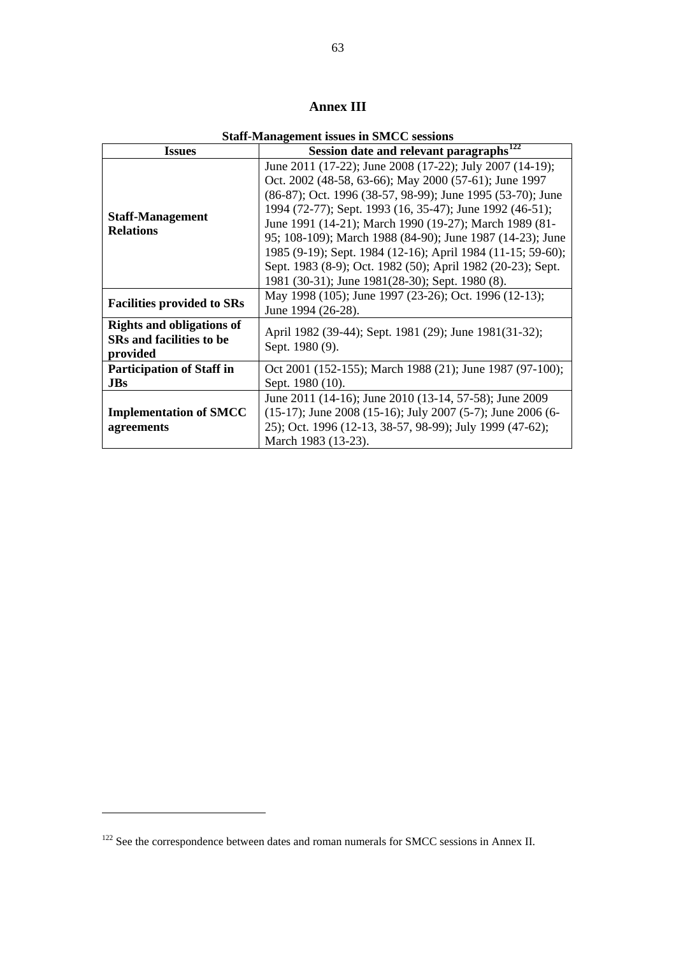# **Annex III**

**Staff-Management issues in SMCC sessions** 

<span id="page-74-0"></span>

| <b>Issues</b>                                                                   | Session date and relevant paragraphs <sup>122</sup>                                                                                                                                                                                                                                                                                                                                                                                                                                                                                                 |  |  |  |  |  |  |  |  |
|---------------------------------------------------------------------------------|-----------------------------------------------------------------------------------------------------------------------------------------------------------------------------------------------------------------------------------------------------------------------------------------------------------------------------------------------------------------------------------------------------------------------------------------------------------------------------------------------------------------------------------------------------|--|--|--|--|--|--|--|--|
| <b>Staff-Management</b><br><b>Relations</b>                                     | June 2011 (17-22); June 2008 (17-22); July 2007 (14-19);<br>Oct. 2002 (48-58, 63-66); May 2000 (57-61); June 1997<br>(86-87); Oct. 1996 (38-57, 98-99); June 1995 (53-70); June<br>1994 (72-77); Sept. 1993 (16, 35-47); June 1992 (46-51);<br>June 1991 (14-21); March 1990 (19-27); March 1989 (81-<br>95; 108-109); March 1988 (84-90); June 1987 (14-23); June<br>1985 (9-19); Sept. 1984 (12-16); April 1984 (11-15; 59-60);<br>Sept. 1983 (8-9); Oct. 1982 (50); April 1982 (20-23); Sept.<br>1981 (30-31); June 1981(28-30); Sept. 1980 (8). |  |  |  |  |  |  |  |  |
| <b>Facilities provided to SRs</b>                                               | May 1998 (105); June 1997 (23-26); Oct. 1996 (12-13);<br>June 1994 (26-28).                                                                                                                                                                                                                                                                                                                                                                                                                                                                         |  |  |  |  |  |  |  |  |
| <b>Rights and obligations of</b><br><b>SRs</b> and facilities to be<br>provided | April 1982 (39-44); Sept. 1981 (29); June 1981(31-32);<br>Sept. 1980 (9).                                                                                                                                                                                                                                                                                                                                                                                                                                                                           |  |  |  |  |  |  |  |  |
| <b>Participation of Staff in</b><br><b>JBs</b>                                  | Oct 2001 (152-155); March 1988 (21); June 1987 (97-100);<br>Sept. 1980 (10).                                                                                                                                                                                                                                                                                                                                                                                                                                                                        |  |  |  |  |  |  |  |  |
| <b>Implementation of SMCC</b><br>agreements                                     | June 2011 (14-16); June 2010 (13-14, 57-58); June 2009<br>$(15-17)$ ; June 2008 (15-16); July 2007 (5-7); June 2006 (6-<br>25); Oct. 1996 (12-13, 38-57, 98-99); July 1999 (47-62);<br>March 1983 (13-23).                                                                                                                                                                                                                                                                                                                                          |  |  |  |  |  |  |  |  |

 $\overline{a}$ 

<sup>&</sup>lt;sup>122</sup> See the correspondence between dates and roman numerals for SMCC sessions in Annex II.